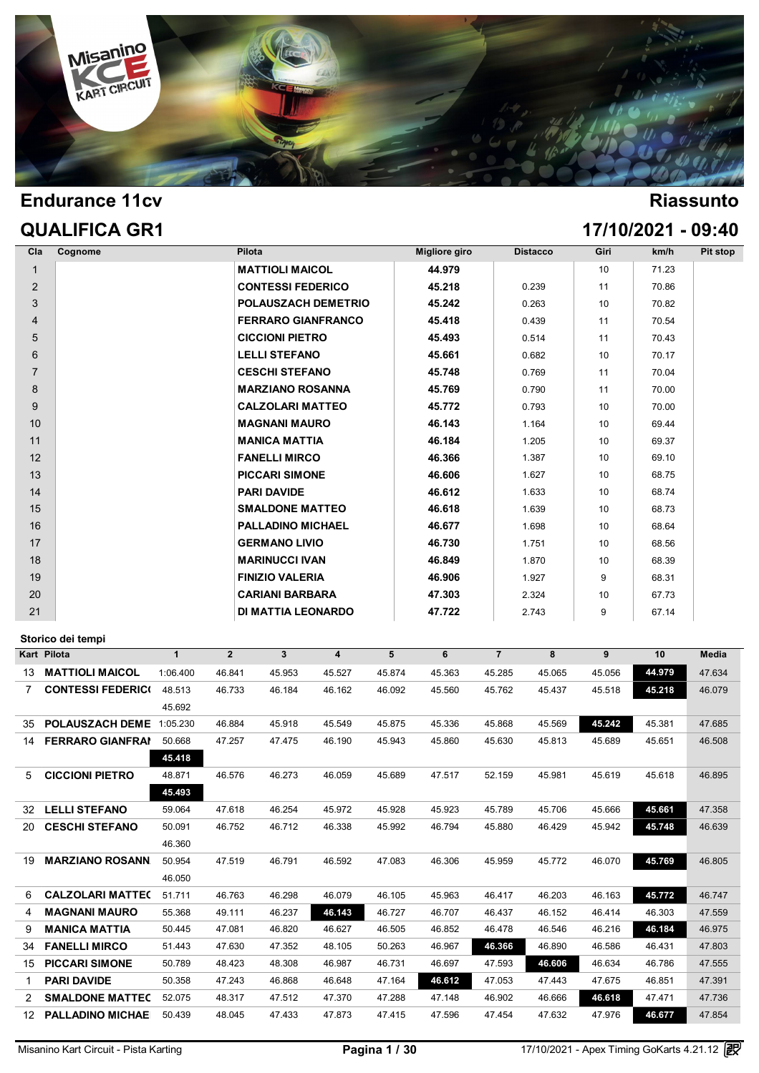

|                | <b>QUALIFICA GR1</b> |                            |               |                 |      | 17/10/2021 - 09:40 |          |
|----------------|----------------------|----------------------------|---------------|-----------------|------|--------------------|----------|
| Cla<br>Cognome |                      | Pilota                     | Migliore giro | <b>Distacco</b> | Giri | km/h               | Pit stop |
| $\mathbf{1}$   |                      | <b>MATTIOLI MAICOL</b>     | 44.979        |                 | 10   | 71.23              |          |
| $\overline{2}$ |                      | <b>CONTESSI FEDERICO</b>   | 45.218        | 0.239           | 11   | 70.86              |          |
| 3              |                      | <b>POLAUSZACH DEMETRIO</b> | 45.242        | 0.263           | 10   | 70.82              |          |
| 4              |                      | <b>FERRARO GIANFRANCO</b>  | 45.418        | 0.439           | 11   | 70.54              |          |
| 5              |                      | <b>CICCIONI PIETRO</b>     | 45.493        | 0.514           | 11   | 70.43              |          |
| 6              |                      | <b>LELLI STEFANO</b>       | 45.661        | 0.682           | 10   | 70.17              |          |
| $\overline{7}$ |                      | <b>CESCHI STEFANO</b>      | 45.748        | 0.769           | 11   | 70.04              |          |
| 8              |                      | <b>MARZIANO ROSANNA</b>    | 45.769        | 0.790           | 11   | 70.00              |          |
| 9              |                      | <b>CALZOLARI MATTEO</b>    | 45.772        | 0.793           | 10   | 70.00              |          |
| 10             |                      | <b>MAGNANI MAURO</b>       | 46.143        | 1.164           | 10   | 69.44              |          |
| 11             |                      | <b>MANICA MATTIA</b>       | 46.184        | 1.205           | 10   | 69.37              |          |
| 12             |                      | <b>FANELLI MIRCO</b>       | 46.366        | 1.387           | 10   | 69.10              |          |
| 13             |                      | <b>PICCARI SIMONE</b>      | 46.606        | 1.627           | 10   | 68.75              |          |
| 14             |                      | <b>PARI DAVIDE</b>         | 46.612        | 1.633           | 10   | 68.74              |          |
| 15             |                      | <b>SMALDONE MATTEO</b>     | 46.618        | 1.639           | 10   | 68.73              |          |
| 16             |                      | <b>PALLADINO MICHAEL</b>   | 46.677        | 1.698           | 10   | 68.64              |          |
| 17             |                      | <b>GERMANO LIVIO</b>       | 46.730        | 1.751           | 10   | 68.56              |          |
| 18             |                      | <b>MARINUCCI IVAN</b>      | 46.849        | 1.870           | 10   | 68.39              |          |
| 19             |                      | <b>FINIZIO VALERIA</b>     | 46.906        | 1.927           | 9    | 68.31              |          |
| 20             |                      | <b>CARIANI BARBARA</b>     | 47.303        | 2.324           | 10   | 67.73              |          |
| 21             |                      | <b>DI MATTIA LEONARDO</b>  | 47.722        | 2.743           | 9    | 67.14              |          |
|                |                      |                            |               |                 |      |                    |          |

|    | Kart Pilota              | $\mathbf{1}$ | $\mathbf{2}$ | 3      | 4      | 5      | 6      | $\overline{7}$ | 8      | 9      | 10     | <b>Media</b> |
|----|--------------------------|--------------|--------------|--------|--------|--------|--------|----------------|--------|--------|--------|--------------|
| 13 | <b>MATTIOLI MAICOL</b>   | 1:06.400     | 46.841       | 45.953 | 45.527 | 45.874 | 45.363 | 45.285         | 45.065 | 45.056 | 44.979 | 47.634       |
| 7. | <b>CONTESSI FEDERICI</b> | 48.513       | 46.733       | 46.184 | 46.162 | 46.092 | 45.560 | 45.762         | 45.437 | 45.518 | 45.218 | 46.079       |
|    |                          | 45.692       |              |        |        |        |        |                |        |        |        |              |
| 35 | <b>POLAUSZACH DEME</b>   | 1:05.230     | 46.884       | 45.918 | 45.549 | 45.875 | 45.336 | 45.868         | 45.569 | 45.242 | 45.381 | 47.685       |
| 14 | <b>FERRARO GIANFRAI</b>  | 50.668       | 47.257       | 47.475 | 46.190 | 45.943 | 45.860 | 45.630         | 45.813 | 45.689 | 45.651 | 46.508       |
|    |                          | 45.418       |              |        |        |        |        |                |        |        |        |              |
| 5  | <b>CICCIONI PIETRO</b>   | 48.871       | 46.576       | 46.273 | 46.059 | 45.689 | 47.517 | 52.159         | 45.981 | 45.619 | 45.618 | 46.895       |
|    |                          | 45.493       |              |        |        |        |        |                |        |        |        |              |
| 32 | <b>LELLI STEFANO</b>     | 59.064       | 47.618       | 46.254 | 45.972 | 45.928 | 45.923 | 45.789         | 45.706 | 45.666 | 45.661 | 47.358       |
| 20 | <b>CESCHI STEFANO</b>    | 50.091       | 46.752       | 46.712 | 46.338 | 45.992 | 46.794 | 45.880         | 46.429 | 45.942 | 45.748 | 46.639       |
|    |                          | 46.360       |              |        |        |        |        |                |        |        |        |              |
| 19 | <b>MARZIANO ROSANN</b>   | 50.954       | 47.519       | 46.791 | 46.592 | 47.083 | 46.306 | 45.959         | 45.772 | 46.070 | 45.769 | 46.805       |
|    |                          | 46.050       |              |        |        |        |        |                |        |        |        |              |
| 6  | <b>CALZOLARI MATTE(</b>  | 51.711       | 46.763       | 46.298 | 46.079 | 46.105 | 45.963 | 46.417         | 46.203 | 46.163 | 45.772 | 46.747       |
| 4  | <b>MAGNANI MAURO</b>     | 55.368       | 49.111       | 46.237 | 46.143 | 46.727 | 46.707 | 46.437         | 46.152 | 46.414 | 46.303 | 47.559       |
| 9  | <b>MANICA MATTIA</b>     | 50.445       | 47.081       | 46.820 | 46.627 | 46.505 | 46.852 | 46.478         | 46.546 | 46.216 | 46.184 | 46.975       |
| 34 | <b>FANELLI MIRCO</b>     | 51.443       | 47.630       | 47.352 | 48.105 | 50.263 | 46.967 | 46.366         | 46.890 | 46.586 | 46.431 | 47.803       |
| 15 | <b>PICCARI SIMONE</b>    | 50.789       | 48.423       | 48.308 | 46.987 | 46.731 | 46.697 | 47.593         | 46.606 | 46.634 | 46.786 | 47.555       |
|    | <b>PARI DAVIDE</b>       | 50.358       | 47.243       | 46.868 | 46.648 | 47.164 | 46.612 | 47.053         | 47.443 | 47.675 | 46.851 | 47.391       |
|    | <b>SMALDONE MATTEC</b>   | 52.075       | 48.317       | 47.512 | 47.370 | 47.288 | 47.148 | 46.902         | 46.666 | 46.618 | 47.471 | 47.736       |
| 12 | <b>PALLADINO MICHAE</b>  | 50.439       | 48.045       | 47.433 | 47.873 | 47.415 | 47.596 | 47.454         | 47.632 | 47.976 | 46.677 | 47.854       |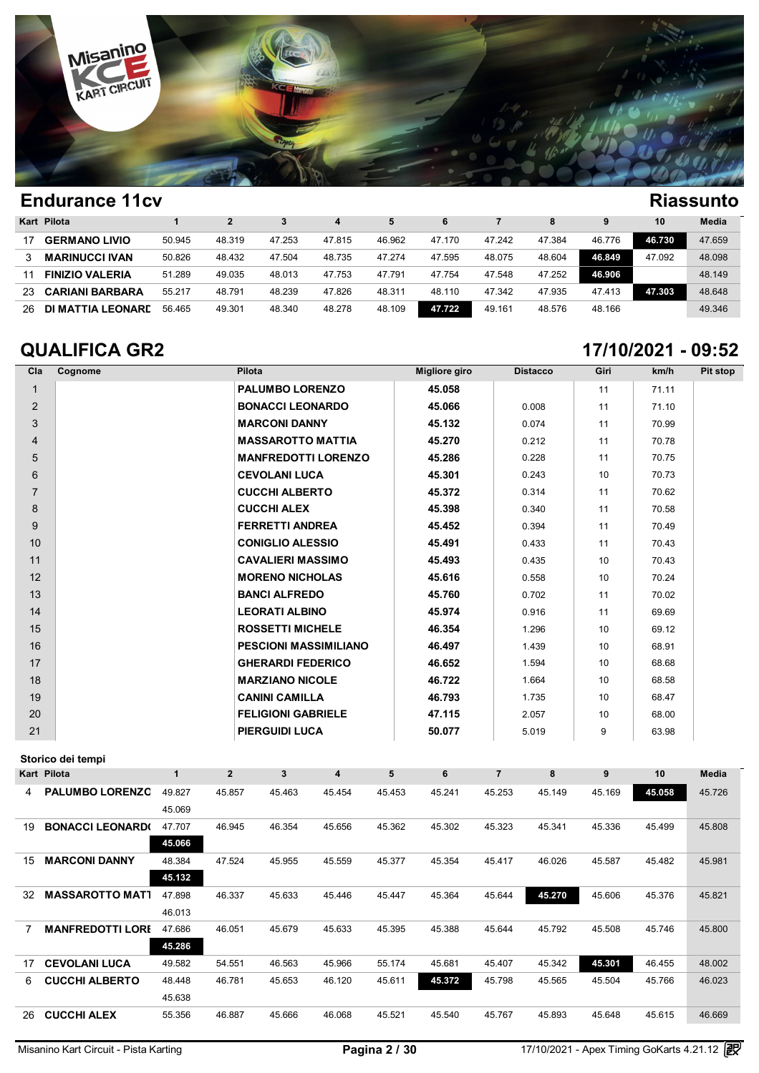

|     | Kart Pilota            |        |        |        | 4      | 5      | 6      |        | 8      | 9      | 10     | Media  |
|-----|------------------------|--------|--------|--------|--------|--------|--------|--------|--------|--------|--------|--------|
|     | <b>GERMANO LIVIO</b>   | 50.945 | 48.319 | 47.253 | 47.815 | 46.962 | 47.170 | 47.242 | 47.384 | 46.776 | 46.730 | 47.659 |
|     | <b>MARINUCCI IVAN</b>  | 50.826 | 48.432 | 47.504 | 48.735 | 47.274 | 47.595 | 48.075 | 48.604 | 46.849 | 47.092 | 48.098 |
| 11  | <b>FINIZIO VALERIA</b> | 51.289 | 49.035 | 48.013 | 47.753 | 47.791 | 47.754 | 47.548 | 47.252 | 46.906 |        | 48.149 |
| 23. | <b>CARIANI BARBARA</b> | 55.217 | 48.791 | 48.239 | 47.826 | 48.311 | 48.110 | 47.342 | 47.935 | 47.413 | 47.303 | 48.648 |
| 26  | DI MATTIA LEONARE      | 56.465 | 49.301 | 48.340 | 48.278 | 48.109 | 47.722 | 49.161 | 48.576 | 48.166 |        | 49.346 |

### **QUALIFICA GR2 17/10/2021 - 09:52**

| Cla            | Cognome | Pilota                       | Migliore giro | <b>Distacco</b> | Giri | km/h  | Pit stop |
|----------------|---------|------------------------------|---------------|-----------------|------|-------|----------|
| 1              |         | <b>PALUMBO LORENZO</b>       | 45.058        |                 | 11   | 71.11 |          |
| 2              |         | <b>BONACCI LEONARDO</b>      | 45.066        | 0.008           | 11   | 71.10 |          |
| 3              |         | <b>MARCONI DANNY</b>         | 45.132        | 0.074           | 11   | 70.99 |          |
| $\overline{4}$ |         | <b>MASSAROTTO MATTIA</b>     | 45.270        | 0.212           | 11   | 70.78 |          |
| 5              |         | <b>MANFREDOTTI LORENZO</b>   | 45.286        | 0.228           | 11   | 70.75 |          |
| 6              |         | <b>CEVOLANI LUCA</b>         | 45.301        | 0.243           | 10   | 70.73 |          |
| $\overline{7}$ |         | <b>CUCCHI ALBERTO</b>        | 45.372        | 0.314           | 11   | 70.62 |          |
| 8              |         | <b>CUCCHI ALEX</b>           | 45.398        | 0.340           | 11   | 70.58 |          |
| 9              |         | <b>FERRETTI ANDREA</b>       | 45.452        | 0.394           | 11   | 70.49 |          |
| 10             |         | <b>CONIGLIO ALESSIO</b>      | 45.491        | 0.433           | 11   | 70.43 |          |
| 11             |         | <b>CAVALIERI MASSIMO</b>     | 45.493        | 0.435           | 10   | 70.43 |          |
| 12             |         | <b>MORENO NICHOLAS</b>       | 45.616        | 0.558           | 10   | 70.24 |          |
| 13             |         | <b>BANCI ALFREDO</b>         | 45.760        | 0.702           | 11   | 70.02 |          |
| 14             |         | <b>LEORATI ALBINO</b>        | 45.974        | 0.916           | 11   | 69.69 |          |
| 15             |         | <b>ROSSETTI MICHELE</b>      | 46.354        | 1.296           | 10   | 69.12 |          |
| 16             |         | <b>PESCIONI MASSIMILIANO</b> | 46.497        | 1.439           | 10   | 68.91 |          |
| 17             |         | <b>GHERARDI FEDERICO</b>     | 46.652        | 1.594           | 10   | 68.68 |          |
| 18             |         | <b>MARZIANO NICOLE</b>       | 46.722        | 1.664           | 10   | 68.58 |          |
| 19             |         | <b>CANINI CAMILLA</b>        | 46.793        | 1.735           | 10   | 68.47 |          |
| 20             |         | <b>FELIGIONI GABRIELE</b>    | 47.115        | 2.057           | 10   | 68.00 |          |
| 21             |         | <b>PIERGUIDI LUCA</b>        | 50.077        | 5.019           | 9    | 63.98 |          |

|    | Kart Pilota             |        | $\mathbf{2}$ | 3      | 4      | 5      | 6      | $\overline{7}$ | 8      | 9      | 10     | <b>Media</b> |
|----|-------------------------|--------|--------------|--------|--------|--------|--------|----------------|--------|--------|--------|--------------|
| 4  | <b>PALUMBO LORENZC</b>  | 49.827 | 45.857       | 45.463 | 45.454 | 45.453 | 45.241 | 45.253         | 45.149 | 45.169 | 45.058 | 45.726       |
|    |                         | 45.069 |              |        |        |        |        |                |        |        |        |              |
| 19 | <b>BONACCI LEONARDO</b> | 47.707 | 46.945       | 46.354 | 45.656 | 45.362 | 45.302 | 45.323         | 45.341 | 45.336 | 45.499 | 45.808       |
|    |                         | 45.066 |              |        |        |        |        |                |        |        |        |              |
| 15 | <b>MARCONI DANNY</b>    | 48.384 | 47.524       | 45.955 | 45.559 | 45.377 | 45.354 | 45.417         | 46.026 | 45.587 | 45.482 | 45.981       |
|    |                         | 45.132 |              |        |        |        |        |                |        |        |        |              |
| 32 | <b>MASSAROTTO MAT1</b>  | 47.898 | 46.337       | 45.633 | 45.446 | 45.447 | 45.364 | 45.644         | 45.270 | 45.606 | 45.376 | 45.821       |
|    |                         | 46.013 |              |        |        |        |        |                |        |        |        |              |
|    | <b>MANFREDOTTI LORI</b> | 47.686 | 46.051       | 45.679 | 45.633 | 45.395 | 45.388 | 45.644         | 45.792 | 45.508 | 45.746 | 45.800       |
|    |                         | 45.286 |              |        |        |        |        |                |        |        |        |              |
| 17 | <b>CEVOLANI LUCA</b>    | 49.582 | 54.551       | 46.563 | 45.966 | 55.174 | 45.681 | 45.407         | 45.342 | 45.301 | 46.455 | 48.002       |
| 6. | <b>CUCCHI ALBERTO</b>   | 48.448 | 46.781       | 45.653 | 46.120 | 45.611 | 45.372 | 45.798         | 45.565 | 45.504 | 45.766 | 46.023       |
|    |                         | 45.638 |              |        |        |        |        |                |        |        |        |              |
| 26 | <b>CUCCHI ALEX</b>      | 55.356 | 46.887       | 45.666 | 46.068 | 45.521 | 45.540 | 45.767         | 45.893 | 45.648 | 45.615 | 46.669       |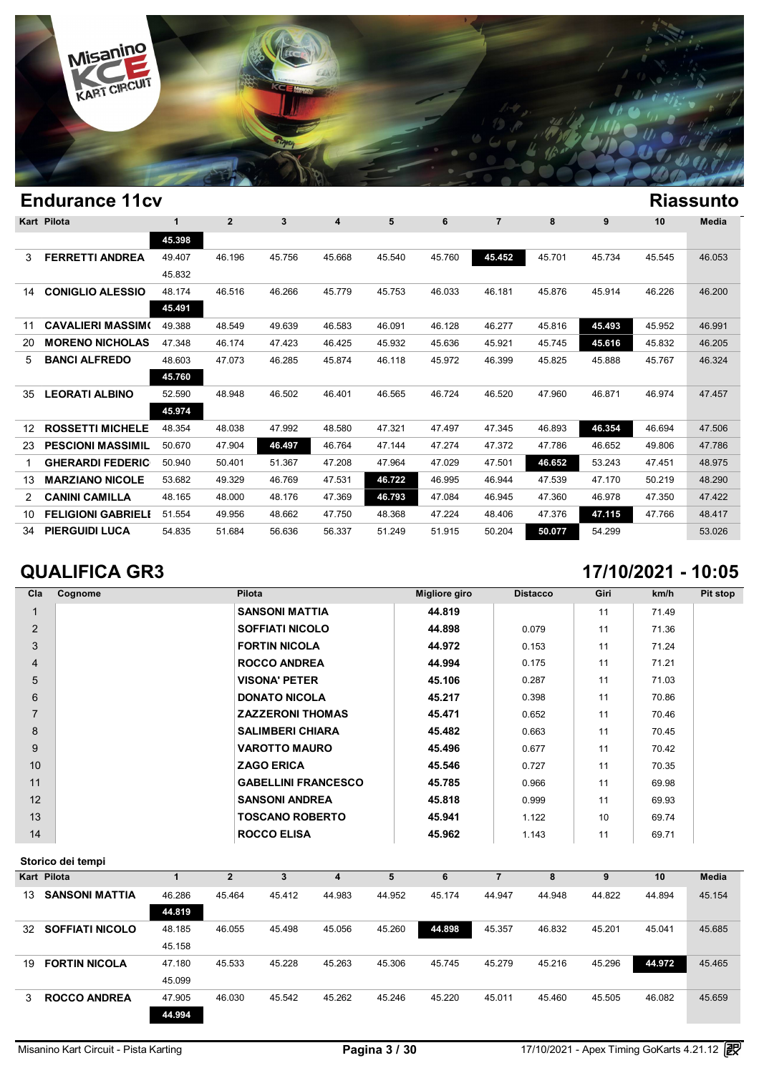

|    | Kart Pilota               | 1      | $\mathbf{2}$ | 3      | 4      | 5      | 6      | $\overline{7}$ | 8      | 9      | 10     | Media  |
|----|---------------------------|--------|--------------|--------|--------|--------|--------|----------------|--------|--------|--------|--------|
|    |                           | 45.398 |              |        |        |        |        |                |        |        |        |        |
| 3  | <b>FERRETTI ANDREA</b>    | 49.407 | 46.196       | 45.756 | 45.668 | 45.540 | 45.760 | 45.452         | 45.701 | 45.734 | 45.545 | 46.053 |
|    |                           | 45.832 |              |        |        |        |        |                |        |        |        |        |
| 14 | <b>CONIGLIO ALESSIO</b>   | 48.174 | 46.516       | 46.266 | 45.779 | 45.753 | 46.033 | 46.181         | 45.876 | 45.914 | 46.226 | 46.200 |
|    |                           | 45.491 |              |        |        |        |        |                |        |        |        |        |
| 11 | <b>CAVALIERI MASSIMO</b>  | 49.388 | 48.549       | 49.639 | 46.583 | 46.091 | 46.128 | 46.277         | 45.816 | 45.493 | 45.952 | 46.991 |
| 20 | <b>MORENO NICHOLAS</b>    | 47.348 | 46.174       | 47.423 | 46.425 | 45.932 | 45.636 | 45.921         | 45.745 | 45.616 | 45.832 | 46.205 |
| 5. | <b>BANCI ALFREDO</b>      | 48.603 | 47.073       | 46.285 | 45.874 | 46.118 | 45.972 | 46.399         | 45.825 | 45.888 | 45.767 | 46.324 |
|    |                           | 45.760 |              |        |        |        |        |                |        |        |        |        |
| 35 | <b>LEORATI ALBINO</b>     | 52.590 | 48.948       | 46.502 | 46.401 | 46.565 | 46.724 | 46.520         | 47.960 | 46.871 | 46.974 | 47.457 |
|    |                           | 45.974 |              |        |        |        |        |                |        |        |        |        |
| 12 | <b>ROSSETTI MICHELE</b>   | 48.354 | 48.038       | 47.992 | 48.580 | 47.321 | 47.497 | 47.345         | 46.893 | 46.354 | 46.694 | 47.506 |
| 23 | <b>PESCIONI MASSIMIL</b>  | 50.670 | 47.904       | 46.497 | 46.764 | 47.144 | 47.274 | 47.372         | 47.786 | 46.652 | 49.806 | 47.786 |
|    | <b>GHERARDI FEDERIC</b>   | 50.940 | 50.401       | 51.367 | 47.208 | 47.964 | 47.029 | 47.501         | 46.652 | 53.243 | 47.451 | 48.975 |
| 13 | <b>MARZIANO NICOLE</b>    | 53.682 | 49.329       | 46.769 | 47.531 | 46.722 | 46.995 | 46.944         | 47.539 | 47.170 | 50.219 | 48.290 |
| 2  | <b>CANINI CAMILLA</b>     | 48.165 | 48.000       | 48.176 | 47.369 | 46.793 | 47.084 | 46.945         | 47.360 | 46.978 | 47.350 | 47.422 |
| 10 | <b>FELIGIONI GABRIELI</b> | 51.554 | 49.956       | 48.662 | 47.750 | 48.368 | 47.224 | 48.406         | 47.376 | 47.115 | 47.766 | 48.417 |
| 34 | <b>PIERGUIDI LUCA</b>     | 54.835 | 51.684       | 56.636 | 56.337 | 51.249 | 51.915 | 50.204         | 50.077 | 54.299 |        | 53.026 |

# **QUALIFICA GR3 17/10/2021 - 10:05**

| Cla             | Cognome | Pilota                     | <b>Migliore giro</b> | <b>Distacco</b> | Giri | km/h  | Pit stop |
|-----------------|---------|----------------------------|----------------------|-----------------|------|-------|----------|
|                 |         | <b>SANSONI MATTIA</b>      | 44.819               |                 | 11   | 71.49 |          |
| 2               |         | <b>SOFFIATI NICOLO</b>     | 44.898               | 0.079           | 11   | 71.36 |          |
| 3               |         | <b>FORTIN NICOLA</b>       | 44.972               | 0.153           | 11   | 71.24 |          |
| $\overline{4}$  |         | <b>ROCCO ANDREA</b>        | 44.994               | 0.175           | 11   | 71.21 |          |
| 5               |         | <b>VISONA' PETER</b>       | 45.106               | 0.287           | 11   | 71.03 |          |
| 6               |         | <b>DONATO NICOLA</b>       | 45.217               | 0.398           | 11   | 70.86 |          |
| $\overline{7}$  |         | <b>ZAZZERONI THOMAS</b>    | 45.471               | 0.652           | 11   | 70.46 |          |
| 8               |         | <b>SALIMBERI CHIARA</b>    | 45.482               | 0.663           | 11   | 70.45 |          |
| 9               |         | <b>VAROTTO MAURO</b>       | 45.496               | 0.677           | 11   | 70.42 |          |
| 10 <sup>1</sup> |         | <b>ZAGO ERICA</b>          | 45.546               | 0.727           | 11   | 70.35 |          |
| 11              |         | <b>GABELLINI FRANCESCO</b> | 45.785               | 0.966           | 11   | 69.98 |          |
| 12              |         | <b>SANSONI ANDREA</b>      | 45.818               | 0.999           | 11   | 69.93 |          |
| 13              |         | <b>TOSCANO ROBERTO</b>     | 45.941               | 1.122           | 10   | 69.74 |          |
| 14              |         | <b>ROCCO ELISA</b>         | 45.962               | 1.143           | 11   | 69.71 |          |

|    | Kart Pilota            |        | $\mathbf{2}$ | 3      | 4      | 5      | 6      |        | 8      | 9      | 10     | <b>Media</b> |
|----|------------------------|--------|--------------|--------|--------|--------|--------|--------|--------|--------|--------|--------------|
| 13 | <b>SANSONI MATTIA</b>  | 46.286 | 45.464       | 45.412 | 44.983 | 44.952 | 45.174 | 44.947 | 44.948 | 44.822 | 44.894 | 45.154       |
|    |                        | 44.819 |              |        |        |        |        |        |        |        |        |              |
| 32 | <b>SOFFIATI NICOLO</b> | 48.185 | 46.055       | 45.498 | 45.056 | 45.260 | 44.898 | 45.357 | 46.832 | 45.201 | 45.041 | 45.685       |
|    |                        | 45.158 |              |        |        |        |        |        |        |        |        |              |
| 19 | <b>FORTIN NICOLA</b>   | 47.180 | 45.533       | 45.228 | 45.263 | 45.306 | 45.745 | 45.279 | 45.216 | 45.296 | 44.972 | 45.465       |
|    |                        | 45.099 |              |        |        |        |        |        |        |        |        |              |
| 3  | <b>ROCCO ANDREA</b>    | 47.905 | 46.030       | 45.542 | 45.262 | 45.246 | 45.220 | 45.011 | 45.460 | 45.505 | 46.082 | 45.659       |
|    |                        | 44.994 |              |        |        |        |        |        |        |        |        |              |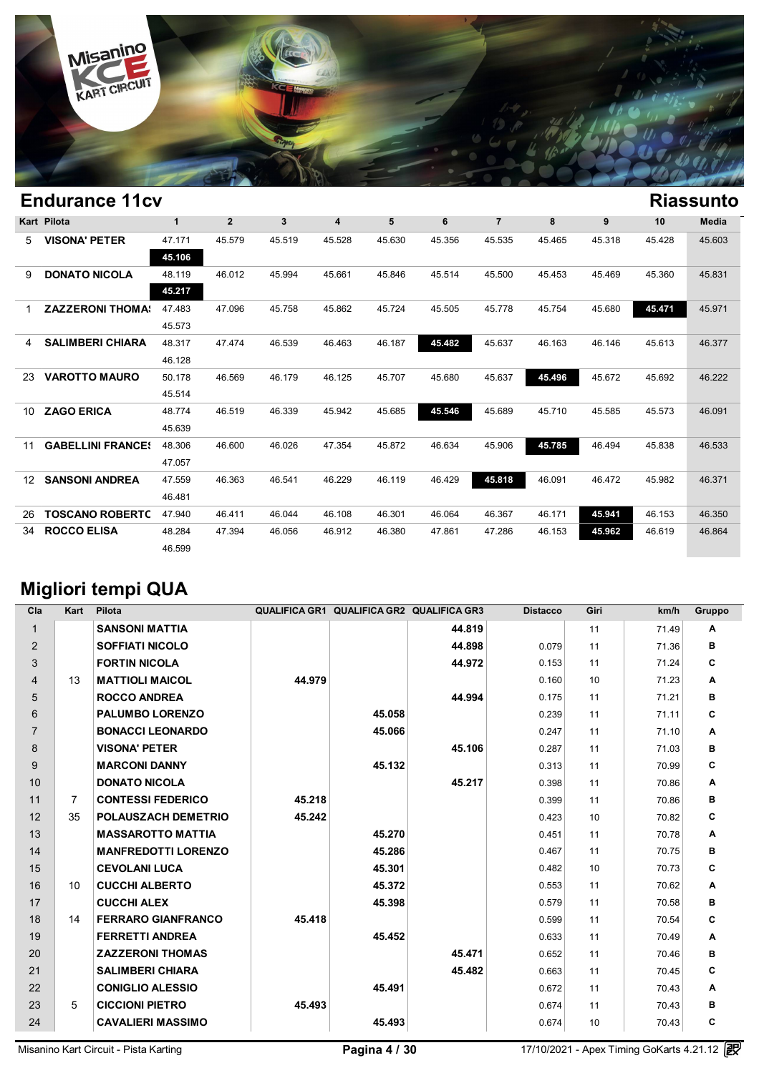

|                 | <b>Endurance 11cv</b>    |              |                |              |        |        |        |                |        |        |        | <b>Riassunto</b> |
|-----------------|--------------------------|--------------|----------------|--------------|--------|--------|--------|----------------|--------|--------|--------|------------------|
|                 | Kart Pilota              | $\mathbf{1}$ | $\overline{2}$ | $\mathbf{3}$ | 4      | 5      | 6      | $\overline{7}$ | 8      | 9      | 10     | <b>Media</b>     |
| 5               | <b>VISONA' PETER</b>     | 47.171       | 45.579         | 45.519       | 45.528 | 45.630 | 45.356 | 45.535         | 45.465 | 45.318 | 45.428 | 45.603           |
|                 |                          | 45.106       |                |              |        |        |        |                |        |        |        |                  |
| 9               | <b>DONATO NICOLA</b>     | 48.119       | 46.012         | 45.994       | 45.661 | 45.846 | 45.514 | 45.500         | 45.453 | 45.469 | 45.360 | 45.831           |
|                 |                          | 45.217       |                |              |        |        |        |                |        |        |        |                  |
|                 | <b>ZAZZERONI THOMA:</b>  | 47.483       | 47.096         | 45.758       | 45.862 | 45.724 | 45.505 | 45.778         | 45.754 | 45.680 | 45.471 | 45.971           |
|                 |                          | 45.573       |                |              |        |        |        |                |        |        |        |                  |
| 4               | <b>SALIMBERI CHIARA</b>  | 48.317       | 47.474         | 46.539       | 46.463 | 46.187 | 45.482 | 45.637         | 46.163 | 46.146 | 45.613 | 46.377           |
|                 |                          | 46.128       |                |              |        |        |        |                |        |        |        |                  |
| 23.             | <b>VAROTTO MAURO</b>     | 50.178       | 46.569         | 46.179       | 46.125 | 45.707 | 45.680 | 45.637         | 45.496 | 45.672 | 45.692 | 46.222           |
|                 |                          | 45.514       |                |              |        |        |        |                |        |        |        |                  |
| 10              | <b>ZAGO ERICA</b>        | 48.774       | 46.519         | 46.339       | 45.942 | 45.685 | 45.546 | 45.689         | 45.710 | 45.585 | 45.573 | 46.091           |
|                 |                          | 45.639       |                |              |        |        |        |                |        |        |        |                  |
| 11              | <b>GABELLINI FRANCES</b> | 48.306       | 46.600         | 46.026       | 47.354 | 45.872 | 46.634 | 45.906         | 45.785 | 46.494 | 45.838 | 46.533           |
|                 |                          | 47.057       |                |              |        |        |        |                |        |        |        |                  |
| 12 <sup>7</sup> | <b>SANSONI ANDREA</b>    | 47.559       | 46.363         | 46.541       | 46.229 | 46.119 | 46.429 | 45.818         | 46.091 | 46.472 | 45.982 | 46.371           |
|                 |                          | 46.481       |                |              |        |        |        |                |        |        |        |                  |
| 26              | <b>TOSCANO ROBERTC</b>   | 47.940       | 46.411         | 46.044       | 46.108 | 46.301 | 46.064 | 46.367         | 46.171 | 45.941 | 46.153 | 46.350           |
| 34              | <b>ROCCO ELISA</b>       | 48.284       | 47.394         | 46.056       | 46.912 | 46.380 | 47.861 | 47.286         | 46.153 | 45.962 | 46.619 | 46.864           |
|                 |                          | 46.599       |                |              |        |        |        |                |        |        |        |                  |

# **Migliori tempi QUA**

| Cla            | Kart           | Pilota                     |        | QUALIFICA GR1 QUALIFICA GR2 QUALIFICA GR3 |        | <b>Distacco</b> | Giri | km/h  | Gruppo |
|----------------|----------------|----------------------------|--------|-------------------------------------------|--------|-----------------|------|-------|--------|
| $\mathbf{1}$   |                | <b>SANSONI MATTIA</b>      |        |                                           | 44.819 |                 | 11   | 71.49 | A      |
| 2              |                | <b>SOFFIATI NICOLO</b>     |        |                                           | 44.898 | 0.079           | 11   | 71.36 | в      |
| 3              |                | <b>FORTIN NICOLA</b>       |        |                                           | 44.972 | 0.153           | 11   | 71.24 | C      |
| 4              | 13             | <b>MATTIOLI MAICOL</b>     | 44.979 |                                           |        | 0.160           | 10   | 71.23 | A      |
| 5              |                | <b>ROCCO ANDREA</b>        |        |                                           | 44.994 | 0.175           | 11   | 71.21 | в      |
| 6              |                | <b>PALUMBO LORENZO</b>     |        | 45.058                                    |        | 0.239           | 11   | 71.11 | C      |
| $\overline{7}$ |                | <b>BONACCI LEONARDO</b>    |        | 45.066                                    |        | 0.247           | 11   | 71.10 | Α      |
| 8              |                | <b>VISONA' PETER</b>       |        |                                           | 45.106 | 0.287           | 11   | 71.03 | в      |
| 9              |                | <b>MARCONI DANNY</b>       |        | 45.132                                    |        | 0.313           | 11   | 70.99 | C      |
| 10             |                | <b>DONATO NICOLA</b>       |        |                                           | 45.217 | 0.398           | 11   | 70.86 | A      |
| 11             | $\overline{7}$ | <b>CONTESSI FEDERICO</b>   | 45.218 |                                           |        | 0.399           | 11   | 70.86 | в      |
| 12             | 35             | POLAUSZACH DEMETRIO        | 45.242 |                                           |        | 0.423           | 10   | 70.82 | C      |
| 13             |                | <b>MASSAROTTO MATTIA</b>   |        | 45.270                                    |        | 0.451           | 11   | 70.78 | A      |
| 14             |                | <b>MANFREDOTTI LORENZO</b> |        | 45.286                                    |        | 0.467           | 11   | 70.75 | в      |
| 15             |                | <b>CEVOLANI LUCA</b>       |        | 45.301                                    |        | 0.482           | 10   | 70.73 | C      |
| 16             | 10             | <b>CUCCHI ALBERTO</b>      |        | 45.372                                    |        | 0.553           | 11   | 70.62 | Α      |
| 17             |                | <b>CUCCHI ALEX</b>         |        | 45.398                                    |        | 0.579           | 11   | 70.58 | в      |
| 18             | 14             | <b>FERRARO GIANFRANCO</b>  | 45.418 |                                           |        | 0.599           | 11   | 70.54 | C      |
| 19             |                | <b>FERRETTI ANDREA</b>     |        | 45.452                                    |        | 0.633           | 11   | 70.49 | A      |
| 20             |                | <b>ZAZZERONI THOMAS</b>    |        |                                           | 45.471 | 0.652           | 11   | 70.46 | в      |
| 21             |                | <b>SALIMBERI CHIARA</b>    |        |                                           | 45.482 | 0.663           | 11   | 70.45 | C      |
| 22             |                | <b>CONIGLIO ALESSIO</b>    |        | 45.491                                    |        | 0.672           | 11   | 70.43 | Α      |
| 23             | 5              | <b>CICCIONI PIETRO</b>     | 45.493 |                                           |        | 0.674           | 11   | 70.43 | в      |
| 24             |                | <b>CAVALIERI MASSIMO</b>   |        | 45.493                                    |        | 0.674           | 10   | 70.43 | C      |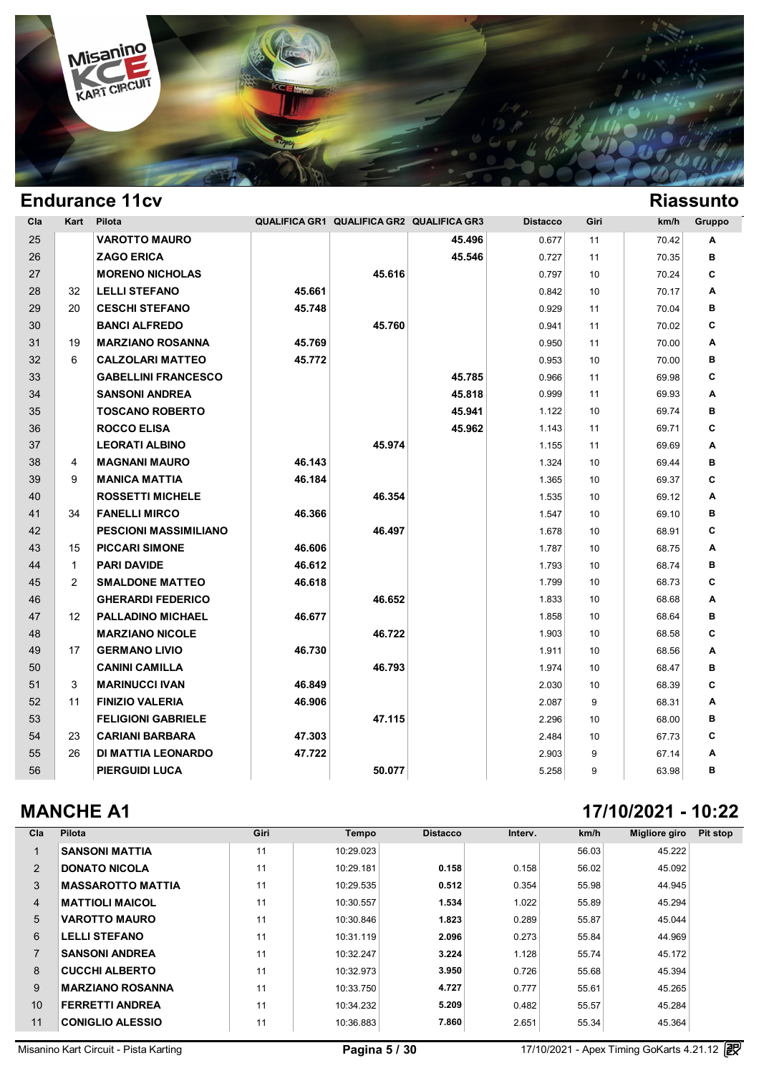

| Cla | Kart         | Pilota                       |        | QUALIFICA GR1 QUALIFICA GR2 QUALIFICA GR3 |        | <b>Distacco</b> | Giri            | km/h  | Gruppo |
|-----|--------------|------------------------------|--------|-------------------------------------------|--------|-----------------|-----------------|-------|--------|
| 25  |              | <b>VAROTTO MAURO</b>         |        |                                           | 45.496 | 0.677           | 11              | 70.42 | A      |
| 26  |              | <b>ZAGO ERICA</b>            |        |                                           | 45.546 | 0.727           | 11              | 70.35 | в      |
| 27  |              | <b>MORENO NICHOLAS</b>       |        | 45.616                                    |        | 0.797           | 10              | 70.24 | C      |
| 28  | 32           | <b>LELLI STEFANO</b>         | 45.661 |                                           |        | 0.842           | 10              | 70.17 | A      |
| 29  | 20           | <b>CESCHI STEFANO</b>        | 45.748 |                                           |        | 0.929           | 11              | 70.04 | в      |
| 30  |              | <b>BANCI ALFREDO</b>         |        | 45.760                                    |        | 0.941           | 11              | 70.02 | C      |
| 31  | 19           | <b>MARZIANO ROSANNA</b>      | 45.769 |                                           |        | 0.950           | 11              | 70.00 | A      |
| 32  | 6            | <b>CALZOLARI MATTEO</b>      | 45.772 |                                           |        | 0.953           | 10              | 70.00 | в      |
| 33  |              | <b>GABELLINI FRANCESCO</b>   |        |                                           | 45.785 | 0.966           | 11              | 69.98 | C      |
| 34  |              | <b>SANSONI ANDREA</b>        |        |                                           | 45.818 | 0.999           | 11              | 69.93 | A      |
| 35  |              | <b>TOSCANO ROBERTO</b>       |        |                                           | 45.941 | 1.122           | 10              | 69.74 | в      |
| 36  |              | <b>ROCCO ELISA</b>           |        |                                           | 45.962 | 1.143           | 11              | 69.71 | C      |
| 37  |              | <b>LEORATI ALBINO</b>        |        | 45.974                                    |        | 1.155           | 11              | 69.69 | A      |
| 38  | 4            | <b>MAGNANI MAURO</b>         | 46.143 |                                           |        | 1.324           | 10              | 69.44 | в      |
| 39  | 9            | <b>MANICA MATTIA</b>         | 46.184 |                                           |        | 1.365           | 10              | 69.37 | C      |
| 40  |              | <b>ROSSETTI MICHELE</b>      |        | 46.354                                    |        | 1.535           | 10              | 69.12 | A      |
| 41  | 34           | <b>FANELLI MIRCO</b>         | 46.366 |                                           |        | 1.547           | 10              | 69.10 | в      |
| 42  |              | <b>PESCIONI MASSIMILIANO</b> |        | 46.497                                    |        | 1.678           | 10 <sup>1</sup> | 68.91 | C      |
| 43  | 15           | <b>PICCARI SIMONE</b>        | 46.606 |                                           |        | 1.787           | 10              | 68.75 | A      |
| 44  | $\mathbf{1}$ | <b>PARI DAVIDE</b>           | 46.612 |                                           |        | 1.793           | 10              | 68.74 | в      |
| 45  | 2            | <b>SMALDONE MATTEO</b>       | 46.618 |                                           |        | 1.799           | 10              | 68.73 | C      |
| 46  |              | <b>GHERARDI FEDERICO</b>     |        | 46.652                                    |        | 1.833           | 10 <sup>1</sup> | 68.68 | A      |
| 47  | 12           | <b>PALLADINO MICHAEL</b>     | 46.677 |                                           |        | 1.858           | 10              | 68.64 | в      |
| 48  |              | <b>MARZIANO NICOLE</b>       |        | 46.722                                    |        | 1.903           | 10 <sup>1</sup> | 68.58 | C      |
| 49  | 17           | <b>GERMANO LIVIO</b>         | 46.730 |                                           |        | 1.911           | 10              | 68.56 | A      |
| 50  |              | <b>CANINI CAMILLA</b>        |        | 46.793                                    |        | 1.974           | 10 <sup>1</sup> | 68.47 | в      |
| 51  | 3            | <b>MARINUCCI IVAN</b>        | 46.849 |                                           |        | 2.030           | 10              | 68.39 | C      |
| 52  | 11           | <b>FINIZIO VALERIA</b>       | 46.906 |                                           |        | 2.087           | 9               | 68.31 | A      |
| 53  |              | <b>FELIGIONI GABRIELE</b>    |        | 47.115                                    |        | 2.296           | 10              | 68.00 | в      |
| 54  | 23           | <b>CARIANI BARBARA</b>       | 47.303 |                                           |        | 2.484           | 10              | 67.73 | C      |
| 55  | 26           | DI MATTIA LEONARDO           | 47.722 |                                           |        | 2.903           | 9               | 67.14 | A      |
| 56  |              | <b>PIERGUIDI LUCA</b>        |        | 50.077                                    |        | 5.258           | 9               | 63.98 | в      |

### **MANCHE A1 17/10/2021 - 10:22**

| Cla            | Pilota                   | Giri | <b>Tempo</b> | <b>Distacco</b> | Interv. | km/h  | Migliore giro | Pit stop |
|----------------|--------------------------|------|--------------|-----------------|---------|-------|---------------|----------|
|                | <b>SANSONI MATTIA</b>    | 11   | 10:29.023    |                 |         | 56.03 | 45.222        |          |
| 2              | <b>DONATO NICOLA</b>     | 11   | 10:29.181    | 0.158           | 0.158   | 56.02 | 45.092        |          |
| 3              | <b>MASSAROTTO MATTIA</b> | 11   | 10:29.535    | 0.512           | 0.354   | 55.98 | 44.945        |          |
| $\overline{4}$ | <b>MATTIOLI MAICOL</b>   | 11   | 10:30.557    | 1.534           | 1.022   | 55.89 | 45.294        |          |
| 5              | <b>VAROTTO MAURO</b>     | 11   | 10:30.846    | 1.823           | 0.289   | 55.87 | 45.044        |          |
| 6              | <b>LELLI STEFANO</b>     | 11   | 10:31.119    | 2.096           | 0.273   | 55.84 | 44.969        |          |
|                | <b>SANSONI ANDREA</b>    | 11   | 10:32.247    | 3.224           | 1.128   | 55.74 | 45.172        |          |
| 8              | <b>CUCCHI ALBERTO</b>    | 11   | 10:32.973    | 3.950           | 0.726   | 55.68 | 45.394        |          |
| 9              | <b>MARZIANO ROSANNA</b>  | 11   | 10:33.750    | 4.727           | 0.777   | 55.61 | 45.265        |          |
| 10             | <b>FERRETTI ANDREA</b>   | 11   | 10:34.232    | 5.209           | 0.482   | 55.57 | 45.284        |          |
| 11             | <b>CONIGLIO ALESSIO</b>  | 11   | 10:36.883    | 7.860           | 2.651   | 55.34 | 45.364        |          |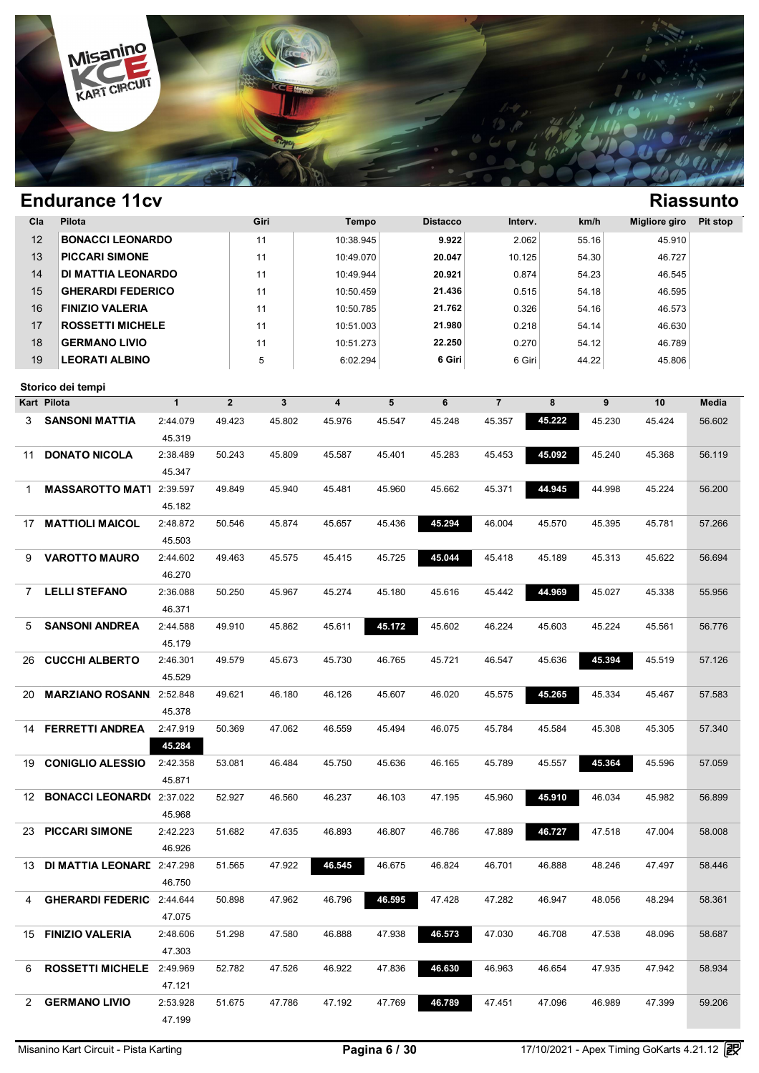

| Cla | Pilota                              |              | Giri        |        | <b>Tempo</b> |        | <b>Distacco</b> | Interv.        |        | km/h   | <b>Migliore giro</b> | Pit stop     |
|-----|-------------------------------------|--------------|-------------|--------|--------------|--------|-----------------|----------------|--------|--------|----------------------|--------------|
| 12  | <b>BONACCI LEONARDO</b>             |              | 11          |        | 10:38.945    |        | 9.922           | 2.062          |        | 55.16  | 45.910               |              |
| 13  | <b>PICCARI SIMONE</b>               |              | 11          |        | 10:49.070    |        | 20.047          | 10.125         |        | 54.30  | 46.727               |              |
| 14  | DI MATTIA LEONARDO                  |              | 11          |        | 10:49.944    |        | 20.921          | 0.874          |        | 54.23  | 46.545               |              |
| 15  | <b>GHERARDI FEDERICO</b>            |              | 11          |        | 10:50.459    |        | 21.436          | 0.515          |        | 54.18  | 46.595               |              |
| 16  | <b>FINIZIO VALERIA</b>              |              | 11          |        | 10:50.785    |        | 21.762          | 0.326          |        | 54.16  | 46.573               |              |
| 17  | <b>ROSSETTI MICHELE</b>             |              | 11          |        | 10:51.003    |        | 21.980          | 0.218          |        | 54.14  | 46.630               |              |
| 18  | <b>GERMANO LIVIO</b>                |              | 11          |        | 10:51.273    |        | 22.250          | 0.270          |        | 54.12  | 46.789               |              |
| 19  | <b>LEORATI ALBINO</b>               |              | 5           |        | 6:02.294     |        | 6 Giri          | 6 Giri         |        | 44.22  | 45.806               |              |
|     |                                     |              |             |        |              |        |                 |                |        |        |                      |              |
|     | Storico dei tempi                   |              |             |        |              |        |                 |                |        |        |                      |              |
|     | Kart Pilota                         | $\mathbf{1}$ | $\mathbf 2$ | 3      | 4            | 5      | 6               | $\overline{7}$ | 8      | 9      | 10                   | <b>Media</b> |
| 3   | <b>SANSONI MATTIA</b>               | 2:44.079     | 49.423      | 45.802 | 45.976       | 45.547 | 45.248          | 45.357         | 45.222 | 45.230 | 45.424               | 56.602       |
|     |                                     | 45.319       |             |        |              |        |                 |                |        |        |                      |              |
| 11  | <b>DONATO NICOLA</b>                | 2:38.489     | 50.243      | 45.809 | 45.587       | 45.401 | 45.283          | 45.453         | 45.092 | 45.240 | 45.368               | 56.119       |
|     |                                     | 45.347       |             |        |              |        |                 |                |        |        |                      |              |
| 1   | <b>MASSAROTTO MAT1</b>              | 2:39.597     | 49.849      | 45.940 | 45.481       | 45.960 | 45.662          | 45.371         | 44.945 | 44.998 | 45.224               | 56.200       |
|     |                                     | 45.182       |             |        |              |        |                 |                |        |        |                      |              |
| 17  | <b>MATTIOLI MAICOL</b>              | 2:48.872     | 50.546      | 45.874 | 45.657       | 45.436 | 45.294          | 46.004         | 45.570 | 45.395 | 45.781               | 57.266       |
|     |                                     | 45.503       |             |        |              |        |                 |                |        |        |                      |              |
| 9   | <b>VAROTTO MAURO</b>                | 2:44.602     | 49.463      | 45.575 | 45.415       | 45.725 | 45.044          | 45.418         | 45.189 | 45.313 | 45.622               | 56.694       |
|     |                                     | 46.270       |             |        |              |        |                 |                |        |        |                      |              |
| 7   | <b>LELLI STEFANO</b>                | 2:36.088     | 50.250      | 45.967 | 45.274       | 45.180 | 45.616          | 45.442         | 44.969 | 45.027 | 45.338               | 55.956       |
|     |                                     | 46.371       |             |        |              |        |                 |                |        |        |                      |              |
| 5   | <b>SANSONI ANDREA</b>               | 2:44.588     | 49.910      | 45.862 | 45.611       | 45.172 | 45.602          | 46.224         | 45.603 | 45.224 | 45.561               | 56.776       |
|     |                                     | 45.179       |             |        |              |        |                 |                |        |        |                      |              |
| 26  | <b>CUCCHI ALBERTO</b>               | 2:46.301     | 49.579      | 45.673 | 45.730       | 46.765 | 45.721          | 46.547         | 45.636 | 45.394 | 45.519               | 57.126       |
|     |                                     | 45.529       |             |        |              |        |                 |                |        |        |                      |              |
| 20  | <b>MARZIANO ROSANN.</b> 2:52.848    |              | 49.621      | 46.180 | 46.126       | 45.607 | 46.020          | 45.575         | 45.265 | 45.334 | 45.467               | 57.583       |
|     |                                     | 45.378       |             |        |              |        |                 |                |        |        |                      |              |
| 14  | <b>FERRETTI ANDREA</b>              | 2:47.919     | 50.369      | 47.062 | 46.559       | 45.494 | 46.075          | 45.784         | 45.584 | 45.308 | 45.305               | 57.340       |
|     |                                     | 45.284       |             |        |              |        |                 |                |        |        |                      |              |
| 19. | <b>CONIGLIO ALESSIO</b>             | 2:42.358     | 53.081      | 46.484 | 45.750       | 45.636 | 46.165          | 45.789         | 45.557 | 45.364 | 45.596               | 57.059       |
|     |                                     | 45.871       |             |        |              |        |                 |                |        |        |                      |              |
|     | 12 <b>BONACCI LEONARD(</b> 2:37.022 |              | 52.927      | 46.560 | 46.237       | 46.103 | 47.195          | 45.960         | 45.910 | 46.034 | 45.982               | 56.899       |
|     |                                     | 45.968       |             |        |              |        |                 |                |        |        |                      |              |
|     | 23 PICCARI SIMONE                   | 2:42.223     | 51.682      | 47.635 | 46.893       | 46.807 | 46.786          | 47.889         | 46.727 | 47.518 | 47.004               | 58.008       |
|     |                                     | 46.926       |             |        |              |        |                 |                |        |        |                      |              |
|     | 13 DI MATTIA LEONARE 2:47.298       |              | 51.565      | 47.922 | 46.545       | 46.675 | 46.824          | 46.701         | 46.888 | 48.246 | 47.497               | 58.446       |
|     |                                     | 46.750       |             |        |              |        |                 |                |        |        |                      |              |
| 4   | <b>GHERARDI FEDERIC</b> 2:44.644    |              | 50.898      | 47.962 | 46.796       | 46.595 | 47.428          | 47.282         | 46.947 | 48.056 | 48.294               | 58.361       |
|     |                                     | 47.075       |             |        |              |        |                 |                |        |        |                      |              |
|     | 15 FINIZIO VALERIA                  | 2:48.606     | 51.298      | 47.580 | 46.888       | 47.938 | 46.573          | 47.030         | 46.708 | 47.538 | 48.096               | 58.687       |
|     |                                     | 47.303       |             |        |              |        |                 |                |        |        |                      |              |
| 6   | ROSSETTI MICHELE 2:49.969           |              | 52.782      | 47.526 | 46.922       | 47.836 | 46.630          | 46.963         | 46.654 | 47.935 | 47.942               | 58.934       |
|     |                                     | 47.121       |             |        |              |        |                 |                |        |        |                      |              |
| 2   | <b>GERMANO LIVIO</b>                | 2:53.928     | 51.675      | 47.786 | 47.192       | 47.769 | 46.789          | 47.451         | 47.096 | 46.989 | 47.399               | 59.206       |
|     |                                     | 47.199       |             |        |              |        |                 |                |        |        |                      |              |
|     |                                     |              |             |        |              |        |                 |                |        |        |                      |              |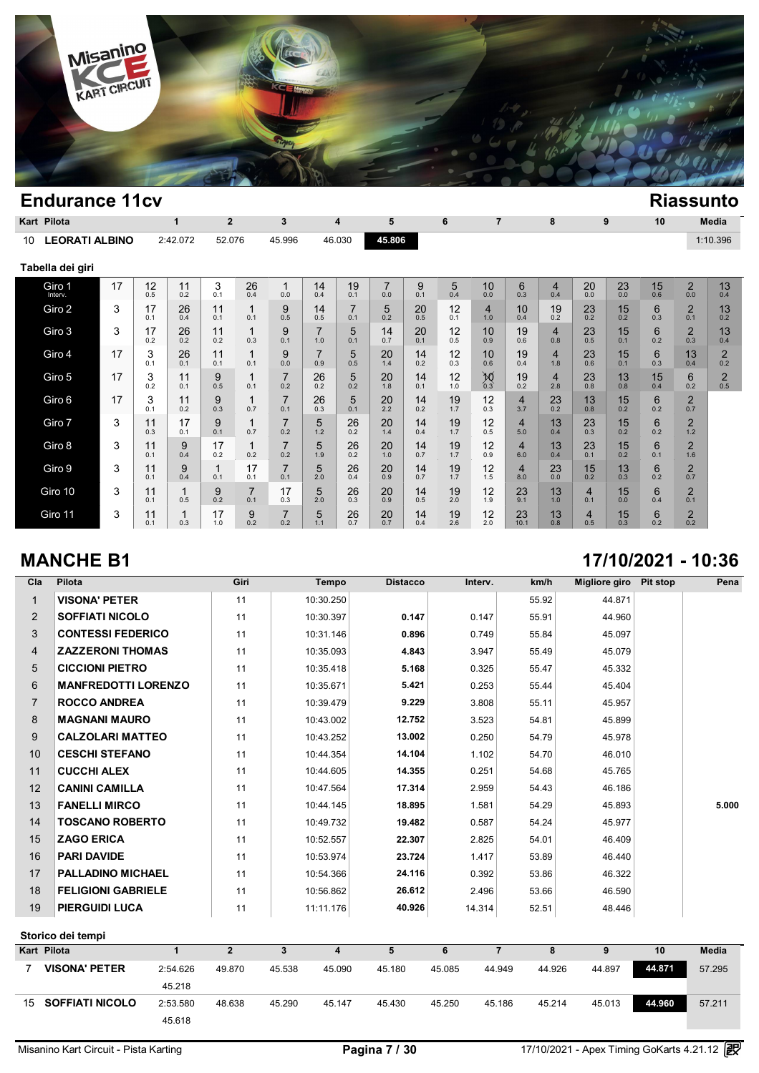

|    | Kart Pilota           |    |           | 1         | $\overline{2}$        |                       | 3                     |           | 4                     | 5                     |           | 6         | 7                     |                       | 8                     |                       | 9         | 10        |                       | Media                 |
|----|-----------------------|----|-----------|-----------|-----------------------|-----------------------|-----------------------|-----------|-----------------------|-----------------------|-----------|-----------|-----------------------|-----------------------|-----------------------|-----------------------|-----------|-----------|-----------------------|-----------------------|
| 10 | <b>LEORATI ALBINO</b> |    |           | 2:42.072  | 52.076                |                       | 45.996                |           | 46.030                | 45.806                |           |           |                       |                       |                       |                       |           |           |                       | 1:10.396              |
|    | Tabella dei giri      |    |           |           |                       |                       |                       |           |                       |                       |           |           |                       |                       |                       |                       |           |           |                       |                       |
|    | Giro 1<br>Interv.     | 17 | 12<br>0.5 | 11<br>0.2 | 3<br>0.1              | 26<br>0.4             | 1<br>0.0              | 14<br>0.4 | 19<br>0.1             | $\overline{7}$<br>0.0 | 9<br>0.1  | 5<br>0.4  | 10<br>0.0             | 6<br>0.3              | $\overline{4}$<br>0.4 | 20<br>0.0             | 23<br>0.0 | 15<br>0.6 | $\overline{2}$<br>0.0 | 13<br>0.4             |
|    | Giro 2                | 3  | 17<br>0.1 | 26<br>0.4 | 11<br>0.1             | 1<br>0.1              | 9<br>0.5              | 14<br>0.5 | $\overline{7}$<br>0.1 | 5<br>0.2              | 20<br>0.5 | 12<br>0.1 | $\overline{4}$<br>1.0 | 10<br>0.4             | 19<br>0.2             | 23<br>0.2             | 15<br>0.2 | 6<br>0.3  | $\overline{2}$<br>0.1 | 13<br>0.2             |
|    | Giro 3                | 3  | 17<br>0.2 | 26<br>0.2 | 11<br>0.2             | 1<br>0.3              | 9<br>0.1              | 7<br>1.0  | 5<br>0.1              | 14<br>0.7             | 20<br>0.1 | 12<br>0.5 | 10<br>0.9             | 19<br>0.6             | 4<br>0.8              | 23<br>0.5             | 15<br>0.1 | 6<br>0.2  | $\overline{2}$<br>0.3 | 13<br>0.4             |
|    | Giro 4                | 17 | 3<br>0.1  | 26<br>0.1 | 11<br>0.1             | 1<br>0.1              | 9<br>0.0              | 7<br>0.9  | 5<br>0.5              | 20<br>1.4             | 14<br>0.2 | 12<br>0.3 | 10<br>0.6             | 19<br>0.4             | 4<br>1.8              | 23<br>0.6             | 15<br>0.1 | 6<br>0.3  | 13<br>0.4             | $\overline{2}$<br>0.2 |
|    | Giro 5                | 17 | 3<br>0.2  | 11<br>0.1 | 9<br>0.5              | 1<br>0.1              | $\overline{7}$<br>0.2 | 26<br>0.2 | 5<br>0.2              | 20<br>1.8             | 14<br>0.1 | 12<br>1.0 | $\sum_{0.3}$          | 19<br>0.2             | 4<br>2.8              | 23<br>0.8             | 13<br>0.8 | 15<br>0.4 | 6<br>0.2              | $\overline{2}$<br>0.5 |
|    | Giro 6                | 17 | 3<br>0.1  | 11<br>0.2 | 9<br>0.3              | 1<br>0.7              | $\overline{7}$<br>0.1 | 26<br>0.3 | 5<br>0.1              | 20<br>2.2             | 14<br>0.2 | 19<br>1.7 | 12<br>0.3             | $\overline{4}$<br>3.7 | 23<br>0.2             | 13<br>0.8             | 15<br>0.2 | 6<br>0.2  | $\overline{2}$<br>0.7 |                       |
|    | Giro 7                | 3  | 11<br>0.3 | 17<br>0.1 | 9<br>0.1              | 1<br>0.7              | $\overline{7}$<br>0.2 | 5<br>1.2  | 26<br>0.2             | 20<br>1.4             | 14<br>0.4 | 19<br>1.7 | 12<br>0.5             | $\overline{4}$<br>5.0 | 13<br>0.4             | 23<br>0.3             | 15<br>0.2 | 6<br>0.2  | $\overline{2}$<br>1.2 |                       |
|    | Giro 8                | 3  | 11<br>0.1 | 9<br>0.4  | 17<br>0.2             | 1<br>0.2              | 7<br>0.2              | 5<br>1.9  | 26<br>0.2             | 20<br>1.0             | 14<br>0.7 | 19<br>1.7 | 12<br>0.9             | $\overline{4}$<br>6.0 | 13<br>0.4             | 23<br>0.1             | 15<br>0.2 | 6<br>0.1  | $\overline{2}$<br>1.6 |                       |
|    | Giro 9                | 3  | 11<br>0.1 | 9<br>0.4  | $\overline{1}$<br>0.1 | 17<br>0.1             | 7<br>0.1              | 5<br>2.0  | 26<br>0.4             | 20<br>0.9             | 14<br>0.7 | 19<br>1.7 | 12<br>1.5             | $\overline{4}$<br>8.0 | 23<br>0.0             | 15<br>0.2             | 13<br>0.3 | 6<br>0.2  | $\overline{2}$<br>0.7 |                       |
|    | Giro 10               | 3  | 11<br>0.1 | 1<br>0.5  | 9<br>0.2              | $\overline{7}$<br>0.1 | 17<br>0.3             | 5<br>2.0  | 26<br>0.3             | 20<br>0.9             | 14<br>0.5 | 19<br>2.0 | 12<br>1.9             | 23<br>9.1             | 13<br>1.0             | $\overline{4}$<br>0.1 | 15<br>0.0 | 6<br>0.4  | $\overline{2}$<br>0.1 |                       |
|    | Giro 11               | 3  | 11<br>0.1 | 0.3       | 17<br>1.0             | 9<br>0.2              | $\overline{7}$<br>0.2 | 5<br>1.1  | 26<br>0.7             | 20<br>0.7             | 14<br>0.4 | 19<br>2.6 | 12<br>2.0             | 23<br>10.1            | 13<br>0.8             | 4<br>0.5              | 15<br>0.3 | 6<br>0.2  | $\overline{2}$<br>0.2 |                       |

### **MANCHE B1 17/10/2021 - 10:36**

| Cla            | Pilota                     | Giri | <b>Tempo</b> | <b>Distacco</b> | Interv. | km/h  | Migliore giro | <b>Pit stop</b> | Pena                      |
|----------------|----------------------------|------|--------------|-----------------|---------|-------|---------------|-----------------|---------------------------|
| $\mathbf{1}$   | <b>VISONA' PETER</b>       | 11   | 10:30.250    |                 |         | 55.92 | 44.871        |                 |                           |
| 2              | <b>SOFFIATI NICOLO</b>     | 11   | 10:30.397    | 0.147           | 0.147   | 55.91 | 44.960        |                 |                           |
| 3              | <b>CONTESSI FEDERICO</b>   | 11   | 10:31.146    | 0.896           | 0.749   | 55.84 | 45.097        |                 |                           |
| 4              | <b>ZAZZERONI THOMAS</b>    | 11   | 10:35.093    | 4.843           | 3.947   | 55.49 | 45.079        |                 |                           |
| 5              | <b>CICCIONI PIETRO</b>     | 11   | 10:35.418    | 5.168           | 0.325   | 55.47 | 45.332        |                 |                           |
| 6              | <b>MANFREDOTTI LORENZO</b> | 11   | 10:35.671    | 5.421           | 0.253   | 55.44 | 45.404        |                 |                           |
| $\overline{7}$ | <b>ROCCO ANDREA</b>        | 11   | 10:39.479    | 9.229           | 3.808   | 55.11 | 45.957        |                 |                           |
| 8              | <b>MAGNANI MAURO</b>       | 11   | 10:43.002    | 12.752          | 3.523   | 54.81 | 45.899        |                 |                           |
| 9              | <b>CALZOLARI MATTEO</b>    | 11   | 10:43.252    | 13.002          | 0.250   | 54.79 | 45.978        |                 |                           |
| 10             | <b>CESCHI STEFANO</b>      | 11   | 10:44.354    | 14.104          | 1.102   | 54.70 | 46.010        |                 |                           |
| 11             | <b>CUCCHI ALEX</b>         | 11   | 10:44.605    | 14.355          | 0.251   | 54.68 | 45.765        |                 |                           |
| 12             | <b>CANINI CAMILLA</b>      | 11   | 10:47.564    | 17.314          | 2.959   | 54.43 | 46.186        |                 |                           |
| 13             | <b>FANELLI MIRCO</b>       | 11   | 10:44.145    | 18.895          | 1.581   | 54.29 | 45.893        |                 | 5.000                     |
| 14             | <b>TOSCANO ROBERTO</b>     | 11   | 10:49.732    | 19.482          | 0.587   | 54.24 | 45.977        |                 |                           |
| 15             | <b>ZAGO ERICA</b>          | 11   | 10:52.557    | 22.307          | 2.825   | 54.01 | 46.409        |                 |                           |
| 16             | <b>PARI DAVIDE</b>         | 11   | 10:53.974    | 23.724          | 1.417   | 53.89 | 46.440        |                 |                           |
| 17             | <b>PALLADINO MICHAEL</b>   | 11   | 10:54.366    | 24.116          | 0.392   | 53.86 | 46.322        |                 |                           |
| 18             | <b>FELIGIONI GABRIELE</b>  | 11   | 10:56.862    | 26.612          | 2.496   | 53.66 | 46.590        |                 |                           |
| 19             | <b>PIERGUIDI LUCA</b>      | 11   | 11:11.176    | 40.926          | 14.314  | 52.51 | 48.446        |                 |                           |
|                | Storico dei tempi          |      |              |                 |         |       |               | $\overline{a}$  | $\mathbf{r} = \mathbf{r}$ |

| Kart Pilota               |          |        |        | 4      | 5      | 6      |        | 8      |        | 10     | <b>Media</b> |
|---------------------------|----------|--------|--------|--------|--------|--------|--------|--------|--------|--------|--------------|
| <b>VISONA' PETER</b>      | 2:54.626 | 49.870 | 45.538 | 45.090 | 45.180 | 45.085 | 44.949 | 44.926 | 44.897 | 44.871 | 57.295       |
|                           | 45.218   |        |        |        |        |        |        |        |        |        |              |
| <b>15 SOFFIATI NICOLO</b> | 2:53.580 | 48.638 | 45.290 | 45.147 | 45.430 | 45.250 | 45.186 | 45.214 | 45.013 | 44.960 | 57.211       |
|                           | 45.618   |        |        |        |        |        |        |        |        |        |              |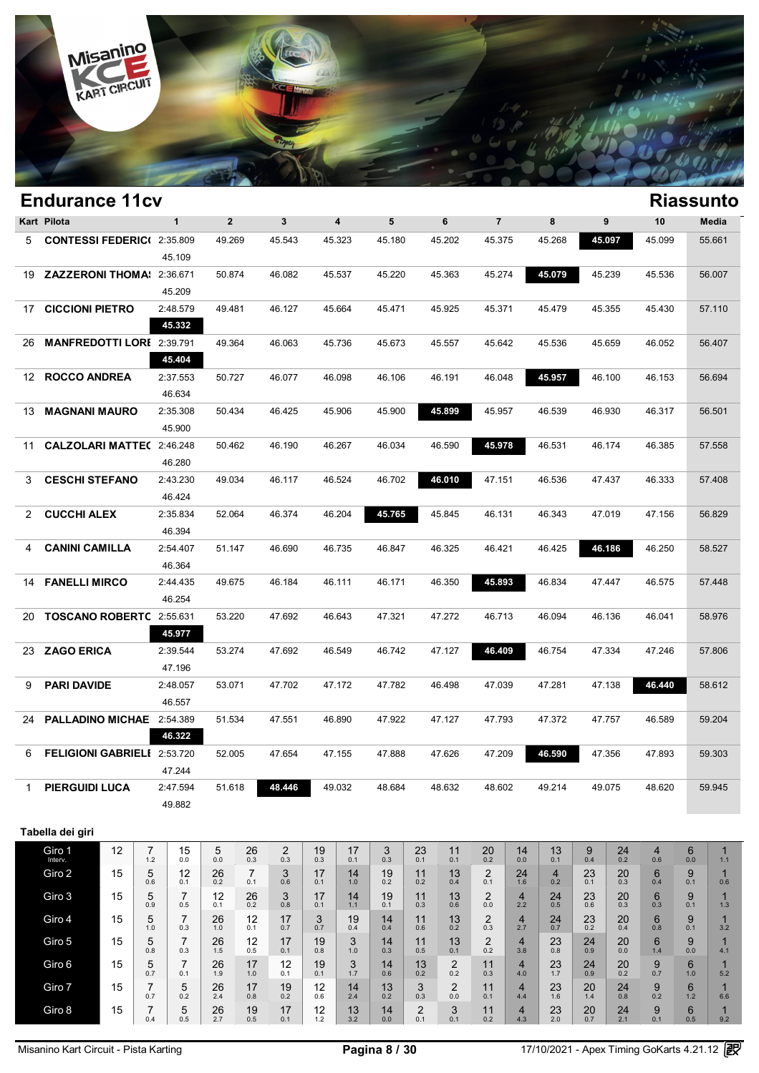

|              | <b>Endurance 11cv</b>              |              |              |              |                         |        |        |                |        |        |        | <b>Riassunto</b> |
|--------------|------------------------------------|--------------|--------------|--------------|-------------------------|--------|--------|----------------|--------|--------|--------|------------------|
|              | Kart Pilota                        | $\mathbf{1}$ | $\mathbf{2}$ | $\mathbf{3}$ | $\overline{\mathbf{4}}$ | 5      | 6      | $\overline{7}$ | 8      | 9      | 10     | <b>Media</b>     |
| 5            | <b>CONTESSI FEDERIC(2:35.809</b>   |              | 49.269       | 45.543       | 45.323                  | 45.180 | 45.202 | 45.375         | 45.268 | 45.097 | 45.099 | 55.661           |
|              |                                    | 45.109       |              |              |                         |        |        |                |        |        |        |                  |
| 19           | ZAZZERONI THOMA: 2:36.671          |              | 50.874       | 46.082       | 45.537                  | 45.220 | 45.363 | 45.274         | 45.079 | 45.239 | 45.536 | 56.007           |
|              |                                    | 45.209       |              |              |                         |        |        |                |        |        |        |                  |
| 17           | <b>CICCIONI PIETRO</b>             | 2:48.579     | 49.481       | 46.127       | 45.664                  | 45.471 | 45.925 | 45.371         | 45.479 | 45.355 | 45.430 | 57.110           |
|              |                                    | 45.332       |              |              |                         |        |        |                |        |        |        |                  |
| 26           | <b>MANFREDOTTI LORI</b> 2:39.791   |              | 49.364       | 46.063       | 45.736                  | 45.673 | 45.557 | 45.642         | 45.536 | 45.659 | 46.052 | 56.407           |
|              |                                    | 45.404       |              |              |                         |        |        |                |        |        |        |                  |
|              | 12 ROCCO ANDREA                    | 2:37.553     | 50.727       | 46.077       | 46.098                  | 46.106 | 46.191 | 46.048         | 45.957 | 46.100 | 46.153 | 56.694           |
|              |                                    | 46.634       |              |              |                         |        |        |                |        |        |        |                  |
| 13           | <b>MAGNANI MAURO</b>               | 2:35.308     | 50.434       | 46.425       | 45.906                  | 45.900 | 45.899 | 45.957         | 46.539 | 46.930 | 46.317 | 56.501           |
|              |                                    | 45.900       |              |              |                         |        |        |                |        |        |        |                  |
| 11           | <b>CALZOLARI MATTE(2:46.248</b>    |              | 50.462       | 46.190       | 46.267                  | 46.034 | 46.590 | 45.978         | 46.531 | 46.174 | 46.385 | 57.558           |
|              |                                    | 46.280       |              |              |                         |        |        |                |        |        |        |                  |
| 3            | <b>CESCHI STEFANO</b>              | 2:43.230     | 49.034       | 46.117       | 46.524                  | 46.702 | 46.010 | 47.151         | 46.536 | 47.437 | 46.333 | 57.408           |
|              |                                    | 46.424       |              |              |                         |        |        |                |        |        |        |                  |
| $\mathbf{2}$ | <b>CUCCHI ALEX</b>                 | 2:35.834     | 52.064       | 46.374       | 46.204                  | 45.765 | 45.845 | 46.131         | 46.343 | 47.019 | 47.156 | 56.829           |
|              |                                    | 46.394       |              |              |                         |        |        |                |        |        |        |                  |
| 4            | <b>CANINI CAMILLA</b>              | 2:54.407     | 51.147       | 46.690       | 46.735                  | 46.847 | 46.325 | 46.421         | 46.425 | 46.186 | 46.250 | 58.527           |
|              |                                    | 46.364       |              |              |                         |        |        |                |        |        |        |                  |
|              | <b>14 FANELLI MIRCO</b>            | 2:44.435     | 49.675       | 46.184       | 46.111                  | 46.171 | 46.350 | 45.893         | 46.834 | 47.447 | 46.575 | 57.448           |
|              |                                    | 46.254       |              |              |                         |        |        |                |        |        |        |                  |
| 20           | TOSCANO ROBERTC 2:55.631           |              | 53.220       | 47.692       | 46.643                  | 47.321 | 47.272 | 46.713         | 46.094 | 46.136 | 46.041 | 58.976           |
|              |                                    | 45.977       |              |              |                         |        |        |                |        |        |        |                  |
|              | 23 ZAGO ERICA                      | 2:39.544     | 53.274       | 47.692       | 46.549                  | 46.742 | 47.127 | 46.409         | 46.754 | 47.334 | 47.246 | 57.806           |
|              |                                    | 47.196       |              |              |                         |        |        |                |        |        |        |                  |
| 9            | <b>PARI DAVIDE</b>                 | 2:48.057     | 53.071       | 47.702       | 47.172                  | 47.782 | 46.498 | 47.039         | 47.281 | 47.138 | 46.440 | 58.612           |
|              |                                    | 46.557       |              |              |                         |        |        |                |        |        |        |                  |
| 24           | PALLADINO MICHAE 2:54.389          |              | 51.534       | 47.551       | 46.890                  | 47.922 | 47.127 | 47.793         | 47.372 | 47.757 | 46.589 | 59.204           |
|              |                                    | 46.322       |              |              |                         |        |        |                |        |        |        |                  |
| 6            | <b>FELIGIONI GABRIELI 2:53.720</b> |              | 52.005       | 47.654       | 47.155                  | 47.888 | 47.626 | 47.209         | 46.590 | 47.356 | 47.893 | 59.303           |
|              |                                    | 47.244       |              |              |                         |        |        |                |        |        |        |                  |
| $\mathbf{1}$ | <b>PIERGUIDI LUCA</b>              | 2:47.594     | 51.618       | 48.446       | 49.032                  | 48.684 | 48.632 | 48.602         | 49.214 | 49.075 | 48.620 | 59.945           |
|              |                                    | 49.882       |              |              |                         |        |        |                |        |        |        |                  |
|              |                                    |              |              |              |                         |        |        |                |        |        |        |                  |
|              | Tabella dei giri                   |              |              |              |                         |        |        |                |        |        |        |                  |

| Giro 1<br>Interv. | 12 | -<br>1.2 | 15<br>0.0 | 5<br>0.0  | 26<br>0.3             | 2<br>0.3  | 19<br>0.3 | 17<br>0.1 | 3<br>0.3  | 23<br>0.1     | 11<br>0.1     | 20<br>0.2     | 14<br>0.0 | 13<br>0.1 | 9<br>0.4  | 24<br>0.2 | 4<br>0.6 | 6<br>0.0 | 1.1 |
|-------------------|----|----------|-----------|-----------|-----------------------|-----------|-----------|-----------|-----------|---------------|---------------|---------------|-----------|-----------|-----------|-----------|----------|----------|-----|
| Giro 2            | 15 | 5<br>0.6 | 12<br>0.1 | 26<br>0.2 | $\overline{ }$<br>0.1 | 3<br>0.6  | 17<br>0.1 | 14<br>1.0 | 19<br>0.2 | 11<br>0.2     | 13<br>0.4     | 2<br>0.1      | 24<br>1.6 | 4<br>0.2  | 23<br>0.1 | 20<br>0.3 | 6<br>0.4 | 9<br>0.1 | 0.6 |
| Giro 3            | 15 | 5<br>0.9 | 0.5       | 12<br>0.1 | 26<br>0.2             | 3<br>0.8  | 17<br>0.1 | 14<br>1.1 | 19<br>0.1 | 11<br>0.3     | 13<br>0.6     | ◠<br>∠<br>0.0 | 4<br>2.2  | 24<br>0.5 | 23<br>0.6 | 20<br>0.3 | 6<br>0.3 | 9<br>0.1 | 1.3 |
| Giro 4            | 15 | 5<br>1.0 | 0.3       | 26<br>1.0 | 12<br>0.1             | 17<br>0.7 | 3<br>0.7  | 19<br>0.4 | 14<br>0.4 | 11<br>0.6     | 13<br>0.2     | ◠<br>∠<br>0.3 | 4<br>2.7  | 24<br>0.7 | 23<br>0.2 | 20<br>0.4 | 6<br>0.8 | 9<br>0.1 | 3.2 |
| Giro 5            | 15 | 5<br>0.8 | 0.3       | 26<br>1.5 | 12<br>0.5             | 17<br>0.1 | 19<br>0.8 | 3<br>1.0  | 14<br>0.3 | 11<br>0.5     | 13<br>0.1     | ◠<br>∠<br>0.2 | 4<br>3.8  | 23<br>0.8 | 24<br>0.9 | 20<br>0.0 | 6<br>1.4 | 9<br>0.0 | 4.1 |
| Giro 6            | 15 | 5<br>0.7 | 0.1       | 26<br>1.9 | 17<br>1.0             | 12<br>0.1 | 19<br>0.1 | 3<br>1.7  | 14<br>0.6 | 13<br>0.2     | C<br>ے<br>0.2 | 11<br>0.3     | 4<br>4.0  | 23<br>1.7 | 24<br>0.9 | 20<br>0.2 | 9<br>0.7 | 6<br>1.0 | 5.2 |
| Giro 7            | 15 | ⇁<br>0.7 | 5<br>0.2  | 26<br>2.4 | 17<br>0.8             | 19<br>0.2 | 12<br>0.6 | 14<br>2.4 | 13<br>0.2 | 3<br>0.3      | C<br>∠<br>0.0 | 11<br>0.1     | 4<br>4.4  | 23<br>1.6 | 20<br>1.4 | 24<br>0.8 | 9<br>0.2 | 6<br>1.2 | 6.6 |
| Giro 8            | 15 | 0.4      | 5<br>0.5  | 26<br>2.7 | 19<br>0.5             | 17<br>0.1 | 12<br>1.2 | 13<br>3.2 | 14<br>0.0 | C<br>ے<br>0.1 | 3<br>0.1      | 11<br>0.2     | 4<br>4.3  | 23<br>2.0 | 20<br>0.7 | 24<br>2.1 | 9<br>0.1 | 6<br>0.5 | 9.2 |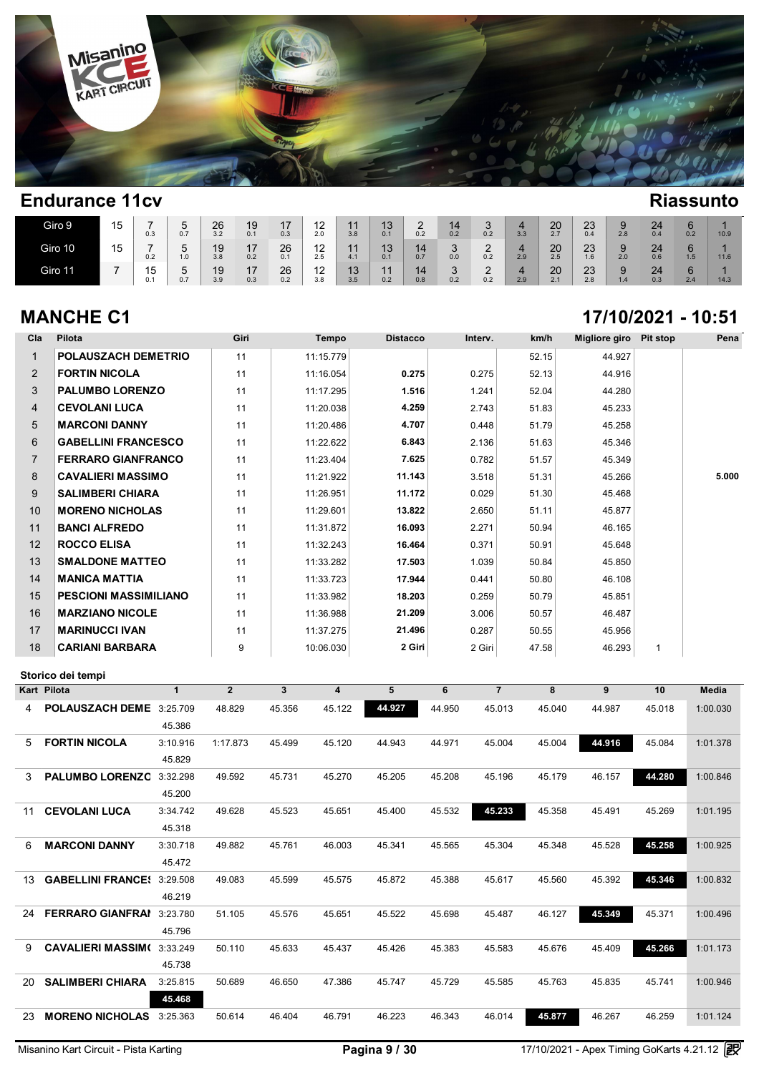

| Giro 9  | . .<br>15       | -<br>0.3              | $\sim$<br>0.7 | 26<br>3.2 | 19<br>0.1 | . .<br>0.3 | $\sim$<br>. .<br>2.0     | 44<br>3.8        | 40 <sup>7</sup><br>◡<br>0.1 | ⌒<br>0.2  | 0.2 | 0.2      | 3.3 | 20<br>2.7                              | $\Omega$<br>ںے<br>0.4 | 2.8 | 24<br>0.4 | 0.2 | 10.9 |
|---------|-----------------|-----------------------|---------------|-----------|-----------|------------|--------------------------|------------------|-----------------------------|-----------|-----|----------|-----|----------------------------------------|-----------------------|-----|-----------|-----|------|
| Giro 10 | . .<br>י<br>ن ا | 0.2                   | -<br>∽<br>1.0 | 19<br>3.8 | 17<br>0.2 | 26<br>0.1  | ៱<br>.<br>2.5            | 44<br>4.1        | 12<br>ι∪<br>0.1             | 0.7       | 0.0 | -<br>0.2 | 2.9 | 20<br>2.5                              | $\Omega$<br>ںے<br>1.6 | 2.0 | 24<br>0.6 | 1.5 | 11.6 |
| Giro 11 |                 | $\cdot$<br>ں ו<br>0.1 | 0.7           | 19<br>3.9 | 47<br>0.3 | 26<br>0.2  | $\sqrt{2}$<br>. .<br>3.8 | 12<br>ט ו<br>3.5 | 0.2                         | 14<br>0.8 | 0.2 | -<br>0.2 | 2.9 | 20<br>$\sim$ $\lambda$<br>$\epsilon$ . | $\Omega$<br>ںے<br>2.8 | 1.4 | 24<br>0.3 | 2.4 | 14.3 |

### **MANCHE C1 17/10/2021 - 10:51**

| Cla            | Pilota                                     | Giri           | <b>Tempo</b>                            | <b>Distacco</b> | Interv. | km/h                | <b>Migliore giro</b> | <b>Pit stop</b> | Pena         |
|----------------|--------------------------------------------|----------------|-----------------------------------------|-----------------|---------|---------------------|----------------------|-----------------|--------------|
| $\mathbf{1}$   | <b>POLAUSZACH DEMETRIO</b>                 | 11             | 11:15.779                               |                 |         | 52.15               | 44.927               |                 |              |
| $\overline{2}$ | <b>FORTIN NICOLA</b>                       | 11             | 11:16.054                               | 0.275           | 0.275   | 52.13               | 44.916               |                 |              |
| 3              | <b>PALUMBO LORENZO</b>                     | 11             | 11:17.295                               | 1.516           | 1.241   | 52.04               | 44.280               |                 |              |
| 4              | <b>CEVOLANI LUCA</b>                       | 11             | 11:20.038                               | 4.259           | 2.743   | 51.83               | 45.233               |                 |              |
| 5              | <b>MARCONI DANNY</b>                       | 11             | 11:20.486                               | 4.707           | 0.448   | 51.79               | 45.258               |                 |              |
| 6              | <b>GABELLINI FRANCESCO</b>                 | 11             | 11:22.622                               | 6.843           | 2.136   | 51.63               | 45.346               |                 |              |
| $\overline{7}$ | <b>FERRARO GIANFRANCO</b>                  | 11             | 11:23.404                               | 7.625           | 0.782   | 51.57               | 45.349               |                 |              |
| 8              | <b>CAVALIERI MASSIMO</b>                   | 11             | 11:21.922                               | 11.143          | 3.518   | 51.31               | 45.266               |                 | 5.000        |
| 9              | <b>SALIMBERI CHIARA</b>                    | 11             | 11:26.951                               | 11.172          | 0.029   | 51.30               | 45.468               |                 |              |
| 10             | <b>MORENO NICHOLAS</b>                     | 11             | 11:29.601                               | 13.822          | 2.650   | 51.11               | 45.877               |                 |              |
| 11             | <b>BANCI ALFREDO</b>                       | 11             | 11:31.872                               | 16.093          | 2.271   | 50.94               | 46.165               |                 |              |
| 12             | <b>ROCCO ELISA</b>                         | 11             | 11:32.243                               | 16.464          | 0.371   | 50.91               | 45.648               |                 |              |
| 13             | <b>SMALDONE MATTEO</b>                     | 11             | 11:33.282                               | 17.503          | 1.039   | 50.84               | 45.850               |                 |              |
| 14             | <b>MANICA MATTIA</b>                       | 11             | 11:33.723                               | 17.944          | 0.441   | 50.80               | 46.108               |                 |              |
| 15             | <b>PESCIONI MASSIMILIANO</b>               | 11             | 11:33.982                               | 18.203          | 0.259   | 50.79               | 45.851               |                 |              |
| 16             | <b>MARZIANO NICOLE</b>                     | 11             | 11:36.988                               | 21.209          | 3.006   | 50.57               | 46.487               |                 |              |
| 17             | <b>MARINUCCI IVAN</b>                      | 11             | 11:37.275                               | 21.496          | 0.287   | 50.55               | 45.956               |                 |              |
| 18             | <b>CARIANI BARBARA</b>                     | 9              | 10:06.030                               | 2 Giri          | 2 Giri  | 47.58               | 46.293               | 1               |              |
|                | Storico dei tempi                          |                |                                         |                 |         |                     |                      |                 |              |
|                |                                            |                |                                         |                 |         |                     |                      |                 |              |
|                | Kart Pilota<br>$\mathbf{1}$                | $\overline{2}$ | $\mathbf{3}$<br>$\overline{\mathbf{4}}$ | 5               | 6       | $\overline{7}$<br>8 | 9                    | 10              | <b>Media</b> |
|                |                                            |                |                                         |                 |         |                     |                      |                 |              |
| 4              | POLAUSZACH DEME 3:25.709                   | 48.829         | 45.122<br>45.356                        | 44.927          | 44.950  | 45.040<br>45.013    | 44.987               | 45.018          | 1:00.030     |
|                | 45.386                                     |                |                                         |                 |         |                     |                      |                 |              |
| 5              | <b>FORTIN NICOLA</b><br>3:10.916<br>45.829 | 1:17.873       | 45.499<br>45.120                        | 44.943          | 44.971  | 45.004<br>45.004    | 44.916               | 45.084          | 1:01.378     |
| 3              |                                            | 49.592         | 45.270<br>45.731                        | 45.205          | 45.208  | 45.196<br>45.179    | 46.157               | 44.280          | 1:00.846     |
|                | PALUMBO LORENZC 3:32.298<br>45.200         |                |                                         |                 |         |                     |                      |                 |              |
| 11             | <b>CEVOLANI LUCA</b><br>3:34.742           | 49.628         | 45.651<br>45.523                        | 45.400          | 45.532  | 45.233<br>45.358    | 45.491               | 45.269          | 1:01.195     |
|                | 45.318                                     |                |                                         |                 |         |                     |                      |                 |              |
| 6              | <b>MARCONI DANNY</b><br>3:30.718           | 49.882         | 46.003<br>45.761                        | 45.341          | 45.565  | 45.304<br>45.348    | 45.528               | 45.258          | 1:00.925     |
|                | 45.472                                     |                |                                         |                 |         |                     |                      |                 |              |
| 13             | <b>GABELLINI FRANCE: 3:29.508</b>          | 49.083         | 45.599<br>45.575                        | 45.872          | 45.388  | 45.617<br>45.560    | 45.392               | 45.346          | 1:00.832     |
|                | 46.219                                     |                |                                         |                 |         |                     |                      |                 |              |
|                | 24 <b>FERRARO GIANFRAI</b> 3:23.780        | 51.105         | 45.576<br>45.651                        | 45.522          | 45.698  | 46.127<br>45.487    | 45.349               | 45.371          | 1:00.496     |
|                | 45.796                                     |                |                                         |                 |         |                     |                      |                 |              |
|                | 9 CAVALIERI MASSIM(3:33.249                | 50.110         | 45.633<br>45.437                        | 45.426          | 45.383  | 45.583<br>45.676    | 45.409               | 45.266          | 1:01.173     |
|                | 45.738                                     |                |                                         |                 |         |                     |                      |                 |              |
|                | 20 SALIMBERI CHIARA<br>3:25.815            | 50.689         | 46.650<br>47.386                        | 45.747          | 45.729  | 45.585<br>45.763    | 45.835               | 45.741          | 1:00.946     |
|                | 45.468                                     |                |                                         |                 |         |                     |                      |                 |              |
|                | 23 MORENO NICHOLAS 3:25.363                | 50.614         | 46.791<br>46.404                        | 46.223          | 46.343  | 45.877<br>46.014    | 46.267               | 46.259          | 1:01.124     |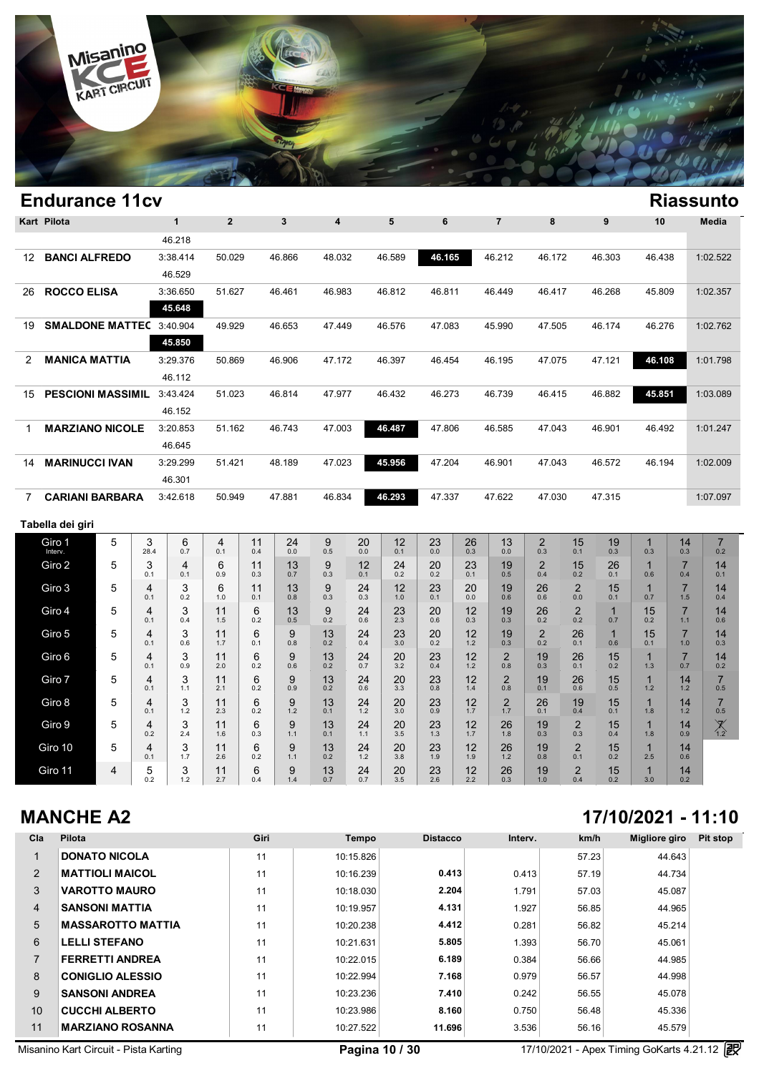

|                | <b>Endurance 11cv</b>           |   |                       |                |                |           |           |                         |           |           |           |           |                       |                       |                       |                     |                       |                       | <b>Riassunto</b>      |
|----------------|---------------------------------|---|-----------------------|----------------|----------------|-----------|-----------|-------------------------|-----------|-----------|-----------|-----------|-----------------------|-----------------------|-----------------------|---------------------|-----------------------|-----------------------|-----------------------|
|                | <b>Kart Pilota</b>              |   |                       | $\mathbf{1}$   | $\overline{2}$ |           | 3         | $\overline{\mathbf{4}}$ |           | 5         | 6         |           | $\overline{7}$        | 8                     |                       | 9                   | 10                    |                       | <b>Media</b>          |
|                |                                 |   |                       | 46.218         |                |           |           |                         |           |           |           |           |                       |                       |                       |                     |                       |                       |                       |
| 12             | <b>BANCI ALFREDO</b>            |   |                       | 3:38.414       | 50.029         |           | 46.866    | 48.032                  |           | 46.589    | 46.165    |           | 46.212                | 46.172                |                       | 46.303              | 46.438                |                       | 1:02.522              |
|                |                                 |   |                       | 46.529         |                |           |           |                         |           |           |           |           |                       |                       |                       |                     |                       |                       |                       |
| 26             | <b>ROCCO ELISA</b>              |   |                       | 3:36.650       | 51.627         |           | 46.461    | 46.983                  |           | 46.812    | 46.811    |           | 46.449                | 46.417                |                       | 46.268              | 45.809                |                       | 1:02.357              |
|                |                                 |   |                       | 45.648         |                |           |           |                         |           |           |           |           |                       |                       |                       |                     |                       |                       |                       |
| 19             | <b>SMALDONE MATTEC 3:40.904</b> |   |                       | 45.850         | 49.929         |           | 46.653    | 47.449                  |           | 46.576    | 47.083    |           | 45.990                | 47.505                |                       | 46.174              | 46.276                |                       | 1:02.762              |
| $\overline{2}$ | <b>MANICA MATTIA</b>            |   |                       | 3:29.376       | 50.869         |           | 46.906    | 47.172                  |           | 46.397    | 46.454    |           | 46.195                | 47.075                |                       | 47.121              | 46.108                |                       | 1:01.798              |
|                |                                 |   |                       | 46.112         |                |           |           |                         |           |           |           |           |                       |                       |                       |                     |                       |                       |                       |
| 15             | <b>PESCIONI MASSIMIL</b>        |   |                       | 3:43.424       | 51.023         |           | 46.814    | 47.977                  |           | 46.432    | 46.273    |           | 46.739                | 46.415                |                       | 46.882              | 45.851                |                       | 1:03.089              |
|                |                                 |   |                       | 46.152         |                |           |           |                         |           |           |           |           |                       |                       |                       |                     |                       |                       |                       |
| $\mathbf{1}$   | <b>MARZIANO NICOLE</b>          |   |                       | 3:20.853       | 51.162         |           | 46.743    | 47.003                  |           | 46.487    | 47.806    |           | 46.585                | 47.043                |                       | 46.901              | 46.492                |                       | 1:01.247              |
|                |                                 |   |                       | 46.645         |                |           |           |                         |           |           |           |           |                       |                       |                       |                     |                       |                       |                       |
| 14             | <b>MARINUCCI IVAN</b>           |   |                       | 3:29.299       | 51.421         |           | 48.189    | 47.023                  |           | 45.956    | 47.204    |           | 46.901                | 47.043                |                       | 46.572              | 46.194                |                       | 1:02.009              |
|                |                                 |   |                       | 46.301         |                |           |           |                         |           |           |           |           |                       |                       |                       |                     |                       |                       |                       |
| $\overline{7}$ | <b>CARIANI BARBARA</b>          |   |                       | 3:42.618       | 50.949         |           | 47.881    | 46.834                  |           | 46.293    | 47.337    |           | 47.622                | 47.030                |                       | 47.315              |                       |                       | 1:07.097              |
|                | Tabella dei giri                |   |                       |                |                |           |           |                         |           |           |           |           |                       |                       |                       |                     |                       |                       |                       |
|                | Giro 1<br>Interv.               | 5 | 3<br>28.4             | 6<br>0.7       | 4<br>0.1       | 11<br>0.4 | 24<br>0.0 | 9<br>0.5                | 20<br>0.0 | 12<br>0.1 | 23<br>0.0 | 26<br>0.3 | 13<br>0.0             | $\overline{2}$<br>0.3 | 15<br>0.1             | 19<br>0.3           | $\mathbf{1}$<br>0.3   | 14<br>0.3             | $\overline{7}$<br>0.2 |
|                | Giro 2                          | 5 | 3                     | $\overline{4}$ | 6              | 11        | 13        | 9                       | 12        | 24        | 20        | 23        | 19                    | $\overline{2}$        | 15                    | 26                  | $\mathbf{1}$          | $\overline{7}$        | 14                    |
|                | Giro 3                          | 5 | 0.1<br>4              | 0.1<br>3       | 0.9<br>6       | 0.3<br>11 | 0.7<br>13 | 0.3<br>9                | 0.1<br>24 | 0.2<br>12 | 0.2<br>23 | 0.1<br>20 | 0.5<br>19             | 0.4<br>26             | 0.2<br>$\overline{2}$ | 0.1<br>15           | 0.6<br>$\overline{1}$ | 0.4<br>$\overline{7}$ | 0.1<br>14             |
|                |                                 |   | 0.1                   | 0.2            | 1.0            | 0.1       | 0.8       | 0.3                     | 0.3       | $1.0\,$   | 0.1       | 0.0       | 0.6                   | 0.6                   | 0.0                   | 0.1                 | 0.7                   | 1.5                   | 0.4                   |
|                | Giro 4                          | 5 | 4<br>0.1              | 3<br>0.4       | 11<br>1.5      | 6<br>0.2  | 13<br>0.5 | 9<br>0.2                | 24<br>0.6 | 23<br>2.3 | 20<br>0.6 | 12<br>0.3 | 19<br>0.3             | 26<br>0.2             | $\overline{2}$<br>0.2 | $\mathbf{1}$<br>0.7 | 15<br>0.2             | $\overline{7}$<br>1.1 | 14<br>0.6             |
|                | Giro 5                          | 5 | $\overline{4}$<br>0.1 | 3<br>0.6       | 11<br>1.7      | 6<br>0.1  | 9<br>0.8  | 13<br>0.2               | 24<br>0.4 | 23<br>3.0 | 20<br>0.2 | 12<br>1.2 | 19<br>0.3             | $\overline{2}$<br>0.2 | 26<br>0.1             | $\mathbf{1}$<br>0.6 | 15<br>0.1             | $\overline{7}$<br>1.0 | 14<br>0.3             |
|                | Giro 6                          | 5 | $\overline{4}$        | 3              | 11             | 6         | 9         | 13                      | 24        | 20        | 23        | 12        | $\overline{2}$        | 19                    | 26                    | 15                  | 1                     | $\overline{7}$        | 14                    |
|                | Giro 7                          | 5 | 0.1<br>4              | 0.9<br>3       | 2.0<br>11      | 0.2<br>6  | 0.6<br>9  | 0.2<br>13               | 0.7<br>24 | 3.2<br>20 | 0.4<br>23 | 1.2<br>12 | 0.8<br>$\overline{2}$ | 0.3<br>19             | 0.1<br>26             | 0.2<br>15           | 1.3<br>$\mathbf{1}$   | 0.7<br>14             | 0.2<br>$\overline{7}$ |
|                |                                 |   | 0.1                   | 1.1            | 2.1            | 0.2       | 0.9       | 0.2                     | 0.6       | 3.3       | 0.8       | 1.4       | 0.8                   | 0.1                   | 0.6                   | 0.5                 | 1.2                   | 1.2                   | 0.5                   |
|                | Giro 8                          | 5 | 4<br>0.1              | 3<br>1.2       | 11<br>2.3      | 6<br>0.2  | 9<br>1.2  | 13<br>0.1               | 24<br>1.2 | 20<br>3.0 | 23<br>0.9 | 12<br>1.7 | $\overline{2}$<br>1.7 | 26<br>0.1             | 19<br>0.4             | 15<br>0.1           | $\mathbf{1}$<br>1.8   | 14<br>1.2             | $\overline{7}$<br>0.5 |
|                | Giro 9                          | 5 | 4<br>0.2              | 3<br>2.4       | 11<br>1.6      | 6<br>0.3  | 9<br>1.1  | 13<br>0.1               | 24<br>1.1 | 20<br>3.5 | 23<br>1.3 | 12<br>1.7 | 26<br>1.8             | 19<br>0.3             | $\overline{2}$<br>0.3 | 15<br>0.4           | $\mathbf{1}$<br>1.8   | 14<br>0.9             | $X_{1,2}$             |
|                |                                 |   |                       |                |                |           |           |                         |           |           |           |           |                       |                       |                       |                     |                       |                       |                       |

### **MANCHE A2**

Giro 11 4

Giro 10  $\begin{array}{|c|c|c|}\n\hline\n5 & 4 \\
60.1 & 4 \\
\hline\n5 & 5 \\
20.2 & 2\n\end{array}$ 

 $\begin{array}{c|c|c|c} 4 & 3 & 3 \\ 0.1 & 1.7 & \end{array}$ 

 $\begin{array}{c|c} 5 & 3 \\ 0.2 & 1.2 \end{array}$ 

 $\begin{array}{c|c} 3 & 11 \\ 1.7 & 2.6 \end{array}$ 

 $\begin{array}{c|c} 3 & 11 \\ 1.2 & 2.7 \end{array}$ 

 $\begin{array}{c|c} 11 & 6 \\ 2.6 & 0.2 \end{array}$ 

 $\begin{array}{c|c} 11 & 6 \\ 2.7 & 0.4 \end{array}$ 

 $\begin{array}{c|c|c|c} 6 & 9 \\ 0.2 & 1.1 \end{array}$ 

 $\begin{array}{|c|c|c|c|c|} \hline 6 & 9 \\ 0.4 & 1.4 \end{array}$ 

 $\begin{array}{c|c} 9 & 13 \\ 1.1 & 0.2 \end{array}$ 

 $\begin{array}{c|c} 9 & 13 \\ 1.4 & 0.7 \end{array}$ 

 $24$ <br>1.2

 $24$ <sub>0.7</sub>

 $\begin{array}{c|c} 24 & 20 \\ 1.2 & 3.8 \end{array}$ 

 $\begin{array}{c|c} 24 & 20 \\ 0.7 & 3.5 \end{array}$ 

 $\begin{array}{c|c} 20 & 23 \\ 3.8 & 1.9 \end{array}$ 

 $\begin{array}{c|c} 20 & 23 \\ 3.5 & 2.6 \end{array}$ 

 $\begin{array}{c|c} 23 & 12 \\ 1.9 & 1.9 \end{array}$ 

 $\begin{array}{c|c} 23 & 12 \\ 2.6 & 2.2 \end{array}$ 

 $26$ <sub>1.2</sub>

 $\frac{26}{0.3}$ 

 $19 \atop 0.8$ 

 $19 \atop 1.0$ 

 $\frac{2}{0.1}$ 

 $\frac{2}{0.4}$ 

 $\begin{array}{c|c} 2 & 15 \\ 0.1 & 0.2 \end{array}$ 

 $\begin{array}{c|c} 2 & 15 \\ 0.4 & 0.2 \end{array}$ 

| 17/10/2021 - 11:10 |  |
|--------------------|--|
|--------------------|--|

 $1$ <sub>2.5</sub>

 $\frac{1}{3.0}$ 

 $\begin{array}{c|c} 1 & 14 \\ 2.5 & 0.6 \end{array}$ 

 $\begin{array}{c|c} 1 & 14 \\ 3.0 & 0.2 \end{array}$ 

| Cla            | <b>Pilota</b>            | Giri | Tempo     | <b>Distacco</b> | Interv. | km/h  | Migliore giro | Pit stop |
|----------------|--------------------------|------|-----------|-----------------|---------|-------|---------------|----------|
|                | <b>DONATO NICOLA</b>     | 11   | 10:15.826 |                 |         | 57.23 | 44.643        |          |
| $\overline{2}$ | <b>MATTIOLI MAICOL</b>   | 11   | 10:16.239 | 0.413           | 0.413   | 57.19 | 44.734        |          |
| 3              | <b>VAROTTO MAURO</b>     | 11   | 10:18.030 | 2.204           | 1.791   | 57.03 | 45.087        |          |
| 4              | <b>SANSONI MATTIA</b>    | 11   | 10:19.957 | 4.131           | 1.927   | 56.85 | 44.965        |          |
| 5              | <b>MASSAROTTO MATTIA</b> | 11   | 10:20.238 | 4.412           | 0.281   | 56.82 | 45.214        |          |
| 6              | <b>LELLI STEFANO</b>     | 11   | 10:21.631 | 5.805           | 1.393   | 56.70 | 45.061        |          |
|                | <b>FERRETTI ANDREA</b>   | 11   | 10:22.015 | 6.189           | 0.384   | 56.66 | 44.985        |          |
| 8              | <b>CONIGLIO ALESSIO</b>  | 11   | 10:22.994 | 7.168           | 0.979   | 56.57 | 44.998        |          |
| 9              | <b>SANSONI ANDREA</b>    | 11   | 10:23.236 | 7.410           | 0.242   | 56.55 | 45.078        |          |
| 10             | <b>CUCCHI ALBERTO</b>    | 11   | 10:23.986 | 8.160           | 0.750   | 56.48 | 45.336        |          |
| 11             | <b>MARZIANO ROSANNA</b>  | 11   | 10:27.522 | 11.696          | 3.536   | 56.16 | 45.579        |          |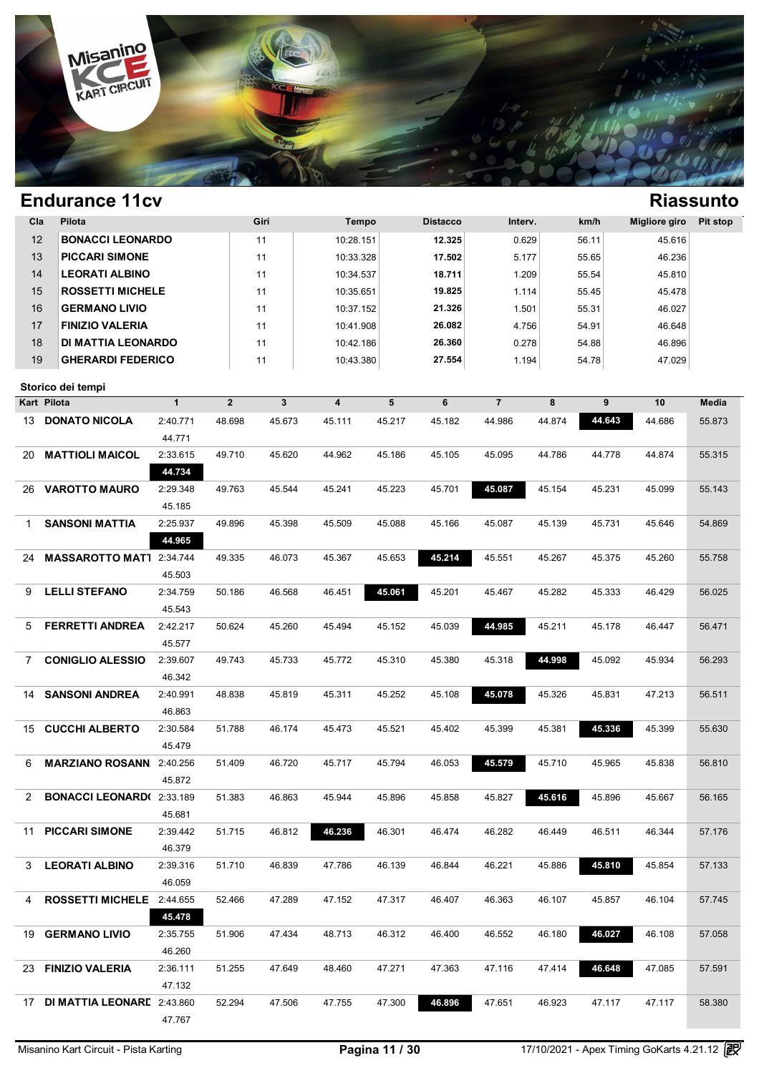

| Cla | Pilota                           |              |                | Giri   | Tempo     |        | <b>Distacco</b> | Interv.        |        | km/h   | <b>Migliore giro</b> | Pit stop |
|-----|----------------------------------|--------------|----------------|--------|-----------|--------|-----------------|----------------|--------|--------|----------------------|----------|
| 12  | <b>BONACCI LEONARDO</b>          |              |                | 11     | 10:28.151 |        | 12.325          | 0.629          |        | 56.11  | 45.616               |          |
| 13  | <b>PICCARI SIMONE</b>            |              |                | 11     | 10:33.328 |        | 17.502          | 5.177          |        | 55.65  | 46.236               |          |
| 14  | <b>LEORATI ALBINO</b>            |              |                | 11     | 10:34.537 |        | 18.711          | 1.209          |        | 55.54  | 45.810               |          |
| 15  | <b>ROSSETTI MICHELE</b>          |              |                | 11     | 10:35.651 |        | 19.825          | 1.114          |        | 55.45  | 45.478               |          |
| 16  | <b>GERMANO LIVIO</b>             |              |                | 11     | 10:37.152 |        | 21.326          | 1.501          |        | 55.31  | 46.027               |          |
| 17  | <b>FINIZIO VALERIA</b>           |              |                | 11     | 10:41.908 |        | 26.082          | 4.756          |        | 54.91  | 46.648               |          |
| 18  | <b>DI MATTIA LEONARDO</b>        |              |                | 11     | 10:42.186 |        | 26.360          | 0.278          |        | 54.88  | 46.896               |          |
| 19  | <b>GHERARDI FEDERICO</b>         |              |                | 11     | 10:43.380 |        | 27.554          | 1.194          |        | 54.78  | 47.029               |          |
|     |                                  |              |                |        |           |        |                 |                |        |        |                      |          |
|     | Storico dei tempi                |              |                |        |           |        |                 |                |        |        |                      |          |
|     | Kart Pilota                      | $\mathbf{1}$ | $\overline{2}$ | 3      | 4         | 5      | 6               | $\overline{7}$ | 8      | 9      | 10                   | Media    |
| 13  | <b>DONATO NICOLA</b>             | 2:40.771     | 48.698         | 45.673 | 45.111    | 45.217 | 45.182          | 44.986         | 44.874 | 44.643 | 44.686               | 55.873   |
|     |                                  | 44.771       |                |        |           |        |                 |                |        |        |                      |          |
| 20  | <b>MATTIOLI MAICOL</b>           | 2:33.615     | 49.710         | 45.620 | 44.962    | 45.186 | 45.105          | 45.095         | 44.786 | 44.778 | 44.874               | 55.315   |
|     |                                  | 44.734       |                |        |           |        |                 |                |        |        |                      |          |
| 26  | <b>VAROTTO MAURO</b>             | 2:29.348     | 49.763         | 45.544 | 45.241    | 45.223 | 45.701          | 45.087         | 45.154 | 45.231 | 45.099               | 55.143   |
|     |                                  | 45.185       |                |        |           |        |                 |                |        |        |                      |          |
| 1   | <b>SANSONI MATTIA</b>            | 2:25.937     | 49.896         | 45.398 | 45.509    | 45.088 | 45.166          | 45.087         | 45.139 | 45.731 | 45.646               | 54.869   |
|     |                                  | 44.965       |                |        |           |        |                 |                |        |        |                      |          |
| 24  | MASSAROTTO MAT1 2:34.744         |              | 49.335         | 46.073 | 45.367    | 45.653 | 45.214          | 45.551         | 45.267 | 45.375 | 45.260               | 55.758   |
|     |                                  | 45.503       |                |        |           |        |                 |                |        |        |                      |          |
| 9   | <b>LELLI STEFANO</b>             | 2:34.759     | 50.186         | 46.568 | 46.451    | 45.061 | 45.201          | 45.467         | 45.282 | 45.333 | 46.429               | 56.025   |
|     |                                  | 45.543       |                |        |           |        |                 |                |        |        |                      |          |
| 5   | <b>FERRETTI ANDREA</b>           | 2:42.217     | 50.624         | 45.260 | 45.494    | 45.152 | 45.039          | 44.985         | 45.211 | 45.178 | 46.447               | 56.471   |
|     |                                  | 45.577       |                |        |           |        |                 |                |        |        |                      |          |
| 7   | <b>CONIGLIO ALESSIO</b>          | 2:39.607     | 49.743         | 45.733 | 45.772    | 45.310 | 45.380          | 45.318         | 44.998 | 45.092 | 45.934               | 56.293   |
|     |                                  | 46.342       |                |        |           |        |                 |                |        |        |                      |          |
| 14  | <b>SANSONI ANDREA</b>            | 2:40.991     | 48.838         | 45.819 | 45.311    | 45.252 | 45.108          | 45.078         | 45.326 | 45.831 | 47.213               | 56.511   |
|     |                                  | 46.863       |                |        |           |        |                 |                |        |        |                      |          |
| 15  | <b>CUCCHI ALBERTO</b>            | 2:30.584     | 51.788         | 46.174 | 45.473    | 45.521 | 45.402          | 45.399         | 45.381 | 45.336 | 45.399               | 55.630   |
|     |                                  | 45.479       |                |        |           |        |                 |                |        |        |                      |          |
| 6   | <b>MARZIANO ROSANN</b>           | 2:40.256     | 51.409         | 46.720 | 45.717    | 45.794 | 46.053          | 45.579         | 45.710 | 45.965 | 45.838               | 56.810   |
|     |                                  | 45.872       |                |        |           |        |                 |                |        |        |                      |          |
| 2   | <b>BONACCI LEONARD(2:33.189)</b> |              | 51.383         | 46.863 | 45.944    | 45.896 | 45.858          | 45.827         | 45.616 | 45.896 | 45.667               | 56.165   |
|     |                                  | 45.681       |                |        |           |        |                 |                |        |        |                      |          |
|     | 11 PICCARI SIMONE                | 2:39.442     | 51.715         | 46.812 | 46.236    | 46.301 | 46.474          | 46.282         | 46.449 | 46.511 | 46.344               | 57.176   |
|     |                                  | 46.379       |                |        |           |        |                 |                |        |        |                      |          |
| 3   | <b>LEORATI ALBINO</b>            | 2:39.316     | 51.710         | 46.839 | 47.786    | 46.139 | 46.844          | 46.221         | 45.886 | 45.810 | 45.854               | 57.133   |
|     |                                  | 46.059       |                |        |           |        |                 |                |        |        |                      |          |
| 4   | ROSSETTI MICHELE 2:44.655        |              | 52.466         | 47.289 | 47.152    | 47.317 | 46.407          | 46.363         | 46.107 | 45.857 | 46.104               | 57.745   |
|     |                                  | 45.478       |                |        |           |        |                 |                |        |        |                      |          |
|     | 19 GERMANO LIVIO                 | 2:35.755     | 51.906         | 47.434 | 48.713    | 46.312 | 46.400          | 46.552         | 46.180 | 46.027 | 46.108               | 57.058   |
|     |                                  | 46.260       |                |        |           |        |                 |                |        |        |                      |          |
|     | 23 FINIZIO VALERIA               | 2:36.111     | 51.255         | 47.649 | 48.460    | 47.271 | 47.363          | 47.116         | 47.414 | 46.648 | 47.085               | 57.591   |
|     |                                  | 47.132       |                |        |           |        |                 |                |        |        |                      |          |
|     | 17 DI MATTIA LEONARE 2:43.860    |              | 52.294         | 47.506 | 47.755    | 47.300 | 46.896          | 47.651         | 46.923 | 47.117 | 47.117               | 58.380   |
|     |                                  | 47.767       |                |        |           |        |                 |                |        |        |                      |          |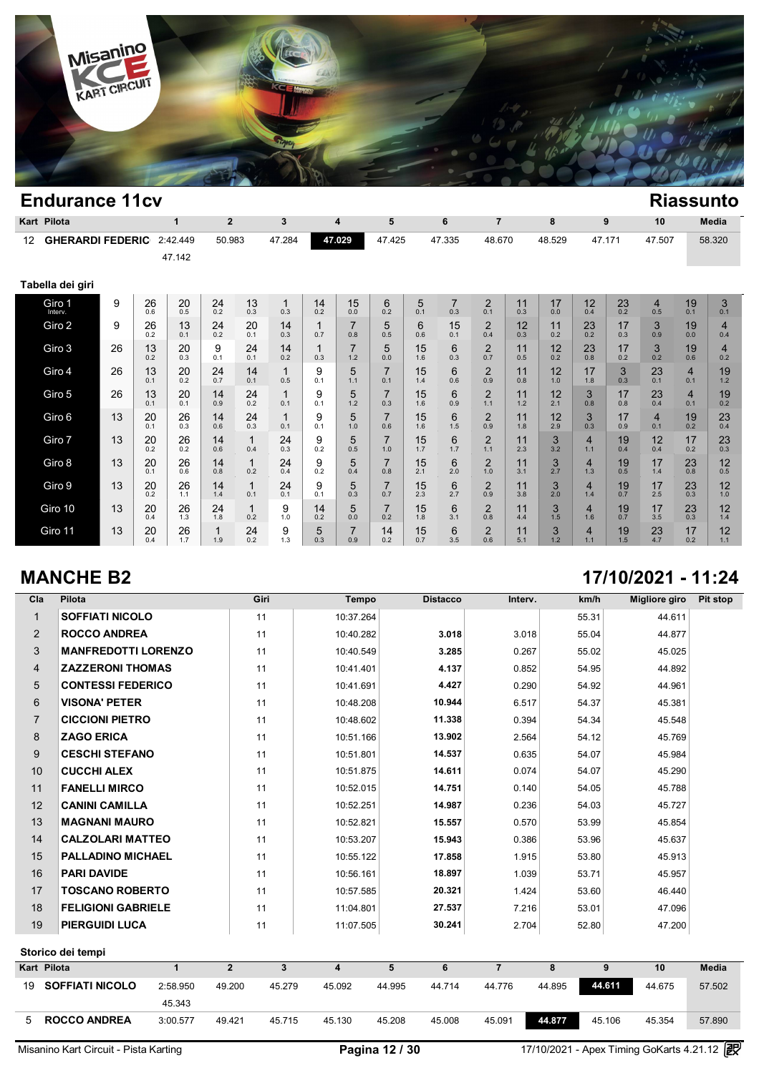

|    | Kart Pilota             |    |           | 1         | $\overline{2}$ |                     | 3         |           | 4                     | 5                     |           | 6                     | $\overline{7}$        |           | 8         |                       | 9         | 10                    |                       | <b>Media</b>          |
|----|-------------------------|----|-----------|-----------|----------------|---------------------|-----------|-----------|-----------------------|-----------------------|-----------|-----------------------|-----------------------|-----------|-----------|-----------------------|-----------|-----------------------|-----------------------|-----------------------|
| 12 | <b>GHERARDI FEDERIC</b> |    |           | 2:42.449  | 50.983         |                     | 47.284    |           | 47.029                | 47.425                |           | 47.335                | 48.670                |           | 48.529    | 47.171                |           | 47.507                |                       | 58.320                |
|    |                         |    |           | 47.142    |                |                     |           |           |                       |                       |           |                       |                       |           |           |                       |           |                       |                       |                       |
|    | Tabella dei giri        |    |           |           |                |                     |           |           |                       |                       |           |                       |                       |           |           |                       |           |                       |                       |                       |
|    | Giro 1<br>Interv.       | 9  | 26<br>0.6 | 20<br>0.5 | 24<br>0.2      | 13<br>0.3           | 1<br>0.3  | 14<br>0.2 | 15<br>0.0             | 6<br>0.2              | 5<br>0.1  | $\overline{7}$<br>0.3 | $\overline{2}$<br>0.1 | 11<br>0.3 | 17<br>0.0 | 12<br>0.4             | 23<br>0.2 | $\overline{4}$<br>0.5 | 19<br>0.1             | 3<br>0.1              |
|    | Giro 2                  | 9  | 26<br>0.2 | 13<br>0.1 | 24<br>0.2      | 20<br>0.1           | 14<br>0.3 | 1<br>0.7  | $\overline{7}$<br>0.8 | 5<br>0.5              | 6<br>0.6  | 15<br>0.1             | $\overline{c}$<br>0.4 | 12<br>0.3 | 11<br>0.2 | 23<br>0.2             | 17<br>0.3 | 3<br>0.9              | 19<br>0.0             | $\overline{4}$<br>0.4 |
|    | Giro 3                  | 26 | 13<br>0.2 | 20<br>0.3 | 9<br>0.1       | 24<br>0.1           | 14<br>0.2 | 1<br>0.3  | $\overline{7}$<br>1.2 | 5<br>0.0              | 15<br>1.6 | 6<br>0.3              | $\overline{2}$<br>0.7 | 11<br>0.5 | 12<br>0.2 | 23<br>0.8             | 17<br>0.2 | 3<br>0.2              | 19<br>0.6             | $\overline{4}$<br>0.2 |
|    | Giro 4                  | 26 | 13<br>0.1 | 20<br>0.2 | 24<br>0.7      | 14<br>0.1           | 1<br>0.5  | 9<br>0.1  | 5<br>1.1              | $\overline{7}$<br>0.1 | 15<br>1.4 | 6<br>0.6              | $\overline{2}$<br>0.9 | 11<br>0.8 | 12<br>1.0 | 17<br>1.8             | 3<br>0.3  | 23<br>0.1             | $\overline{4}$<br>0.1 | 19<br>1.2             |
|    | Giro 5                  | 26 | 13<br>0.1 | 20<br>0.1 | 14<br>0.9      | 24<br>0.2           | 0.1       | 9<br>0.1  | 5<br>1.2              | 7<br>0.3              | 15<br>1.6 | 6<br>0.9              | $\overline{2}$<br>1.1 | 11<br>1.2 | 12<br>2.1 | 3<br>0.8              | 17<br>0.8 | 23<br>0.4             | $\overline{4}$<br>0.1 | 19<br>0.2             |
|    | Giro 6                  | 13 | 20<br>0.1 | 26<br>0.3 | 14<br>0.6      | 24<br>0.3           | 0.1       | 9<br>0.1  | 5<br>1.0              | $\overline{7}$<br>0.6 | 15<br>1.6 | 6<br>1.5              | 2<br>0.9              | 11<br>1.8 | 12<br>2.9 | 3<br>0.3              | 17<br>0.9 | $\overline{4}$<br>0.1 | 19<br>0.2             | 23<br>0.4             |
|    | Giro 7                  | 13 | 20<br>0.2 | 26<br>0.2 | 14<br>0.6      | $\mathbf{1}$<br>0.4 | 24<br>0.3 | 9<br>0.2  | 5<br>0.5              | $\overline{7}$<br>1.0 | 15<br>1.7 | 6<br>1.7              | 2<br>1.1              | 11<br>2.3 | 3<br>3.2  | $\overline{4}$<br>1.1 | 19<br>0.4 | 12<br>0.4             | 17<br>0.2             | 23<br>0.3             |
|    | Giro 8                  | 13 | 20<br>0.1 | 26<br>0.6 | 14<br>0.8      | $\mathbf{1}$<br>0.2 | 24<br>0.4 | 9<br>0.2  | 5<br>0.4              | 7<br>0.8              | 15<br>2.1 | 6<br>2.0              | $\overline{2}$<br>1.0 | 11<br>3.1 | 3<br>2.7  | $\overline{4}$<br>1.3 | 19<br>0.5 | 17<br>1.4             | 23<br>0.8             | 12<br>0.5             |
|    | Giro 9                  | 13 | 20<br>0.2 | 26<br>1.1 | 14<br>1.4      | $\mathbf{1}$<br>0.1 | 24<br>0.1 | 9<br>0.1  | 5<br>0.3              | 7<br>0.7              | 15<br>2.3 | 6<br>2.7              | $\overline{2}$<br>0.9 | 11<br>3.8 | 3<br>2.0  | $\overline{4}$<br>1.4 | 19<br>0.7 | 17<br>2.5             | 23<br>0.3             | 12<br>1.0             |
|    | Giro 10                 | 13 | 20<br>0.4 | 26<br>1.3 | 24<br>1.8      | $\mathbf{1}$<br>0.2 | 9<br>1.0  | 14<br>0.2 | 5<br>0.0              | $\overline{7}$<br>0.2 | 15<br>1.8 | 6<br>3.1              | $\overline{2}$<br>0.8 | 11<br>4.4 | 3<br>1.5  | $\overline{4}$<br>1.6 | 19<br>0.7 | 17<br>3.5             | 23<br>0.3             | 12<br>1.4             |
|    | Giro 11                 | 13 | 20<br>0.4 | 26<br>1.7 | 1<br>1.9       | 24<br>0.2           | 9<br>1.3  | 5<br>0.3  | $\overline{7}$<br>0.9 | 14<br>0.2             | 15<br>0.7 | 6<br>3.5              | $\overline{2}$<br>0.6 | 11<br>5.1 | 3<br>1.2  | $\overline{4}$<br>1.1 | 19<br>1.5 | 23<br>4.7             | 17<br>0.2             | 12<br>1.1             |

# **MANCHE B2 17/10/2021 - 11:24**

| Pilota                     | Giri | Tempo     | <b>Distacco</b> | Interv. | km/h  | <b>Migliore giro</b> | Pit stop                                                                                                              |
|----------------------------|------|-----------|-----------------|---------|-------|----------------------|-----------------------------------------------------------------------------------------------------------------------|
| <b>SOFFIATI NICOLO</b>     | 11   | 10:37.264 |                 |         | 55.31 | 44.611               |                                                                                                                       |
| <b>ROCCO ANDREA</b>        | 11   | 10:40.282 | 3.018           | 3.018   | 55.04 | 44.877               |                                                                                                                       |
| <b>MANFREDOTTI LORENZO</b> | 11   | 10:40.549 | 3.285           | 0.267   | 55.02 | 45.025               |                                                                                                                       |
| <b>ZAZZERONI THOMAS</b>    | 11   | 10:41.401 | 4.137           | 0.852   | 54.95 | 44.892               |                                                                                                                       |
| <b>CONTESSI FEDERICO</b>   | 11   | 10:41.691 | 4.427           | 0.290   | 54.92 | 44.961               |                                                                                                                       |
| <b>VISONA' PETER</b>       | 11   | 10:48.208 | 10.944          | 6.517   | 54.37 | 45.381               |                                                                                                                       |
| <b>CICCIONI PIETRO</b>     | 11   | 10:48.602 | 11.338          | 0.394   | 54.34 | 45.548               |                                                                                                                       |
| <b>ZAGO ERICA</b>          | 11   | 10:51.166 | 13.902          | 2.564   | 54.12 | 45.769               |                                                                                                                       |
| <b>CESCHI STEFANO</b>      | 11   | 10:51.801 | 14.537          | 0.635   | 54.07 | 45.984               |                                                                                                                       |
| <b>CUCCHI ALEX</b>         | 11   | 10:51.875 | 14.611          | 0.074   | 54.07 | 45.290               |                                                                                                                       |
| <b>FANELLI MIRCO</b>       | 11   | 10:52.015 | 14.751          | 0.140   | 54.05 | 45.788               |                                                                                                                       |
| <b>CANINI CAMILLA</b>      | 11   | 10:52.251 | 14.987          | 0.236   | 54.03 | 45.727               |                                                                                                                       |
| <b>MAGNANI MAURO</b>       | 11   | 10:52.821 | 15.557          | 0.570   | 53.99 | 45.854               |                                                                                                                       |
| <b>CALZOLARI MATTEO</b>    | 11   | 10:53.207 | 15.943          | 0.386   | 53.96 | 45.637               |                                                                                                                       |
| <b>PALLADINO MICHAEL</b>   | 11   | 10:55.122 | 17.858          | 1.915   | 53.80 | 45.913               |                                                                                                                       |
| <b>PARI DAVIDE</b>         | 11   | 10:56.161 | 18.897          | 1.039   | 53.71 | 45.957               |                                                                                                                       |
| <b>TOSCANO ROBERTO</b>     | 11   | 10:57.585 | 20.321          | 1.424   | 53.60 | 46.440               |                                                                                                                       |
| <b>FELIGIONI GABRIELE</b>  | 11   | 11:04.801 | 27.537          | 7.216   | 53.01 | 47.096               |                                                                                                                       |
| <b>PIERGUIDI LUCA</b>      | 11   | 11:07.505 | 30.241          | 2.704   | 52.80 | 47.200               |                                                                                                                       |
| Storico dei tempi          |      |           |                 |         |       |                      |                                                                                                                       |
| Kart Pilota                |      |           |                 |         |       |                      | <b>Media</b>                                                                                                          |
|                            |      |           |                 |         |       |                      | $\overline{2}$<br>5<br>$\overline{7}$<br>$\mathbf{3}$<br>6<br>8<br>9<br>10<br>$\overline{\mathbf{4}}$<br>$\mathbf{1}$ |

### <sup>19</sup> **SOFFIATI NICOLO** 2:58.950 49.200 45.279 45.092 44.995 44.714 44.776 44.895 **44.611** 44.675 57.502 45.343 5 **ROCCO ANDREA** 3:00.577 49.421 45.715 45.130 45.208 45.008 45.091 **44.877** 45.106 45.354 57.890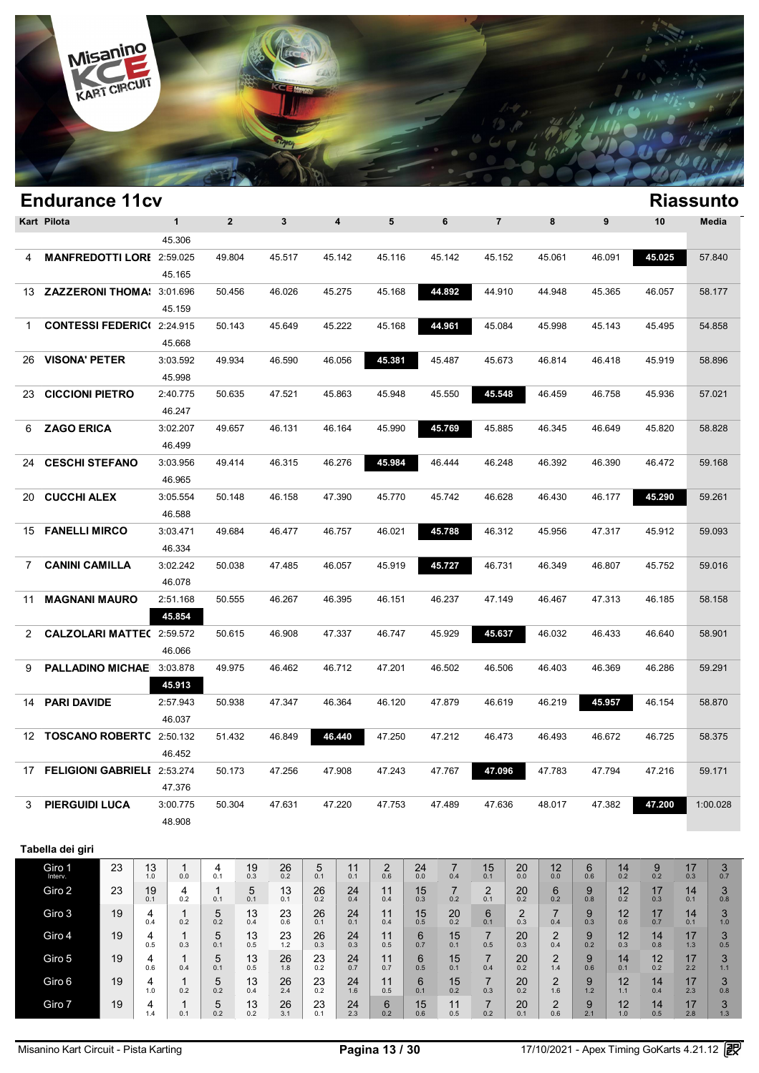

|                | <b>Endurance 11cv</b>            |    |           |                            |                     |                   |                  |                  |                         |                               |                       |                       |                              |                  |                       |                 |                  |                            |                  | <b>Riassunto</b> |
|----------------|----------------------------------|----|-----------|----------------------------|---------------------|-------------------|------------------|------------------|-------------------------|-------------------------------|-----------------------|-----------------------|------------------------------|------------------|-----------------------|-----------------|------------------|----------------------------|------------------|------------------|
| Kart Pilota    |                                  |    |           | $\mathbf{1}$               | $\overline{2}$      |                   | $\mathbf{3}$     |                  | $\overline{\mathbf{4}}$ | 5                             |                       | 6                     | $\overline{7}$               |                  | 8                     |                 | 9                | 10                         |                  | Media            |
|                |                                  |    |           | 45.306                     |                     |                   |                  |                  |                         |                               |                       |                       |                              |                  |                       |                 |                  |                            |                  |                  |
| 4              | <b>MANFREDOTTI LORI 2:59.025</b> |    |           |                            | 49.804              |                   | 45.517           |                  | 45.142                  | 45.116                        |                       | 45.142                | 45.152                       |                  | 45.061                |                 | 46.091           | 45.025                     |                  | 57.840           |
|                |                                  |    |           | 45.165                     |                     |                   |                  |                  |                         |                               |                       |                       |                              |                  |                       |                 |                  |                            |                  |                  |
| 13             | ZAZZERONI THOMA: 3:01.696        |    |           |                            | 50.456              |                   | 46.026           |                  | 45.275                  | 45.168                        |                       | 44.892                | 44.910                       |                  | 44.948                |                 | 45.365           | 46.057                     |                  | 58.177           |
|                |                                  |    |           | 45.159                     |                     |                   |                  |                  |                         |                               |                       |                       |                              |                  |                       |                 |                  |                            |                  |                  |
| $\mathbf 1$    | <b>CONTESSI FEDERIC(2:24.915</b> |    |           |                            | 50.143              |                   | 45.649           |                  | 45.222                  | 45.168                        |                       | 44.961                | 45.084                       |                  | 45.998                |                 | 45.143           | 45.495                     |                  | 54.858           |
|                |                                  |    |           | 45.668                     |                     |                   |                  |                  |                         |                               |                       |                       |                              |                  |                       |                 |                  |                            |                  |                  |
| 26             | <b>VISONA' PETER</b>             |    |           | 3:03.592                   | 49.934              |                   | 46.590           |                  | 46.056                  | 45.381                        |                       | 45.487                | 45.673                       |                  | 46.814                |                 | 46.418           | 45.919                     |                  | 58.896           |
|                |                                  |    |           | 45.998                     |                     |                   |                  |                  |                         |                               |                       |                       |                              |                  |                       |                 |                  |                            |                  |                  |
| 23             | <b>CICCIONI PIETRO</b>           |    |           | 2:40.775                   | 50.635              |                   | 47.521           |                  | 45.863                  | 45.948                        |                       | 45.550                | 45.548                       |                  | 46.459                |                 | 46.758           | 45.936                     |                  | 57.021           |
|                |                                  |    |           | 46.247                     |                     |                   |                  |                  |                         |                               |                       |                       |                              |                  |                       |                 |                  |                            |                  |                  |
| 6              | <b>ZAGO ERICA</b>                |    |           | 3:02.207                   | 49.657              |                   | 46.131           |                  | 46.164                  | 45.990                        |                       | 45.769                | 45.885                       |                  | 46.345                |                 | 46.649           | 45.820                     |                  | 58.828           |
|                |                                  |    |           | 46.499                     |                     |                   |                  |                  |                         |                               |                       |                       |                              |                  |                       |                 |                  |                            |                  |                  |
| 24             | <b>CESCHI STEFANO</b>            |    |           | 3:03.956                   | 49.414              |                   | 46.315           |                  | 46.276                  | 45.984                        |                       | 46.444                | 46.248                       |                  | 46.392                |                 | 46.390           | 46.472                     |                  | 59.168           |
|                |                                  |    |           | 46.965                     |                     |                   |                  |                  |                         |                               |                       |                       |                              |                  |                       |                 |                  |                            |                  |                  |
| 20             | <b>CUCCHI ALEX</b>               |    |           | 3:05.554                   | 50.148              |                   | 46.158           |                  | 47.390                  | 45.770                        |                       | 45.742                | 46.628                       |                  | 46.430                |                 | 46.177           | 45.290                     |                  | 59.261           |
|                |                                  |    |           | 46.588                     |                     |                   |                  |                  |                         |                               |                       |                       |                              |                  |                       |                 |                  |                            |                  |                  |
| 15             | <b>FANELLI MIRCO</b>             |    |           | 3:03.471                   | 49.684              |                   | 46.477           |                  | 46.757                  | 46.021                        |                       | 45.788                | 46.312                       |                  | 45.956                |                 | 47.317           | 45.912                     |                  | 59.093           |
|                |                                  |    |           | 46.334                     |                     |                   |                  |                  |                         |                               |                       |                       |                              |                  |                       |                 |                  |                            |                  |                  |
| $\overline{7}$ | <b>CANINI CAMILLA</b>            |    |           | 3:02.242                   | 50.038              |                   | 47.485           |                  | 46.057                  | 45.919                        |                       | 45.727                | 46.731                       |                  | 46.349                |                 | 46.807           | 45.752                     |                  | 59.016           |
|                |                                  |    |           | 46.078                     |                     |                   |                  |                  |                         |                               |                       |                       |                              |                  |                       |                 |                  |                            |                  |                  |
| 11             | <b>MAGNANI MAURO</b>             |    |           | 2:51.168                   | 50.555              |                   | 46.267           |                  | 46.395                  | 46.151                        |                       | 46.237                | 47.149                       |                  | 46.467                |                 | 47.313           | 46.185                     |                  | 58.158           |
|                |                                  |    |           | 45.854                     |                     |                   |                  |                  |                         |                               |                       |                       |                              |                  |                       |                 |                  |                            |                  |                  |
| 2              | <b>CALZOLARI MATTE(2:59.572</b>  |    |           |                            | 50.615              |                   | 46.908           |                  | 47.337                  | 46.747                        |                       | 45.929                | 45.637                       |                  | 46.032                |                 | 46.433           | 46.640                     |                  | 58.901           |
|                |                                  |    |           | 46.066                     |                     |                   |                  |                  |                         |                               |                       |                       |                              |                  |                       |                 |                  |                            |                  |                  |
| 9              | PALLADINO MICHAE 3:03.878        |    |           |                            | 49.975              |                   | 46.462           |                  | 46.712                  | 47.201                        |                       | 46.502                | 46.506                       |                  | 46.403                |                 | 46.369           | 46.286                     |                  | 59.291           |
|                |                                  |    |           | 45.913                     |                     |                   |                  |                  |                         |                               |                       |                       |                              |                  |                       |                 |                  |                            |                  |                  |
| 14             | <b>PARI DAVIDE</b>               |    |           | 2:57.943                   | 50.938              |                   | 47.347           |                  | 46.364                  | 46.120                        |                       | 47.879                | 46.619                       |                  | 46.219                |                 | 45.957           | 46.154                     |                  | 58.870           |
|                |                                  |    |           | 46.037                     |                     |                   |                  |                  |                         |                               |                       |                       |                              |                  |                       |                 |                  |                            |                  |                  |
| 12             | TOSCANO ROBERTC 2:50.132         |    |           |                            | 51.432              |                   | 46.849           |                  | 46.440                  | 47.250                        |                       | 47.212                | 46.473                       |                  | 46.493                |                 | 46.672           | 46.725                     |                  | 58.375           |
|                |                                  |    |           | 46.452                     |                     |                   |                  |                  |                         |                               |                       |                       |                              |                  |                       |                 |                  |                            |                  |                  |
| 17             | FELIGIONI GABRIELI 2:53.274      |    |           |                            | 50.173              |                   | 47.256           |                  | 47.908                  | 47.243                        |                       | 47.767                | 47.096                       |                  | 47.783                |                 | 47.794           | 47.216                     |                  | 59.171           |
|                |                                  |    |           | 47.376                     |                     |                   |                  |                  |                         |                               |                       |                       |                              |                  |                       |                 |                  |                            |                  |                  |
| 3              | <b>PIERGUIDI LUCA</b>            |    |           | 3:00.775                   | 50.304              |                   | 47.631           |                  | 47.220                  | 47.753                        |                       | 47.489                | 47.636                       |                  | 48.017                |                 | 47.382           | 47.200                     |                  | 1:00.028         |
|                |                                  |    |           | 48.908                     |                     |                   |                  |                  |                         |                               |                       |                       |                              |                  |                       |                 |                  |                            |                  |                  |
|                | Tabella dei giri                 |    |           |                            |                     |                   |                  |                  |                         |                               |                       |                       |                              |                  |                       |                 |                  |                            |                  |                  |
|                | Giro 1                           | 23 | 13        | $\mathbf{1}$               | 4                   | 19                | 26               | 5                | 11                      | $\overline{c}$                | 24                    | 7                     | 15                           | 20               | 12                    | 6               | 14               | 9                          | 17               | 3                |
|                | Giro 2                           | 23 | 1.0<br>19 | 0.0<br>4                   | 0.1<br>$\mathbf{1}$ | 0.3<br>5          | 0.2<br>13        | 0.1              | 0.1<br>24               | 0.6<br>11                     | 0.0<br>15             | 0.4<br>$\overline{7}$ | 0.1<br>$\overline{2}$        | 0.0<br>20        | 0.0<br>6              | 0.6<br>9        | 0.2<br>12        | 0.2<br>17                  | 0.3<br>14        | 0.7<br>3         |
|                |                                  |    | 0.1       | 0.2                        | 0.1                 | 0.1               | 0.1              | 26<br>0.2        | 0.4                     | 0.4                           | 0.3                   | 0.2                   | 0.1                          | 0.2              | 0.2                   | 0.8             | 0.2              | 0.3                        | 0.1              | 0.8              |
|                | Giro 3                           | 19 | 4<br>0.4  | $\mathbf{1}$<br>0.2        | 5<br>0.2            | 13<br>0.4         | 23<br>0.6        | 26<br>0.1        | 24<br>0.1               | 11<br>0.4                     | 15<br>0.5             | 20<br>0.2             | 6<br>0.1                     | 2<br>0.3         | 7<br>0.4              | 9<br>0.3        | 12<br>0.6        | 17<br>0.7                  | 14<br>0.1        | 3<br>1.0         |
|                | Giro 4                           | 19 | 4         | $\mathbf{1}$               | 5                   | 13                | $^{23}_{1.2}$    | 26               | 24                      | 11                            | 6                     | 15                    | $\overline{7}$               | 20               | 2                     | 9               | 12               | 14                         | 17               | 3                |
|                |                                  |    | 0.5       | 0.3                        | 0.1                 | 0.5               |                  | 0.3              | 0.3                     | 0.5                           | 0.7                   | 0.1                   | 0.5                          | 0.3              | 0.4                   | 0.2             | 0.3              | 0.8                        | 1.3              | 0.5              |
|                | Giro 5                           | 19 | 4<br>0.6  | $\mathbf{1}$<br>0.4        | 5<br>0.1            | 13<br>0.5         | 26<br>1.8        | 23<br>0.2        | 24<br>0.7               | 11<br>0.7                     | 6<br>0.5              | 15<br>0.1             | $\overline{7}$<br>0.4        | 20<br>0.2        | $\overline{2}$<br>1.4 | 9<br>0.6        | 14<br>0.1        | 12<br>0.2                  | 17<br>2.2        | 3<br>$1.1$       |
|                | Giro 6                           | 19 | 4         | $\mathbf{1}$               | 5                   | 13                | 26               | 23               | 24                      | 11                            | 6                     | 15                    | $\overline{7}$               | 20               | $\overline{2}$        | 9               | 12               | 14                         | 17               | 3<br>0.8         |
|                |                                  |    |           |                            |                     |                   |                  |                  |                         |                               |                       |                       |                              |                  |                       |                 |                  |                            |                  | 3                |
|                | Giro 7                           | 19 | 1.0<br>4  | 0.2<br>$\mathbf{1}$<br>0.1 | 0.2<br>5<br>0.2     | 0.4<br>$13_{0.2}$ | 2.4<br>26<br>3.1 | 0.2<br>23<br>0.1 | 1.6<br>$24 \atop 2.3$   | 0.5<br>$6\phantom{1}6$<br>0.2 | 0.1<br>$15 \atop 0.6$ | 0.2<br>11<br>0.5      | 0.3<br>$\overline{7}$<br>0.2 | 0.2<br>20<br>0.1 | 1.6<br>$^{2}_{0.6}$   | 1.2<br>9<br>2.1 | 1.1<br>12<br>1.0 | 0.4<br>$14$ <sub>0.5</sub> | 2.3<br>17<br>2.8 | 1.3              |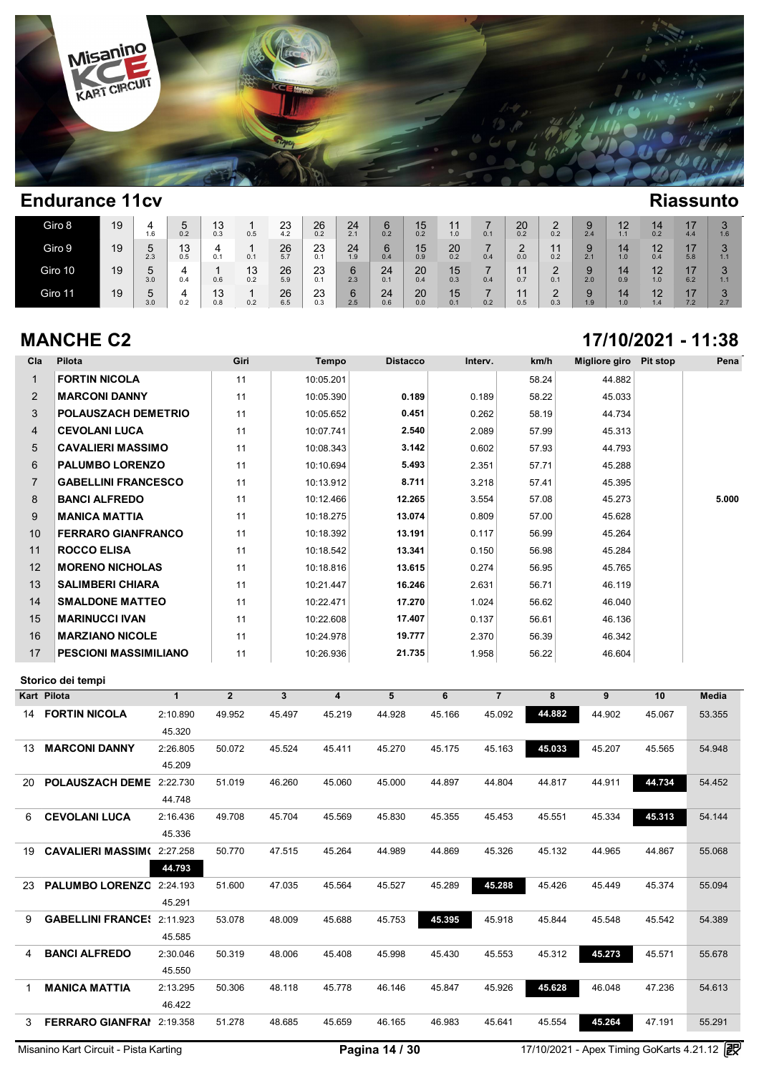

| Giro 8  | 19 | 1.6      | 0.2       | 13<br>0.3 | 0.5       | 23<br>4.2 | 26<br>0.2 | 24<br>2.1 | ี ค<br>ັ<br>0.2 | 15<br>0.2 | 1.0       | 0.1      | 20<br>0.2 | 0.2 | 2.4 | 12<br>1.1 | 14<br>0.2 | 4.4       | $\Omega$<br>1.6      |
|---------|----|----------|-----------|-----------|-----------|-----------|-----------|-----------|-----------------|-----------|-----------|----------|-----------|-----|-----|-----------|-----------|-----------|----------------------|
| Giro 9  | 19 | b<br>2.3 | 13<br>0.5 | 4<br>0.1  | 0.1       | 26<br>5.7 | 23<br>0.1 | 24<br>1.9 | 6<br>0.4        | 15<br>0.9 | 20<br>0.2 | -<br>0.4 | 0.0       | 0.2 | 2.1 | 14<br>1.0 | 12<br>0.4 | 17<br>5.8 | $\Omega$<br>1.1      |
| Giro 10 | 19 | u<br>3.0 | 0.4       | 0.6       | 13<br>0.2 | 26<br>5.9 | 23<br>0.1 | 6<br>2.3  | 24<br>0.1       | 20<br>0.4 | 15<br>0.3 | 0.4      | 0.7       | 0.1 | 2.0 | 14<br>0.9 | 12<br>1.0 | 17<br>6.2 | $\Omega$<br>1.1      |
| Giro 11 | 19 | J<br>3.0 | 0.2       | 13<br>0.8 | 0.2       | 26<br>6.5 | 23<br>0.3 | 6<br>2.5  | 24<br>0.6       | 20<br>0.0 | 15<br>0.1 | 0.2      | 0.5       | 0.3 | 1.9 | 14<br>1.0 | 12<br>1.4 | 17<br>7.2 | $\Omega$<br>ັ<br>2.7 |

### **MANCHE C2 17/10/2021 - 11:38**

| Cla            | Pilota                            |              | Giri           |        | Tempo     | <b>Distacco</b> |        | Interv.        | km/h   | <b>Migliore giro</b> | <b>Pit stop</b> | Pena   |
|----------------|-----------------------------------|--------------|----------------|--------|-----------|-----------------|--------|----------------|--------|----------------------|-----------------|--------|
| $\mathbf{1}$   | <b>FORTIN NICOLA</b>              |              | 11             |        | 10:05.201 |                 |        |                | 58.24  | 44.882               |                 |        |
| 2              | <b>MARCONI DANNY</b>              |              | 11             |        | 10:05.390 | 0.189           |        | 0.189          | 58.22  | 45.033               |                 |        |
| 3              | <b>POLAUSZACH DEMETRIO</b>        |              | 11             |        | 10:05.652 | 0.451           |        | 0.262          | 58.19  | 44.734               |                 |        |
| 4              | <b>CEVOLANI LUCA</b>              |              | 11             |        | 10:07.741 | 2.540           |        | 2.089          | 57.99  | 45.313               |                 |        |
| 5              | <b>CAVALIERI MASSIMO</b>          |              | 11             |        | 10:08.343 | 3.142           |        | 0.602          | 57.93  | 44.793               |                 |        |
| 6              | <b>PALUMBO LORENZO</b>            |              | 11             |        | 10:10.694 | 5.493           |        | 2.351          | 57.71  | 45.288               |                 |        |
| $\overline{7}$ | <b>GABELLINI FRANCESCO</b>        |              | 11             |        | 10:13.912 | 8.711           |        | 3.218          | 57.41  | 45.395               |                 |        |
| 8              | <b>BANCI ALFREDO</b>              |              | 11             |        | 10:12.466 | 12.265          |        | 3.554          | 57.08  | 45.273               |                 | 5.000  |
| 9              | <b>MANICA MATTIA</b>              |              | 11             |        | 10:18.275 | 13.074          |        | 0.809          | 57.00  | 45.628               |                 |        |
| 10             | <b>FERRARO GIANFRANCO</b>         |              | 11             |        | 10:18.392 | 13.191          |        | 0.117          | 56.99  | 45.264               |                 |        |
| 11             | <b>ROCCO ELISA</b>                |              | 11             |        | 10:18.542 | 13.341          |        | 0.150          | 56.98  | 45.284               |                 |        |
| 12             | <b>MORENO NICHOLAS</b>            |              | 11             |        | 10:18.816 | 13.615          |        | 0.274          | 56.95  | 45.765               |                 |        |
| 13             | <b>SALIMBERI CHIARA</b>           |              | 11             |        | 10:21.447 | 16.246          |        | 2.631          | 56.71  | 46.119               |                 |        |
| 14             | <b>SMALDONE MATTEO</b>            |              | 11             |        | 10:22.471 | 17.270          |        | 1.024          | 56.62  | 46.040               |                 |        |
| 15             | <b>MARINUCCI IVAN</b>             |              | 11             |        | 10:22.608 | 17.407          |        | 0.137          | 56.61  | 46.136               |                 |        |
| 16             | <b>MARZIANO NICOLE</b>            |              | 11             |        | 10:24.978 | 19.777          |        | 2.370          | 56.39  | 46.342               |                 |        |
| 17             | <b>PESCIONI MASSIMILIANO</b>      |              | 11             |        | 10:26.936 | 21.735          |        | 1.958          | 56.22  | 46.604               |                 |        |
|                | Storico dei tempi                 |              |                |        |           |                 |        |                |        |                      |                 |        |
|                | Kart Pilota                       | $\mathbf{1}$ | $\overline{2}$ | 3      | 4         | 5               | 6      | $\overline{7}$ | 8      | 9                    | 10              | Media  |
|                | <b>14 FORTIN NICOLA</b>           | 2:10.890     | 49.952         | 45.497 | 45.219    | 44.928          | 45.166 | 45.092         | 44.882 | 44.902               | 45.067          | 53.355 |
|                |                                   | 45.320       |                |        |           |                 |        |                |        |                      |                 |        |
| 13             | <b>MARCONI DANNY</b>              | 2:26.805     | 50.072         | 45.524 | 45.411    | 45.270          | 45.175 | 45.163         | 45.033 | 45.207               | 45.565          | 54.948 |
|                |                                   | 45.209       |                |        |           |                 |        |                |        |                      |                 |        |
| 20             | POLAUSZACH DEME 2:22.730          |              | 51.019         | 46.260 | 45.060    | 45.000          | 44.897 | 44.804         | 44.817 | 44.911               | 44.734          | 54.452 |
|                |                                   | 44.748       |                |        |           |                 |        |                |        |                      |                 |        |
| 6              | <b>CEVOLANI LUCA</b>              |              |                |        |           |                 |        |                |        |                      |                 |        |
|                |                                   | 2:16.436     | 49.708         | 45.704 | 45.569    | 45.830          | 45.355 | 45.453         | 45.551 | 45.334               | 45.313          | 54.144 |
|                |                                   | 45.336       |                |        |           |                 |        |                |        |                      |                 |        |
| 19             | <b>CAVALIERI MASSIM(2:27.258)</b> |              | 50.770         | 47.515 | 45.264    | 44.989          | 44.869 | 45.326         | 45.132 | 44.965               | 44.867          | 55.068 |
|                |                                   | 44.793       |                |        |           |                 |        |                |        |                      |                 |        |
| 23             | PALUMBO LORENZC 2:24.193          |              | 51.600         | 47.035 | 45.564    | 45.527          | 45.289 | 45.288         | 45.426 | 45.449               | 45.374          | 55.094 |
|                |                                   | 45.291       |                |        |           |                 |        |                |        |                      |                 |        |
| 9              | <b>GABELLINI FRANCE: 2:11.923</b> |              | 53.078         | 48.009 | 45.688    | 45.753          | 45.395 | 45.918         | 45.844 | 45.548               | 45.542          | 54.389 |
|                |                                   | 45.585       |                |        |           |                 |        |                |        |                      |                 |        |
| 4              | <b>BANCI ALFREDO</b>              | 2:30.046     | 50.319         | 48.006 | 45.408    | 45.998          | 45.430 | 45.553         | 45.312 | 45.273               | 45.571          | 55.678 |
|                |                                   | 45.550       |                |        |           |                 |        |                |        |                      |                 |        |
| 1              | <b>MANICA MATTIA</b>              | 2:13.295     | 50.306         | 48.118 | 45.778    | 46.146          | 45.847 | 45.926         | 45.628 | 46.048               | 47.236          | 54.613 |
|                |                                   | 46.422       |                |        |           |                 |        |                |        |                      |                 |        |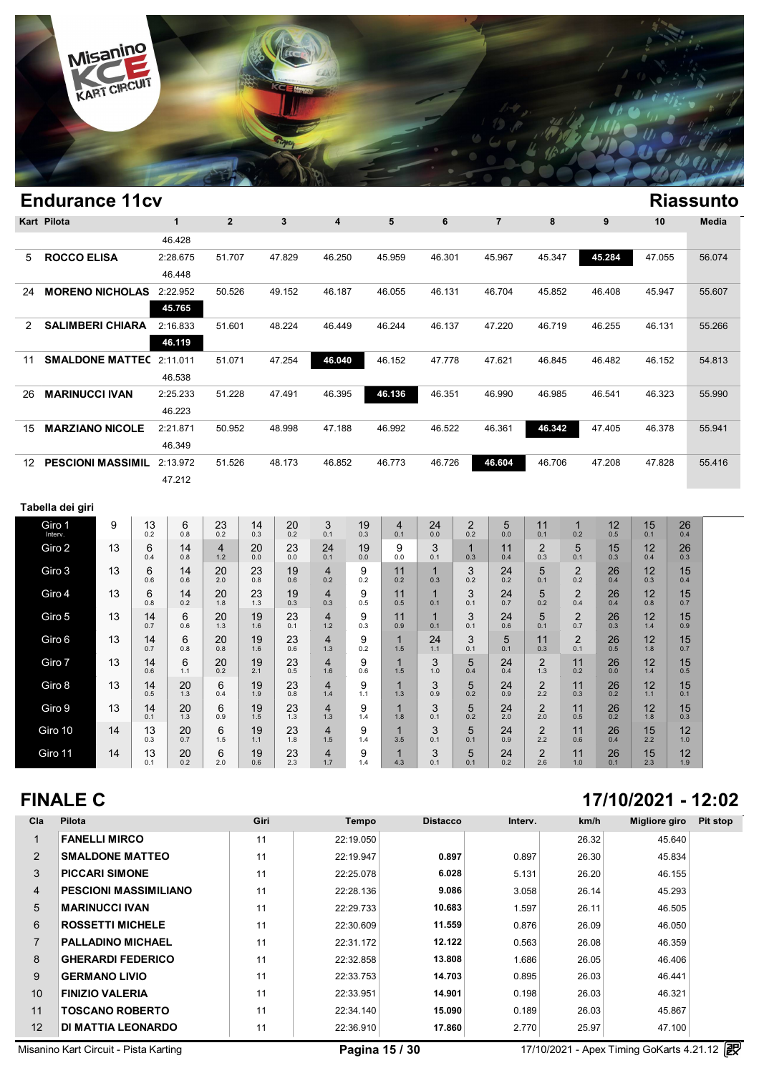

|                  | <b>Endurance 11cv</b>           |    |                  |                    |                 |                  |           |                       |                 |                       |                     |                       |                  |                                |                       |           |                  |                  | <b>Riassunto</b> |
|------------------|---------------------------------|----|------------------|--------------------|-----------------|------------------|-----------|-----------------------|-----------------|-----------------------|---------------------|-----------------------|------------------|--------------------------------|-----------------------|-----------|------------------|------------------|------------------|
|                  | Kart Pilota                     |    |                  | $\mathbf{1}$       | $\overline{2}$  |                  | 3         | 4                     |                 | 5                     | 6                   |                       | $\overline{7}$   | 8                              |                       | 9         | 10               |                  | Media            |
|                  |                                 |    |                  | 46.428             |                 |                  |           |                       |                 |                       |                     |                       |                  |                                |                       |           |                  |                  |                  |
| 5                | <b>ROCCO ELISA</b>              |    |                  | 2:28.675           | 51.707          |                  | 47.829    | 46.250                |                 | 45.959                | 46.301              |                       | 45.967           | 45.347                         |                       | 45.284    | 47.055           |                  | 56.074           |
|                  |                                 |    |                  | 46.448             |                 |                  |           |                       |                 |                       |                     |                       |                  |                                |                       |           |                  |                  |                  |
| 24               | <b>MORENO NICHOLAS</b> 2:22.952 |    |                  | 45.765             | 50.526          |                  | 49.152    | 46.187                |                 | 46.055                | 46.131              |                       | 46.704           | 45.852                         |                       | 46.408    | 45.947           |                  | 55.607           |
| $\overline{2}$   | <b>SALIMBERI CHIARA</b>         |    |                  | 2:16.833<br>46.119 | 51.601          |                  | 48.224    | 46.449                |                 | 46.244                | 46.137              |                       | 47.220           | 46.719                         |                       | 46.255    | 46.131           |                  | 55.266           |
| 11               | <b>SMALDONE MATTEC 2:11.011</b> |    |                  |                    | 51.071          |                  | 47.254    | 46.040                |                 | 46.152                | 47.778              |                       | 47.621           | 46.845                         |                       | 46.482    | 46.152           |                  | 54.813           |
|                  |                                 |    |                  | 46.538             |                 |                  |           |                       |                 |                       |                     |                       |                  |                                |                       |           |                  |                  |                  |
| 26               | <b>MARINUCCI IVAN</b>           |    |                  | 2:25.233           | 51.228          |                  | 47.491    | 46.395                |                 | 46.136                | 46.351              |                       | 46.990           | 46.985                         |                       | 46.541    | 46.323           |                  | 55.990           |
|                  |                                 |    |                  | 46.223             |                 |                  |           |                       |                 |                       |                     |                       |                  |                                |                       |           |                  |                  |                  |
| 15               | <b>MARZIANO NICOLE</b>          |    |                  | 2:21.871           | 50.952          |                  | 48.998    | 47.188                |                 | 46.992                | 46.522              |                       | 46.361           | 46.342                         |                       | 47.405    | 46.378           |                  | 55.941           |
|                  |                                 |    |                  | 46.349             |                 |                  |           |                       |                 |                       |                     |                       |                  |                                |                       |           |                  |                  |                  |
| 12 <sup>12</sup> | PESCIONI MASSIMIL 2:13.972      |    |                  |                    | 51.526          |                  | 48.173    | 46.852                |                 | 46.773                | 46.726              |                       | 46.604           | 46.706                         |                       | 47.208    | 47.828           |                  | 55.416           |
|                  |                                 |    |                  | 47.212             |                 |                  |           |                       |                 |                       |                     |                       |                  |                                |                       |           |                  |                  |                  |
|                  | Tabella dei giri                |    |                  |                    |                 |                  |           |                       |                 |                       |                     |                       |                  |                                |                       |           |                  |                  |                  |
|                  | Giro 1<br>Interv.               | 9  | 13<br>0.2        | 6<br>0.8           | 23<br>0.2       | 14<br>0.3        | 20<br>0.2 | 3<br>0.1              | 19<br>0.3       | $\overline{4}$<br>0.1 | 24<br>0.0           | $\overline{2}$<br>0.2 | 5<br>0.0         | 11<br>0.1                      | $\mathbf 1$<br>0.2    | 12<br>0.5 | 15<br>0.1        | 26<br>0.4        |                  |
|                  | Giro 2                          | 13 | 6                | 14                 | 4               | 20               | 23        | 24                    | 19              | 9                     | 3                   | 1                     | 11               | 2                              | 5                     | 15        | 12               | 26               |                  |
|                  | Giro 3                          | 13 | 0.4<br>6         | 0.8<br>14          | 1.2<br>20       | 0.0<br>23        | 0.0<br>19 | 0.1<br>$\overline{4}$ | 0.0<br>9        | 0.0<br>11             | 0.1<br>$\mathbf{1}$ | 0.3<br>3              | 0.4<br>24        | 0.3<br>5                       | 0.1<br>$\overline{2}$ | 0.3<br>26 | 0.4<br>12        | 0.3<br>15        |                  |
|                  |                                 |    | 0.6              | 0.6                | 2.0             | 0.8              | 0.6       | 0.2                   | 0.2             | 0.2                   | 0.3                 | 0.2                   | 0.2              | 0.1                            | 0.2                   | 0.4       | 0.3              | 0.4              |                  |
|                  | Giro 4                          | 13 | 6<br>0.8         | 14<br>0.2          | 20<br>1.8       | 23<br>1.3        | 19<br>0.3 | $\overline{4}$<br>0.3 | 9<br>0.5        | 11<br>0.5             | $\mathbf{1}$<br>0.1 | 3<br>0.1              | 24<br>0.7        | 5<br>0.2                       | $\overline{2}$<br>0.4 | 26<br>0.4 | 12<br>0.8        | 15<br>0.7        |                  |
|                  | Giro 5                          | 13 | 14<br>0.7        | 6<br>0.6           | 20<br>1.3       | 19<br>1.6        | 23<br>0.1 | $\overline{4}$<br>1.2 | 9<br>0.3        | 11<br>0.9             | $\mathbf{1}$<br>0.1 | 3<br>0.1              | 24<br>0.6        | 5<br>0.1                       | $\overline{2}$<br>0.7 | 26<br>0.3 | 12<br>1.4        | 15<br>0.9        |                  |
|                  | Giro 6                          | 13 | 14<br>0.7        | 6<br>0.8           | 20<br>0.8       | 19<br>1.6        | 23<br>0.6 | $\overline{4}$<br>1.3 | 9<br>0.2        | $\mathbf{1}$<br>1.5   | 24<br>1.1           | 3<br>0.1              | 5<br>0.1         | 11<br>0.3                      | $\overline{2}$<br>0.1 | 26<br>0.5 | 12<br>1.8        | 15<br>0.7        |                  |
|                  | Giro 7                          | 13 | 14<br>0.6        | 6<br>1.1           | 20<br>0.2       | 19<br>2.1        | 23<br>0.5 | $\overline{4}$<br>1.6 | 9<br>0.6        | $\mathbf{1}$<br>1.5   | 3<br>1.0            | 5<br>0.4              | 24<br>0.4        | 2<br>1.3                       | 11<br>0.2             | 26<br>0.0 | 12<br>1.4        | 15<br>0.5        |                  |
|                  | Giro 8                          | 13 | 14<br>0.5        | 20<br>1.3          | 6<br>0.4        | 19<br>1.9        | 23<br>0.8 | $\overline{4}$<br>1.4 | 9<br>1.1        | $\mathbf{1}$<br>1.3   | 3<br>0.9            | 5<br>0.2              | 24<br>0.9        | $\overline{\mathbf{c}}$<br>2.2 | 11<br>0.3             | 26<br>0.2 | 12<br>$1.1$      | 15<br>0.1        |                  |
|                  | Giro 9                          | 13 | 14<br>0.1        | 20<br>1.3          | 6<br>0.9        | 19<br>1.5        | 23<br>1.3 | $\overline{4}$<br>1.3 | 9<br>1.4        | $\mathbf{1}$<br>1.8   | 3<br>0.1            | 5<br>0.2              | 24<br>2.0        | 2<br>2.0                       | 11<br>0.5             | 26<br>0.2 | 12<br>1.8        | 15<br>0.3        |                  |
|                  | Giro 10                         | 14 | 13               | 20<br>0.7          | 6               | 19               | 23<br>1.8 | $\overline{4}$<br>1.5 | 9               | $\mathbf{1}$<br>3.5   | 3                   | 5<br>0.1              | 24               | 2<br>2.2                       | 11                    | 26<br>0.4 | 15               | 12               |                  |
|                  | Giro 11                         | 14 | 0.3<br>13<br>0.1 | 20<br>0.2          | 1.5<br>6<br>2.0 | 1.1<br>19<br>0.6 | 23<br>2.3 | $\overline{4}$<br>1.7 | 1.4<br>9<br>1.4 | $\mathbf{1}$<br>4.3   | 0.1<br>3<br>0.1     | 5<br>0.1              | 0.9<br>24<br>0.2 | $\overline{2}$<br>2.6          | 0.6<br>11<br>1.0      | 26<br>0.1 | 2.2<br>15<br>2.3 | 1.0<br>12<br>1.9 |                  |

### **FINALE C 17/10/2021 - 12:02**

| Cla            | <b>Pilota</b>                | Giri | Tempo     | <b>Distacco</b> | Interv. | km/h  | Migliore giro | Pit stop |
|----------------|------------------------------|------|-----------|-----------------|---------|-------|---------------|----------|
|                | <b>FANELLI MIRCO</b>         | 11   | 22:19.050 |                 |         | 26.32 | 45.640        |          |
| $\overline{2}$ | <b>SMALDONE MATTEO</b>       | 11   | 22:19.947 | 0.897           | 0.897   | 26.30 | 45.834        |          |
| 3              | <b>PICCARI SIMONE</b>        | 11   | 22:25.078 | 6.028           | 5.131   | 26.20 | 46.155        |          |
| 4              | <b>PESCIONI MASSIMILIANO</b> | 11   | 22:28.136 | 9.086           | 3.058   | 26.14 | 45.293        |          |
| 5              | <b>MARINUCCI IVAN</b>        | 11   | 22:29.733 | 10.683          | 1.597   | 26.11 | 46.505        |          |
| 6              | <b>ROSSETTI MICHELE</b>      | 11   | 22:30.609 | 11.559          | 0.876   | 26.09 | 46.050        |          |
| $\overline{7}$ | <b>PALLADINO MICHAEL</b>     | 11   | 22:31.172 | 12.122          | 0.563   | 26.08 | 46.359        |          |
| 8              | <b>GHERARDI FEDERICO</b>     | 11   | 22:32.858 | 13.808          | 1.686   | 26.05 | 46.406        |          |
| 9              | <b>GERMANO LIVIO</b>         | 11   | 22:33.753 | 14.703          | 0.895   | 26.03 | 46.441        |          |
| 10             | <b>FINIZIO VALERIA</b>       | 11   | 22:33.951 | 14.901          | 0.198   | 26.03 | 46.321        |          |
| 11             | <b>TOSCANO ROBERTO</b>       | 11   | 22:34.140 | 15.090          | 0.189   | 26.03 | 45.867        |          |
| 12             | <b>DI MATTIA LEONARDO</b>    | 11   | 22:36.910 | 17.860          | 2.770   | 25.97 | 47.100        |          |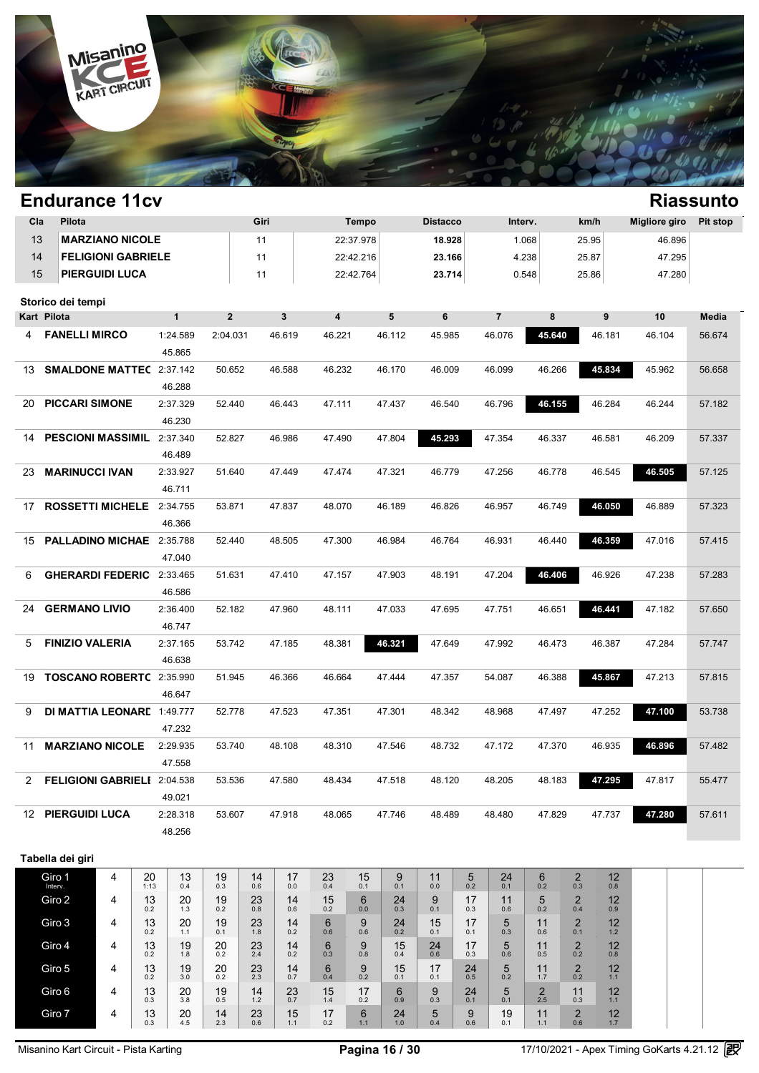

|             | <b>Endurance 11cv</b>             |                           |            |              |                         |               |              |           |              |                |                 |                     |                |                |                       |                |                      | <b>Riassunto</b> |
|-------------|-----------------------------------|---------------------------|------------|--------------|-------------------------|---------------|--------------|-----------|--------------|----------------|-----------------|---------------------|----------------|----------------|-----------------------|----------------|----------------------|------------------|
| Cla         | Pilota                            |                           |            |              |                         | Giri          |              |           | Tempo        |                | <b>Distacco</b> |                     | Interv.        |                | km/h                  |                | <b>Migliore giro</b> | <b>Pit stop</b>  |
| 13          |                                   | <b>MARZIANO NICOLE</b>    |            |              |                         | 11            |              |           | 22:37.978    |                | 18.928          |                     |                | 1.068          | 25.95                 |                | 46.896               |                  |
| 14          |                                   | <b>FELIGIONI GABRIELE</b> |            |              |                         | 11            |              |           | 22:42.216    |                | 23.166          |                     |                | 4.238          | 25.87                 |                | 47.295               |                  |
| 15          |                                   | <b>PIERGUIDI LUCA</b>     |            |              |                         | 11            |              |           | 22:42.764    |                | 23.714          |                     |                | 0.548          | 25.86                 |                | 47.280               |                  |
|             | Storico dei tempi                 |                           |            |              |                         |               |              |           |              |                |                 |                     |                |                |                       |                |                      |                  |
| Kart Pilota |                                   |                           |            | $\mathbf{1}$ | $\overline{\mathbf{2}}$ |               | $\mathbf{3}$ | 4         |              | 5              | 6               |                     | $\overline{7}$ | 8              |                       | 9              | 10                   | Media            |
| 4           | <b>FANELLI MIRCO</b>              |                           |            | 1:24.589     | 2:04.031                |               | 46.619       | 46.221    |              | 46.112         | 45.985          |                     | 46.076         | 45.640         |                       | 46.181         | 46.104               | 56.674           |
|             |                                   |                           |            | 45.865       |                         |               |              |           |              |                |                 |                     |                |                |                       |                |                      |                  |
| 13          | <b>SMALDONE MATTEC 2:37.142</b>   |                           |            |              | 50.652                  |               | 46.588       | 46.232    |              | 46.170         | 46.009          |                     | 46.099         | 46.266         |                       | 45.834         | 45.962               | 56.658           |
|             |                                   |                           |            | 46.288       |                         |               |              |           |              |                |                 |                     |                |                |                       |                |                      |                  |
| 20          | <b>PICCARI SIMONE</b>             |                           |            | 2:37.329     | 52.440                  |               | 46.443       | 47.111    |              | 47.437         | 46.540          |                     | 46.796         | 46.155         |                       | 46.284         | 46.244               | 57.182           |
|             |                                   |                           |            | 46.230       |                         |               |              |           |              |                |                 |                     |                |                |                       |                |                      |                  |
| 14          | PESCIONI MASSIMIL 2:37.340        |                           |            |              | 52.827                  |               | 46.986       | 47.490    |              | 47.804         | 45.293          |                     | 47.354         | 46.337         |                       | 46.581         | 46.209               | 57.337           |
|             |                                   |                           |            | 46.489       |                         |               |              |           |              |                |                 |                     |                |                |                       |                |                      |                  |
| 23          | <b>MARINUCCI IVAN</b>             |                           |            | 2:33.927     | 51.640                  |               | 47.449       | 47.474    |              | 47.321         | 46.779          |                     | 47.256         | 46.778         |                       | 46.545         | 46.505               | 57.125           |
|             |                                   |                           |            | 46.711       |                         |               |              |           |              |                |                 |                     |                |                |                       |                |                      |                  |
| 17          | ROSSETTI MICHELE 2:34.755         |                           |            |              | 53.871                  |               | 47.837       | 48.070    |              | 46.189         | 46.826          |                     | 46.957         | 46.749         |                       | 46.050         | 46.889               | 57.323           |
|             |                                   |                           |            | 46.366       |                         |               |              |           |              |                |                 |                     |                |                |                       |                |                      |                  |
| 15          | PALLADINO MICHAE 2:35.788         |                           |            |              | 52.440                  |               | 48.505       | 47.300    |              | 46.984         | 46.764          |                     | 46.931         | 46.440         |                       | 46.359         | 47.016               | 57.415           |
| 6           | <b>GHERARDI FEDERIC</b> 2:33.465  |                           |            | 47.040       | 51.631                  |               | 47.410       | 47.157    |              | 47.903         | 48.191          |                     | 47.204         | 46.406         |                       | 46.926         | 47.238               | 57.283           |
|             |                                   |                           |            | 46.586       |                         |               |              |           |              |                |                 |                     |                |                |                       |                |                      |                  |
| 24          | <b>GERMANO LIVIO</b>              |                           |            | 2:36.400     | 52.182                  |               | 47.960       | 48.111    |              | 47.033         | 47.695          |                     | 47.751         | 46.651         |                       | 46.441         | 47.182               | 57.650           |
|             |                                   |                           |            | 46.747       |                         |               |              |           |              |                |                 |                     |                |                |                       |                |                      |                  |
| 5           | <b>FINIZIO VALERIA</b>            |                           |            | 2:37.165     | 53.742                  |               | 47.185       | 48.381    |              | 46.321         | 47.649          |                     | 47.992         | 46.473         |                       | 46.387         | 47.284               | 57.747           |
|             |                                   |                           |            | 46.638       |                         |               |              |           |              |                |                 |                     |                |                |                       |                |                      |                  |
| 19          | TOSCANO ROBERTC 2:35.990          |                           |            |              | 51.945                  |               | 46.366       | 46.664    |              | 47.444         | 47.357          |                     | 54.087         | 46.388         |                       | 45.867         | 47.213               | 57.815           |
|             |                                   |                           |            | 46.647       |                         |               |              |           |              |                |                 |                     |                |                |                       |                |                      |                  |
| 9           | <b>DI MATTIA LEONARE 1:49.777</b> |                           |            |              | 52.778                  |               | 47.523       | 47.351    |              | 47.301         | 48.342          |                     | 48.968         | 47.497         |                       | 47.252         | 47.100               | 53.738           |
|             |                                   |                           |            | 47.232       |                         |               |              |           |              |                |                 |                     |                |                |                       |                |                      |                  |
| 11          | <b>MARZIANO NICOLE</b>            |                           |            | 2:29.935     | 53.740                  |               | 48.108       | 48.310    |              | 47.546         | 48.732          |                     | 47.172         | 47.370         |                       | 46.935         | 46.896               | 57.482           |
|             |                                   |                           |            | 47.558       |                         |               |              |           |              |                |                 |                     |                |                |                       |                |                      |                  |
|             | 2 FELIGIONI GABRIELI 2:04.538     |                           |            |              | 53.536                  |               | 47.580       | 48.434    |              | 47.518         | 48.120          |                     | 48.205         | 48.183         |                       | 47.295         | 47.817               | 55.477           |
|             |                                   |                           |            | 49.021       |                         |               |              |           |              |                |                 |                     |                |                |                       |                |                      |                  |
|             | <b>12 PIERGUIDI LUCA</b>          |                           |            | 2:28.318     | 53.607                  |               | 47.918       | 48.065    |              | 47.746         | 48.489          |                     | 48.480         | 47.829         |                       | 47.737         | 47.280               | 57.611           |
|             |                                   |                           |            | 48.256       |                         |               |              |           |              |                |                 |                     |                |                |                       |                |                      |                  |
|             |                                   |                           |            |              |                         |               |              |           |              |                |                 |                     |                |                |                       |                |                      |                  |
|             | Tabella dei giri                  |                           |            |              |                         |               |              |           |              |                |                 |                     |                |                |                       |                |                      |                  |
|             | Giro 1<br>Interv.                 | 4                         | 20<br>1:13 | 13<br>0.4    | 19<br>0.3               | 14<br>0.6     | 17<br>0.0    | 23<br>0.4 | 15<br>0.1    | 9<br>0.1       | 11<br>0.0       | 5<br>0.2            | 24<br>0.1      | 6<br>0.2       | $\overline{c}$<br>0.3 | 12<br>0.8      |                      |                  |
|             | Giro 2                            | 4                         | 13<br>0.2  | 20<br>1.3    | 19<br>0.2               | 23<br>0.8     | 14<br>0.6    | 15<br>0.2 | 6<br>0.0     | 24<br>0.3      | 9<br>0.1        | 17<br>0.3           | 11<br>0.6      | 5<br>0.2       | $\overline{c}$<br>0.4 | 12<br>0.9      |                      |                  |
|             | Giro 3                            | 4                         | 13         | 20           | 19                      | 23            | 14           | 6         | 9            | 24             | 15              | 17                  | 5              | 11             | $\overline{c}$        | 12             |                      |                  |
|             |                                   |                           | 0.2        | 1.1          | 0.1                     | $1.8$         | 0.2          | 0.6       | 0.6<br>9     | 0.2            | 0.1             | 0.1                 | 0.3<br>5       | 0.6            | 0.1                   | 1.2            |                      |                  |
|             | Giro 4                            | 4                         | 13<br>0.2  | 19<br>1.8    | 20<br>0.2               | 23<br>2.4     | 14<br>0.2    | 6<br>0.3  | 0.8          | 15<br>0.4      | 24<br>0.6       | 17<br>0.3           | 0.6            | 11<br>0.5      | $\overline{2}$<br>0.2 | 12<br>0.8      |                      |                  |
|             | Giro 5                            | 4                         | 13<br>0.2  | 19<br>3.0    | 20<br>0.2               | 23<br>2.3     | 14<br>0.7    | 6<br>0.4  | 9<br>0.2     | 15<br>0.1      | 17<br>0.1       | 24<br>0.5           | 5<br>0.2       | 11<br>$1.7$    | $\overline{2}$<br>0.2 | 12<br>1.1      |                      |                  |
|             | Giro 6                            | 4                         | 13         | 20           | 19                      | 14            | 23           | 15        | 17           | 6              | 9               | 24                  | 5              | $\overline{2}$ | 11                    | 12             |                      |                  |
|             | Giro 7                            | 4                         | 0.3<br>13  | 3.8<br>20    | 0.5<br>14               | $1.2\,$       | 0.7<br>15    | 1.4<br>17 | 0.2<br>$\,6$ | 0.9            | 0.3<br>5        | 0.1                 | 0.1<br>19      | 2.5<br>11      | $0.3\,$               | 1.1            |                      |                  |
|             |                                   |                           | 0.3        | 4.5          | 2.3                     | $^{23}_{0.6}$ | 1.1          | 0.2       | 1.1          | $24 \atop 1.0$ | 0.4             | $\underset{0.6}{9}$ | 0.1            | 1.1            | $_{0.6}^{2}$          | $12 \atop 1.7$ |                      |                  |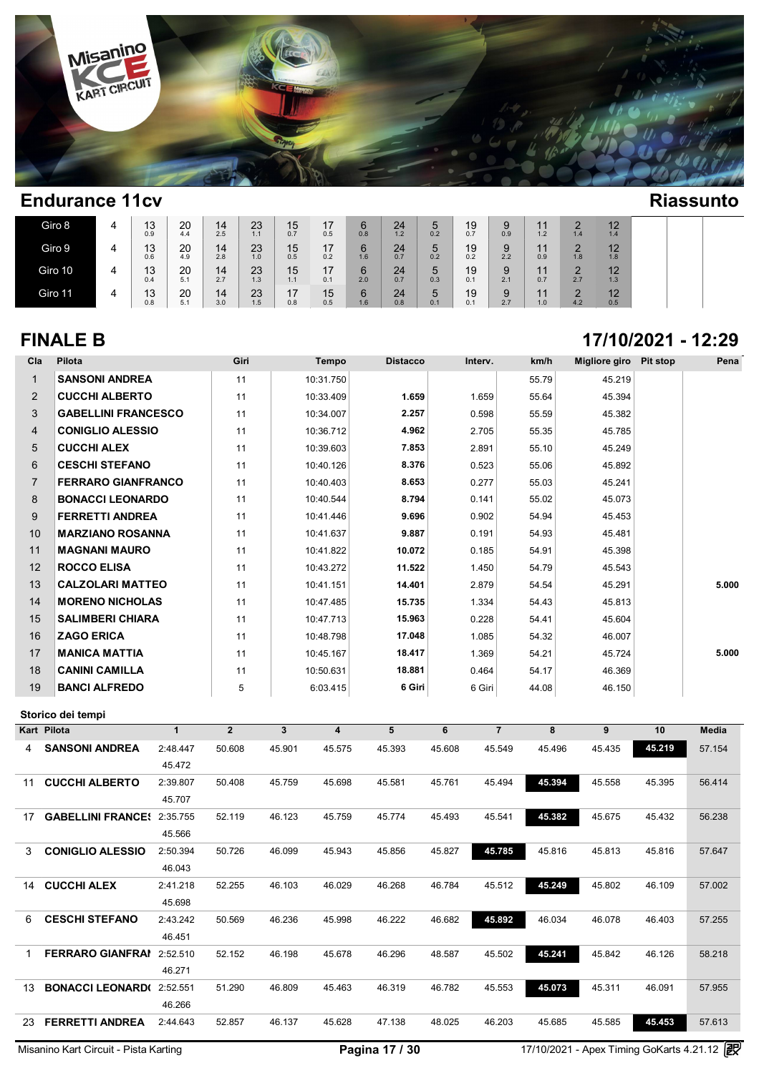

| Giro 8  | ▵ | 12<br>د ا<br>0.9 | 20<br>4.4 | 14<br>2.5 | 23<br>11<br>. . | 15<br>0.7                   | 17<br>0.5 | 6<br>0.8 | 24<br>1.2 | 5<br>0.2 | 19<br>0.7 | 9<br>0.9 | $\ddot{\phantom{0}}$<br>1.2 | $\Omega$<br>1.4 | 12<br>▪<br>1.4 |  |
|---------|---|------------------|-----------|-----------|-----------------|-----------------------------|-----------|----------|-----------|----------|-----------|----------|-----------------------------|-----------------|----------------|--|
| Giro 9  | д | 13<br>0.6        | 20<br>4.9 | 14<br>2.8 | 23<br>1.0       | 15<br>0.5                   | 17<br>0.2 | 6<br>1.6 | 24<br>0.7 | 5<br>0.2 | 19<br>0.2 | 9<br>2.2 | $\ddot{\phantom{0}}$<br>0.9 | $\Omega$<br>1.8 | 12<br>╺<br>1.8 |  |
| Giro 10 | 4 | 13<br>0.4        | 20<br>5.1 | 14<br>2.7 | 23<br>1.3       | 15<br>1.1                   | 17<br>0.1 | 6<br>2.0 | 24<br>0.7 | 5<br>0.3 | 19<br>0.1 | 9<br>2.1 | $\ddot{\phantom{0}}$<br>0.7 | $\Omega$<br>2.7 | 12<br>1.3      |  |
| Giro 11 | 4 | 12<br>د ا<br>0.8 | 20<br>5.1 | 14<br>3.0 | 23<br>1.5       | 17<br>$\blacksquare$<br>0.8 | 15<br>0.5 | 6<br>1.6 | 24<br>0.8 | 5<br>0.1 | 19<br>0.1 | 9<br>2.7 | $\ddot{\phantom{0}}$<br>1.0 | 4.2             | 12<br>0.5      |  |

### **FINALE B 17/10/2021 - 12:29**

| Cla            | Pilota                     | Giri | Tempo     | <b>Distacco</b> | Interv. | km/h  | Migliore giro Pit stop | Pena  |
|----------------|----------------------------|------|-----------|-----------------|---------|-------|------------------------|-------|
| 1              | <b>SANSONI ANDREA</b>      | 11   | 10:31.750 |                 |         | 55.79 | 45.219                 |       |
| $\overline{2}$ | <b>CUCCHI ALBERTO</b>      | 11   | 10:33.409 | 1.659           | 1.659   | 55.64 | 45.394                 |       |
| 3              | <b>GABELLINI FRANCESCO</b> | 11   | 10:34.007 | 2.257           | 0.598   | 55.59 | 45.382                 |       |
| 4              | <b>CONIGLIO ALESSIO</b>    | 11   | 10:36.712 | 4.962           | 2.705   | 55.35 | 45.785                 |       |
| 5              | <b>CUCCHI ALEX</b>         | 11   | 10:39.603 | 7.853           | 2.891   | 55.10 | 45.249                 |       |
| 6              | <b>CESCHI STEFANO</b>      | 11   | 10:40.126 | 8.376           | 0.523   | 55.06 | 45.892                 |       |
| $\overline{7}$ | <b>FERRARO GIANFRANCO</b>  | 11   | 10:40.403 | 8.653           | 0.277   | 55.03 | 45.241                 |       |
| 8              | <b>BONACCI LEONARDO</b>    | 11   | 10:40.544 | 8.794           | 0.141   | 55.02 | 45.073                 |       |
| 9              | <b>FERRETTI ANDREA</b>     | 11   | 10:41.446 | 9.696           | 0.902   | 54.94 | 45.453                 |       |
| 10             | <b>MARZIANO ROSANNA</b>    | 11   | 10:41.637 | 9.887           | 0.191   | 54.93 | 45.481                 |       |
| 11             | <b>MAGNANI MAURO</b>       | 11   | 10:41.822 | 10.072          | 0.185   | 54.91 | 45.398                 |       |
| 12             | <b>ROCCO ELISA</b>         | 11   | 10:43.272 | 11.522          | 1.450   | 54.79 | 45.543                 |       |
| 13             | <b>CALZOLARI MATTEO</b>    | 11   | 10:41.151 | 14.401          | 2.879   | 54.54 | 45.291                 | 5.000 |
| 14             | <b>MORENO NICHOLAS</b>     | 11   | 10:47.485 | 15.735          | 1.334   | 54.43 | 45.813                 |       |
| 15             | <b>SALIMBERI CHIARA</b>    | 11   | 10:47.713 | 15.963          | 0.228   | 54.41 | 45.604                 |       |
| 16             | <b>ZAGO ERICA</b>          | 11   | 10:48.798 | 17.048          | 1.085   | 54.32 | 46.007                 |       |
| 17             | <b>MANICA MATTIA</b>       | 11   | 10:45.167 | 18.417          | 1.369   | 54.21 | 45.724                 | 5.000 |
| 18             | <b>CANINI CAMILLA</b>      | 11   | 10:50.631 | 18.881          | 0.464   | 54.17 | 46.369                 |       |
| 19             | <b>BANCI ALFREDO</b>       | 5    | 6:03.415  | 6 Giri          | 6 Giri  | 44.08 | 46.150                 |       |

| Kart | Pilota                   | 1        | $\overline{2}$ | 3      | 4      | 5      | 6      | 7      | 8      | 9      | 10     | <b>Media</b> |
|------|--------------------------|----------|----------------|--------|--------|--------|--------|--------|--------|--------|--------|--------------|
| 4    | <b>SANSONI ANDREA</b>    | 2:48.447 | 50.608         | 45.901 | 45.575 | 45.393 | 45.608 | 45.549 | 45.496 | 45.435 | 45.219 | 57.154       |
|      |                          | 45.472   |                |        |        |        |        |        |        |        |        |              |
| 11   | <b>CUCCHI ALBERTO</b>    | 2:39.807 | 50.408         | 45.759 | 45.698 | 45.581 | 45.761 | 45.494 | 45.394 | 45.558 | 45.395 | 56.414       |
|      |                          | 45.707   |                |        |        |        |        |        |        |        |        |              |
| 17   | <b>GABELLINI FRANCE!</b> | 2:35.755 | 52.119         | 46.123 | 45.759 | 45.774 | 45.493 | 45.541 | 45.382 | 45.675 | 45.432 | 56.238       |
|      |                          | 45.566   |                |        |        |        |        |        |        |        |        |              |
| 3    | <b>CONIGLIO ALESSIO</b>  | 2:50.394 | 50.726         | 46.099 | 45.943 | 45.856 | 45.827 | 45.785 | 45.816 | 45.813 | 45.816 | 57.647       |
|      |                          | 46.043   |                |        |        |        |        |        |        |        |        |              |
| 14   | <b>CUCCHI ALEX</b>       | 2:41.218 | 52.255         | 46.103 | 46.029 | 46.268 | 46.784 | 45.512 | 45.249 | 45.802 | 46.109 | 57.002       |
|      |                          | 45.698   |                |        |        |        |        |        |        |        |        |              |
| 6.   | <b>CESCHI STEFANO</b>    | 2:43.242 | 50.569         | 46.236 | 45.998 | 46.222 | 46.682 | 45.892 | 46.034 | 46.078 | 46.403 | 57.255       |
|      |                          | 46.451   |                |        |        |        |        |        |        |        |        |              |
|      | <b>FERRARO GIANFRAI</b>  | 2:52.510 | 52.152         | 46.198 | 45.678 | 46.296 | 48.587 | 45.502 | 45.241 | 45.842 | 46.126 | 58.218       |
|      |                          | 46.271   |                |        |        |        |        |        |        |        |        |              |
| 13   | <b>BONACCI LEONARD(</b>  | 2:52.551 | 51.290         | 46.809 | 45.463 | 46.319 | 46.782 | 45.553 | 45.073 | 45.311 | 46.091 | 57.955       |
|      |                          | 46.266   |                |        |        |        |        |        |        |        |        |              |
| 23   | <b>FERRETTI ANDREA</b>   | 2:44.643 | 52.857         | 46.137 | 45.628 | 47.138 | 48.025 | 46.203 | 45.685 | 45.585 | 45.453 | 57.613       |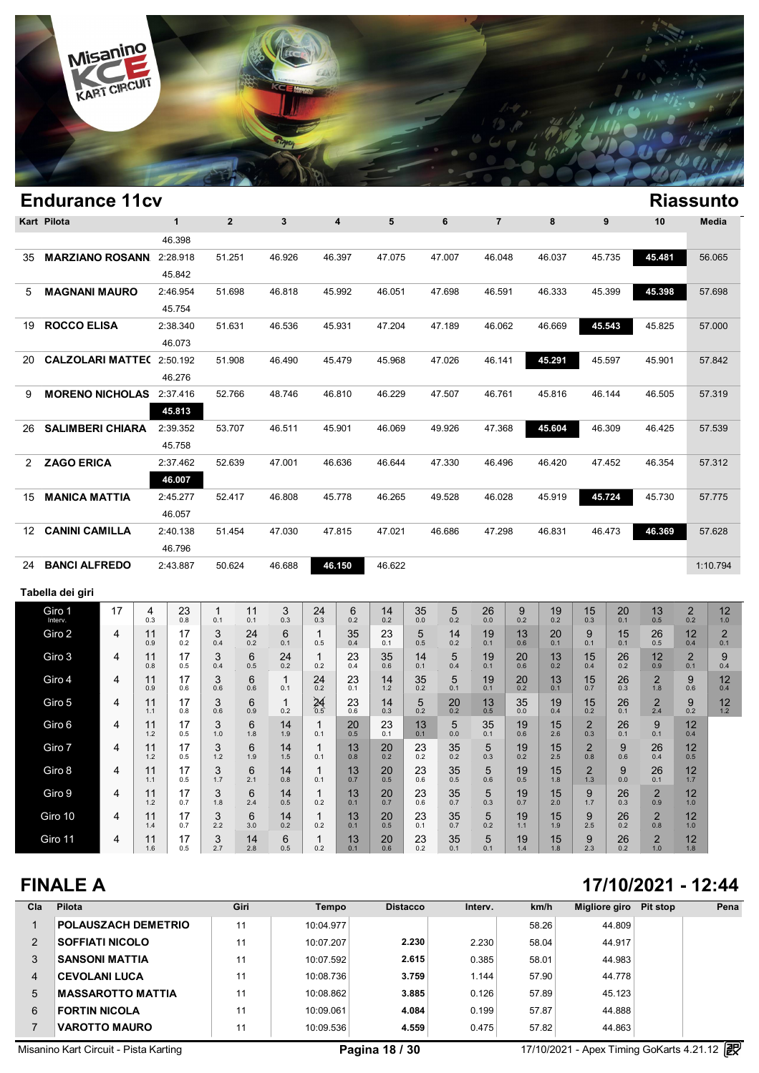

|                      | <b>Endurance 11cv</b>           |    |           |                    |                         |           |                     |                     |           |           |           |                     |                |               |           |                       |           |                       |              | <b>Riassunto</b>           |
|----------------------|---------------------------------|----|-----------|--------------------|-------------------------|-----------|---------------------|---------------------|-----------|-----------|-----------|---------------------|----------------|---------------|-----------|-----------------------|-----------|-----------------------|--------------|----------------------------|
|                      | Kart Pilota                     |    |           | $\mathbf{1}$       | $\overline{\mathbf{2}}$ |           | 3                   |                     | 4         | 5         |           | 6                   | $\overline{7}$ |               | 8         |                       | 9         | 10                    |              | Media                      |
|                      |                                 |    |           | 46.398             |                         |           |                     |                     |           |           |           |                     |                |               |           |                       |           |                       |              |                            |
| 35                   | <b>MARZIANO ROSANN</b>          |    |           | 2:28.918           | 51.251                  |           | 46.926              |                     | 46.397    | 47.075    |           | 47.007              | 46.048         |               | 46.037    |                       | 45.735    | 45.481                |              | 56.065                     |
|                      |                                 |    |           | 45.842             |                         |           |                     |                     |           |           |           |                     |                |               |           |                       |           |                       |              |                            |
| 5                    | <b>MAGNANI MAURO</b>            |    |           | 2:46.954           | 51.698                  |           | 46.818              |                     | 45.992    | 46.051    |           | 47.698              | 46.591         |               | 46.333    |                       | 45.399    | 45.398                |              | 57.698                     |
|                      |                                 |    |           | 45.754             |                         |           |                     |                     |           |           |           |                     |                |               |           |                       |           |                       |              |                            |
| 19                   | <b>ROCCO ELISA</b>              |    |           | 2:38.340           | 51.631                  |           | 46.536              |                     | 45.931    | 47.204    |           | 47.189              | 46.062         |               | 46.669    |                       | 45.543    | 45.825                |              | 57.000                     |
| 20                   | <b>CALZOLARI MATTE(2:50.192</b> |    |           | 46.073             | 51.908                  |           | 46.490              |                     | 45.479    | 45.968    |           | 47.026              | 46.141         |               | 45.291    |                       | 45.597    | 45.901                |              | 57.842                     |
|                      |                                 |    |           | 46.276             |                         |           |                     |                     |           |           |           |                     |                |               |           |                       |           |                       |              |                            |
| 9                    | <b>MORENO NICHOLAS</b> 2:37.416 |    |           |                    | 52.766                  |           | 48.746              |                     | 46.810    | 46.229    |           | 47.507              | 46.761         |               | 45.816    |                       | 46.144    | 46.505                |              | 57.319                     |
|                      |                                 |    |           | 45.813             |                         |           |                     |                     |           |           |           |                     |                |               |           |                       |           |                       |              |                            |
| 26                   | <b>SALIMBERI CHIARA</b>         |    |           | 2:39.352           | 53.707                  |           | 46.511              |                     | 45.901    | 46.069    |           | 49.926              | 47.368         |               | 45.604    |                       | 46.309    | 46.425                |              | 57.539                     |
|                      |                                 |    |           | 45.758             |                         |           |                     |                     |           |           |           |                     |                |               |           |                       |           |                       |              |                            |
| $\mathbf{2}^{\circ}$ | <b>ZAGO ERICA</b>               |    |           | 2:37.462           | 52.639                  |           | 47.001              |                     | 46.636    | 46.644    |           | 47.330              | 46.496         |               | 46.420    |                       | 47.452    | 46.354                |              | 57.312                     |
|                      |                                 |    |           | 46.007             |                         |           |                     |                     |           |           |           |                     |                |               |           |                       |           |                       |              |                            |
| 15                   | <b>MANICA MATTIA</b>            |    |           | 2:45.277           | 52.417                  |           | 46.808              |                     | 45.778    | 46.265    |           | 49.528              | 46.028         |               | 45.919    |                       | 45.724    | 45.730                |              | 57.775                     |
|                      |                                 |    |           | 46.057             |                         |           |                     |                     |           |           |           |                     |                |               |           |                       |           |                       |              |                            |
| 12                   | <b>CANINI CAMILLA</b>           |    |           | 2:40.138<br>46.796 | 51.454                  |           | 47.030              |                     | 47.815    | 47.021    |           | 46.686              | 47.298         |               | 46.831    |                       | 46.473    | 46.369                |              | 57.628                     |
| 24                   | <b>BANCI ALFREDO</b>            |    |           | 2:43.887           | 50.624                  |           | 46.688              |                     | 46.150    | 46.622    |           |                     |                |               |           |                       |           |                       |              | 1:10.794                   |
|                      |                                 |    |           |                    |                         |           |                     |                     |           |           |           |                     |                |               |           |                       |           |                       |              |                            |
|                      | Tabella dei giri                |    |           |                    |                         |           |                     |                     |           |           |           |                     |                |               |           |                       |           |                       |              |                            |
|                      | Giro 1<br>Interv.               | 17 | 4<br>0.3  | 23<br>0.8          | 1<br>0.1                | 11<br>0.1 | 3<br>0.3            | 24<br>0.3           | 6<br>0.2  | 14<br>0.2 | 35<br>0.0 | 5<br>0.2            | 26<br>0.0      | 9<br>0.2      | 19<br>0.2 | 15<br>0.3             | 20<br>0.1 | 13<br>0.5             | $_{0.2}^{2}$ | $12 \overline{ }$<br>$1.0$ |
|                      | Giro 2                          | 4  | 11<br>0.9 | 17<br>0.2          | 3<br>0.4                | 24<br>0.2 | 6<br>0.1            | $\mathbf{1}$<br>0.5 | 35<br>0.4 | 23<br>0.1 | 5<br>0.5  | 14<br>0.2           | 19<br>0.1      | 13<br>0.6     | 20<br>0.1 | 9<br>0.1              | 15<br>0.1 | 26<br>0.5             | 12<br>0.4    | $\overline{2}$<br>0.1      |
|                      | Giro 3                          | 4  | 11        | 17                 | 3                       | 6         | 24                  | $\mathbf{1}$        | 23        | 35        | 14        | 5                   | 19             | 20            | 13        | 15                    | 26        | 12                    | $\mathbf 2$  | 9                          |
|                      | Giro 4                          | 4  | 0.8<br>11 | 0.5<br>17          | 0.4<br>3                | 0.5<br>6  | 0.2<br>$\mathbf{1}$ | 0.2<br>24           | 0.4<br>23 | 0.6<br>14 | 0.1<br>35 | 0.4<br>5            | 0.1<br>19      | 0.6<br>20     | 0.2<br>13 | 0.4<br>15             | 0.2<br>26 | 0.9<br>$\overline{2}$ | 0.1<br>9     | 0.4<br>12                  |
|                      |                                 |    | 0.9       | 0.6                | 0.6                     | 0.6       | 0.1                 | 0.2                 | 0.1       | 1.2       | 0.2       | 0.1                 | 0.1            | 0.2           | 0.1       | 0.7                   | 0.3       | 1.8                   | 0.6          | 0.4                        |
|                      | Giro 5                          | 4  | 11<br>1.1 | 17<br>0.8          | 3<br>0.6                | 6<br>0.9  | $\mathbf{1}$<br>0.2 | $24$ <sub>0.5</sub> | 23<br>0.6 | 14<br>0.3 | 5<br>0.2  | 20<br>0.2           | 13<br>0.5      | 35<br>$0.0\,$ | 19<br>0.4 | 15<br>0.2             | 26<br>0.1 | $\overline{2}$<br>2.4 | 9<br>0.2     | 12<br>1.2                  |
|                      | Giro 6                          | 4  | 11<br>1.2 | 17<br>0.5          | 3<br>$1.0$              | 6<br>1.8  | 14<br>1.9           | $\mathbf{1}$<br>0.1 | 20<br>0.5 | 23<br>0.1 | 13<br>0.1 | 5<br>$0.0\,$        | 35<br>0.1      | 19<br>0.6     | 15<br>2.6 | $^{2}_{0.3}$          | 26<br>0.1 | 9<br>0.1              | 12<br>0.4    |                            |
|                      | Giro 7                          | 4  | 11<br>1.2 | 17<br>0.5          | 3<br>1.2                | 6<br>1.9  | 14<br>1.5           | $\mathbf{1}$<br>0.1 | 13<br>0.8 | 20<br>0.2 | 23<br>0.2 | $35$ <sub>0.2</sub> | 5<br>0.3       | 19<br>0.2     | 15<br>2.5 | $\overline{2}$<br>0.8 | 9<br>0.6  | 26<br>0.4             | 12<br>0.5    |                            |
|                      | Giro 8                          | 4  | 11        | 17                 | 3                       | 6         | 14                  | $\mathbf{1}$        | 13        | 20        | 23        | 35                  | 5              | 19            | 15        | $\overline{2}$        | 9         | 26                    | 12           |                            |
|                      | Giro 9                          | 4  | 1.1<br>11 | 0.5<br>17          | $1.7$<br>3              | 2.1<br>6  | 0.8<br>14           | 0.1<br>$\mathbf{1}$ | 0.7<br>13 | 0.5<br>20 | 0.6<br>23 | 0.5<br>35           | 0.6<br>5       | 0.5<br>19     | 1.8<br>15 | $1.3$<br>9            | 0.0<br>26 | 0.1<br>$\overline{2}$ | 1.7<br>12    |                            |
|                      |                                 |    | $1.2$     | 0.7                | $1.8$                   | 2.4       | 0.5                 | 0.2                 | 0.1       | 0.7       | 0.6       | 0.7                 | 0.3            | $0.7\,$       | 2.0       | $1.7$                 | 0.3       | 0.9                   | $1.0\,$      |                            |
|                      | Giro 10                         | 4  | 11<br>1.4 | 17<br>0.7          | 3<br>2.2                | 6<br>3.0  | 14<br>0.2           | $\mathbf{1}$<br>0.2 | 13<br>0.1 | 20<br>0.5 | 23<br>0.1 | 35<br>0.7           | 5<br>0.2       | 19<br>1.1     | 15<br>1.9 | 9<br>2.5              | 26<br>0.2 | $\overline{2}$<br>0.8 | 12<br>1.0    |                            |
|                      | Giro 11                         | 4  | 11<br>1.6 | 17<br>0.5          | 3<br>2.7                | 14<br>2.8 | 6<br>0.5            | $\mathbf{1}$<br>0.2 | 13<br>0.1 | 20<br>0.6 | 23<br>0.2 | 35<br>0.1           | 5<br>0.1       | 19<br>1.4     | 15<br>1.8 | 9<br>2.3              | 26<br>0.2 | $\overline{2}$<br>1.0 | 12<br>1.8    |                            |

### **FINALE A 17/10/2021 - 12:44**

| Cla | Pilota                   | Giri | Tempo     | <b>Distacco</b> | Interv. | km/h  | Migliore giro | Pit stop | Pena |
|-----|--------------------------|------|-----------|-----------------|---------|-------|---------------|----------|------|
|     | POLAUSZACH DEMETRIO      | 11   | 10:04.977 |                 |         | 58.26 | 44.809        |          |      |
| 2   | <b>SOFFIATI NICOLO</b>   | 11   | 10:07.207 | 2.230           | 2.230   | 58.04 | 44.917        |          |      |
| 3   | <b>SANSONI MATTIA</b>    | 11   | 10:07.592 | 2.615           | 0.385   | 58.01 | 44.983        |          |      |
| 4   | <b>CEVOLANI LUCA</b>     | 11   | 10:08.736 | 3.759           | 1.144   | 57.90 | 44.778        |          |      |
| 5   | <b>MASSAROTTO MATTIA</b> | 11   | 10:08.862 | 3.885           | 0.126   | 57.89 | 45.123        |          |      |
| 6   | <b>FORTIN NICOLA</b>     | 11   | 10:09.061 | 4.084           | 0.199   | 57.87 | 44.888        |          |      |
|     | <b>VAROTTO MAURO</b>     | 11   | 10:09.536 | 4.559           | 0.475   | 57.82 | 44.863        |          |      |

Misanino Kart Circuit - Pista Karting **Carry Community Community Community** Pagina 18 / 30 17/10/2021 - Apex Timing GoKarts 4.21.12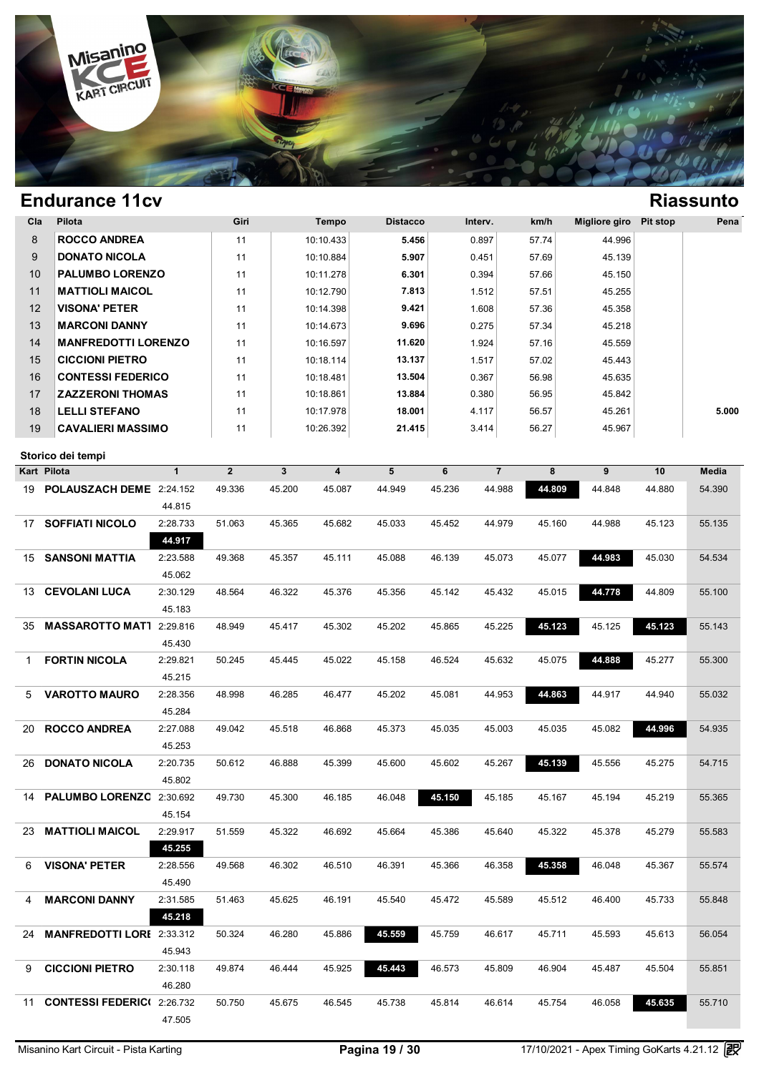

| Cla | <b>Pilota</b>              | Giri | Tempo     | <b>Distacco</b> | Interv. | km/h  | Migliore giro | Pit stop | Pena  |
|-----|----------------------------|------|-----------|-----------------|---------|-------|---------------|----------|-------|
| 8   | <b>ROCCO ANDREA</b>        | 11   | 10:10.433 | 5.456           | 0.897   | 57.74 | 44.996        |          |       |
| 9   | <b>DONATO NICOLA</b>       | 11   | 10:10.884 | 5.907           | 0.451   | 57.69 | 45.139        |          |       |
| 10  | <b>PALUMBO LORENZO</b>     | 11   | 10:11.278 | 6.301           | 0.394   | 57.66 | 45.150        |          |       |
| 11  | <b>MATTIOLI MAICOL</b>     | 11   | 10:12.790 | 7.813           | 1.512   | 57.51 | 45.255        |          |       |
| 12  | <b>VISONA' PETER</b>       | 11   | 10:14.398 | 9.421           | 1.608   | 57.36 | 45.358        |          |       |
| 13  | <b>MARCONI DANNY</b>       | 11   | 10:14.673 | 9.696           | 0.275   | 57.34 | 45.218        |          |       |
| 14  | <b>MANFREDOTTI LORENZO</b> | 11   | 10:16.597 | 11.620          | 1.924   | 57.16 | 45.559        |          |       |
| 15  | <b>CICCIONI PIETRO</b>     | 11   | 10:18.114 | 13.137          | 1.517   | 57.02 | 45.443        |          |       |
| 16  | <b>CONTESSI FEDERICO</b>   | 11   | 10:18.481 | 13.504          | 0.367   | 56.98 | 45.635        |          |       |
| 17  | <b>ZAZZERONI THOMAS</b>    | 11   | 10:18.861 | 13.884          | 0.380   | 56.95 | 45.842        |          |       |
| 18  | <b>LELLI STEFANO</b>       | 11   | 10:17.978 | 18.001          | 4.117   | 56.57 | 45.261        |          | 5.000 |
| 19  | <b>CAVALIERI MASSIMO</b>   | 11   | 10:26.392 | 21.415          | 3.414   | 56.27 | 45.967        |          |       |

|     | Kart Pilota                      | $\mathbf{1}$ | $\overline{2}$ | $\mathbf{3}$ | 4      | 5      | 6      | $\overline{7}$ | 8      | 9      | 10     | Media  |
|-----|----------------------------------|--------------|----------------|--------------|--------|--------|--------|----------------|--------|--------|--------|--------|
| 19  | POLAUSZACH DEME 2:24.152         |              | 49.336         | 45.200       | 45.087 | 44.949 | 45.236 | 44.988         | 44.809 | 44.848 | 44.880 | 54.390 |
|     |                                  | 44.815       |                |              |        |        |        |                |        |        |        |        |
| 17  | <b>SOFFIATI NICOLO</b>           | 2:28.733     | 51.063         | 45.365       | 45.682 | 45.033 | 45.452 | 44.979         | 45.160 | 44.988 | 45.123 | 55.135 |
|     |                                  | 44.917       |                |              |        |        |        |                |        |        |        |        |
| 15  | <b>SANSONI MATTIA</b>            | 2:23.588     | 49.368         | 45.357       | 45.111 | 45.088 | 46.139 | 45.073         | 45.077 | 44.983 | 45.030 | 54.534 |
|     |                                  | 45.062       |                |              |        |        |        |                |        |        |        |        |
| 13. | <b>CEVOLANI LUCA</b>             | 2:30.129     | 48.564         | 46.322       | 45.376 | 45.356 | 45.142 | 45.432         | 45.015 | 44.778 | 44.809 | 55.100 |
|     |                                  | 45.183       |                |              |        |        |        |                |        |        |        |        |
| 35  | <b>MASSAROTTO MAT1</b>           | 2:29.816     | 48.949         | 45.417       | 45.302 | 45.202 | 45.865 | 45.225         | 45.123 | 45.125 | 45.123 | 55.143 |
|     |                                  | 45.430       |                |              |        |        |        |                |        |        |        |        |
| 1   | <b>FORTIN NICOLA</b>             | 2:29.821     | 50.245         | 45.445       | 45.022 | 45.158 | 46.524 | 45.632         | 45.075 | 44.888 | 45.277 | 55.300 |
|     |                                  | 45.215       |                |              |        |        |        |                |        |        |        |        |
| 5.  | <b>VAROTTO MAURO</b>             | 2:28.356     | 48.998         | 46.285       | 46.477 | 45.202 | 45.081 | 44.953         | 44.863 | 44.917 | 44.940 | 55.032 |
|     |                                  | 45.284       |                |              |        |        |        |                |        |        |        |        |
| 20  | <b>ROCCO ANDREA</b>              | 2:27.088     | 49.042         | 45.518       | 46.868 | 45.373 | 45.035 | 45.003         | 45.035 | 45.082 | 44.996 | 54.935 |
|     |                                  | 45.253       |                |              |        |        |        |                |        |        |        |        |
| 26  | <b>DONATO NICOLA</b>             | 2:20.735     | 50.612         | 46.888       | 45.399 | 45.600 | 45.602 | 45.267         | 45.139 | 45.556 | 45.275 | 54.715 |
|     |                                  | 45.802       |                |              |        |        |        |                |        |        |        |        |
| 14  | <b>PALUMBO LORENZC</b>           | 2:30.692     | 49.730         | 45.300       | 46.185 | 46.048 | 45.150 | 45.185         | 45.167 | 45.194 | 45.219 | 55.365 |
|     |                                  | 45.154       |                |              |        |        |        |                |        |        |        |        |
| 23  | <b>MATTIOLI MAICOL</b>           | 2:29.917     | 51.559         | 45.322       | 46.692 | 45.664 | 45.386 | 45.640         | 45.322 | 45.378 | 45.279 | 55.583 |
|     |                                  | 45.255       |                |              |        |        |        |                |        |        |        |        |
| 6   | <b>VISONA' PETER</b>             | 2:28.556     | 49.568         | 46.302       | 46.510 | 46.391 | 45.366 | 46.358         | 45.358 | 46.048 | 45.367 | 55.574 |
|     |                                  | 45.490       |                |              |        |        |        |                |        |        |        |        |
| 4   | <b>MARCONI DANNY</b>             | 2:31.585     | 51.463         | 45.625       | 46.191 | 45.540 | 45.472 | 45.589         | 45.512 | 46.400 | 45.733 | 55.848 |
|     |                                  | 45.218       |                |              |        |        |        |                |        |        |        |        |
| 24  | <b>MANFREDOTTI LORI</b> 2:33.312 |              | 50.324         | 46.280       | 45.886 | 45.559 | 45.759 | 46.617         | 45.711 | 45.593 | 45.613 | 56.054 |
|     |                                  | 45.943       |                |              |        |        |        |                |        |        |        |        |
| 9   | <b>CICCIONI PIETRO</b>           | 2:30.118     | 49.874         | 46.444       | 45.925 | 45.443 | 46.573 | 45.809         | 46.904 | 45.487 | 45.504 | 55.851 |
|     |                                  | 46.280       |                |              |        |        |        |                |        |        |        |        |
| 11  | <b>CONTESSI FEDERICI</b>         | 2:26.732     | 50.750         | 45.675       | 46.545 | 45.738 | 45.814 | 46.614         | 45.754 | 46.058 | 45.635 | 55.710 |
|     |                                  | 47.505       |                |              |        |        |        |                |        |        |        |        |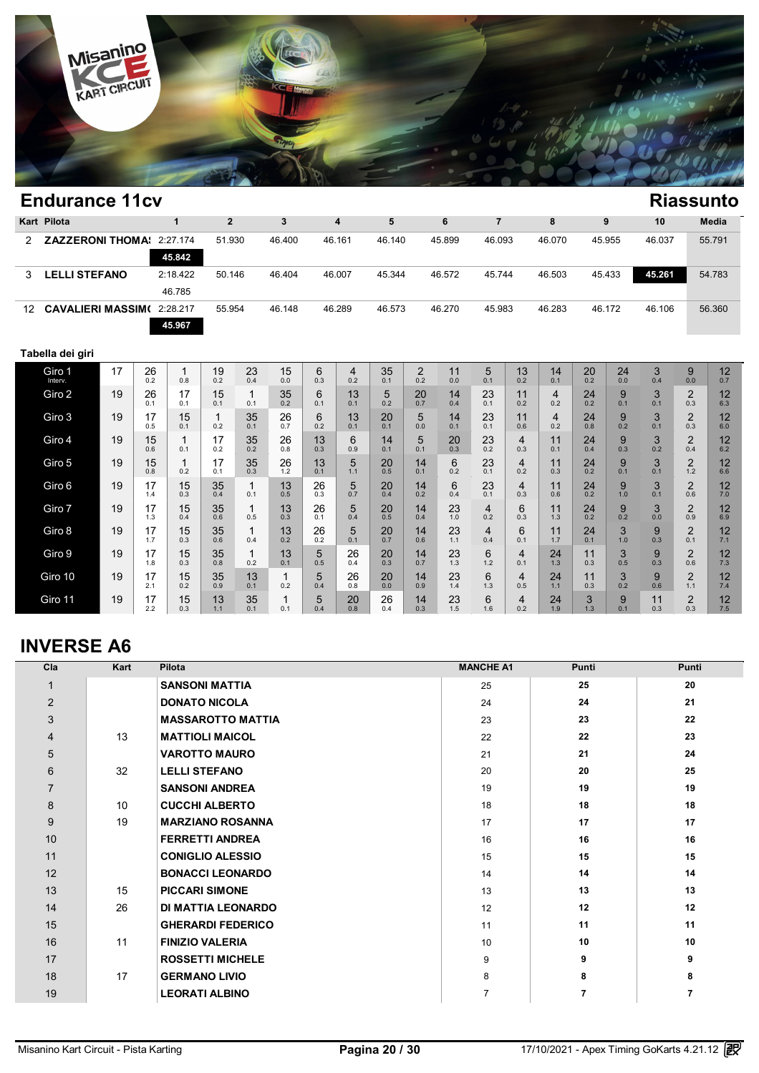

|                 | <b>Endurance 11cv</b><br><b>Riassunto</b> |    |           |                     |                |                    |           |           |                         |           |                       |           |                       |           |           |           |           |           |                       |           |
|-----------------|-------------------------------------------|----|-----------|---------------------|----------------|--------------------|-----------|-----------|-------------------------|-----------|-----------------------|-----------|-----------------------|-----------|-----------|-----------|-----------|-----------|-----------------------|-----------|
|                 | Kart Pilota                               |    |           | $\mathbf{1}$        | $\overline{2}$ |                    | 3         |           | $\overline{\mathbf{4}}$ | 5         |                       | 6         | $\overline{7}$        |           | 8         |           | 9         | 10        |                       | Media     |
| 2               | <b>ZAZZERONI THOMA:</b>                   |    |           | 2:27.174<br>45.842  | 51.930         |                    | 46.400    |           | 46.161                  | 46.140    |                       | 45.899    | 46.093                |           | 46.070    |           | 45.955    | 46.037    |                       | 55.791    |
| 3               | <b>LELLI STEFANO</b>                      |    |           | 2:18.422<br>46.785  | 50.146         |                    | 46.404    |           | 46.007                  | 45.344    |                       | 46.572    | 45.744                |           | 46.503    |           | 45.433    | 45.261    |                       | 54.783    |
| 12 <sup>°</sup> | <b>CAVALIERI MASSIM(</b>                  |    |           | 2:28.217<br>45.967  | 55.954         |                    | 46.148    |           | 46.289                  | 46.573    |                       | 46.270    | 45.983                |           | 46.283    |           | 46.172    | 46.106    |                       | 56.360    |
|                 | Tabella dei giri                          |    |           |                     |                |                    |           |           |                         |           |                       |           |                       |           |           |           |           |           |                       |           |
|                 | Giro 1<br>Interv.                         | 17 | 26<br>0.2 | $\mathbf{1}$<br>0.8 | 19<br>0.2      | 23<br>0.4          | 15<br>0.0 | 6<br>0.3  | 4<br>0.2                | 35<br>0.1 | $\overline{2}$<br>0.2 | 11<br>0.0 | $\sqrt{5}$<br>0.1     | 13<br>0.2 | 14<br>0.1 | 20<br>0.2 | 24<br>0.0 | 3<br>0.4  | 9<br>0.0              | 12<br>0.7 |
|                 | Giro 2                                    | 19 | 26<br>0.1 | 17<br>0.1           | 15<br>0.1      | 1<br>0.1           | 35<br>0.2 | 6<br>0.1  | 13<br>0.1               | 5<br>0.2  | 20<br>0.7             | 14<br>0.4 | 23<br>0.1             | 11<br>0.2 | 4<br>0.2  | 24<br>0.2 | 9<br>0.1  | 3<br>0.1  | $\overline{2}$<br>0.3 | 12<br>6.3 |
|                 | Giro 3                                    | 19 | 17<br>0.5 | 15<br>0.1           | 0.2            | 35<br>0.1          | 26<br>0.7 | 6<br>0.2  | 13<br>0.1               | 20<br>0.1 | 5<br>0.0              | 14<br>0.1 | 23<br>0.1             | 11<br>0.6 | 4<br>0.2  | 24<br>0.8 | 9<br>0.2  | 3<br>0.1  | $\overline{2}$<br>0.3 | 12<br>6.0 |
|                 | Giro 4                                    | 19 | 15<br>0.6 | $\mathbf{1}$<br>0.1 | 17<br>0.2      | 35<br>0.2          | 26<br>0.8 | 13<br>0.3 | 6<br>0.9                | 14<br>0.1 | 5<br>0.1              | 20<br>0.3 | 23<br>0.2             | 4<br>0.3  | 11<br>0.1 | 24<br>0.4 | 9<br>0.3  | 3<br>0.2  | $\overline{2}$<br>0.4 | 12<br>6.2 |
|                 | Giro 5                                    | 19 | 15<br>0.8 | $\mathbf{1}$<br>0.2 | 17<br>0.1      | 35<br>0.3          | 26<br>1.2 | 13<br>0.1 | 5<br>1.1                | 20<br>0.5 | 14<br>0.1             | 6<br>0.2  | 23<br>0.1             | 4<br>0.2  | 11<br>0.3 | 24<br>0.2 | 9<br>0.1  | 3<br>0.1  | $\overline{2}$<br>1.2 | 12<br>6.6 |
|                 | Giro 6                                    | 19 | 17<br>1.4 | 15<br>0.3           | 35<br>0.4      | $\mathbf 1$<br>0.1 | 13<br>0.5 | 26<br>0.3 | 5<br>0.7                | 20<br>0.4 | 14<br>0.2             | 6<br>0.4  | 23<br>0.1             | 4<br>0.3  | 11<br>0.6 | 24<br>0.2 | 9<br>1.0  | 3<br>0.1  | $\overline{2}$<br>0.6 | 12<br>7.0 |
|                 | Giro 7                                    | 19 | 17<br>1.3 | 15<br>0.4           | 35<br>0.6      | $\mathbf 1$<br>0.5 | 13<br>0.3 | 26<br>0.1 | 5<br>0.4                | 20<br>0.5 | 14<br>0.4             | 23<br>1.0 | $\overline{4}$<br>0.2 | 6<br>0.3  | 11<br>1.3 | 24<br>0.2 | 9<br>0.2  | 3<br>0.0  | $\overline{2}$<br>0.9 | 12<br>6.9 |
|                 | Giro 8                                    | 19 | 17<br>1.7 | 15<br>0.3           | 35<br>0.6      | 1<br>0.4           | 13<br>0.2 | 26<br>0.2 | 5<br>0.1                | 20<br>0.7 | 14<br>0.6             | 23<br>1.1 | $\overline{4}$<br>0.4 | 6<br>0.1  | 11<br>1.7 | 24<br>0.1 | 3<br>1.0  | 9<br>0.3  | $\overline{2}$<br>0.1 | 12<br>7.1 |
|                 | Giro 9                                    | 19 | 17<br>1.8 | 15<br>0.3           | 35<br>0.8      | $\mathbf 1$<br>0.2 | 13<br>0.1 | 5<br>0.5  | 26<br>0.4               | 20<br>0.3 | 14<br>0.7             | 23<br>1.3 | 6<br>1.2              | 4<br>0.1  | 24<br>1.3 | 11<br>0.3 | 3<br>0.5  | 9<br>0.3  | $\overline{2}$<br>0.6 | 12<br>7.3 |
|                 | Giro 10                                   | 19 | 17<br>2.1 | 15<br>0.2           | 35<br>0.9      | 13<br>0.1          | 1<br>0.2  | 5<br>0.4  | 26<br>0.8               | 20<br>0.0 | 14<br>0.9             | 23<br>1.4 | 6<br>1.3              | 4<br>0.5  | 24<br>1.1 | 11<br>0.3 | 3<br>0.2  | 9<br>0.6  | $\overline{2}$<br>1.1 | 12<br>7.4 |
|                 | Giro 11                                   | 19 | 17<br>2.2 | 15<br>0.3           | 13<br>1.1      | 35<br>0.1          | 1<br>0.1  | 5<br>0.4  | 20<br>0.8               | 26<br>0.4 | 14<br>0.3             | 23<br>1.5 | 6<br>1.6              | 4<br>0.2  | 24<br>1.9 | 3<br>1.3  | 9<br>0.1  | 11<br>0.3 | $\overline{2}$<br>0.3 | 12<br>7.5 |

## **INVERSE A6**

| Cla            | Kart | Pilota                   | <b>MANCHE A1</b> | Punti          | Punti          |
|----------------|------|--------------------------|------------------|----------------|----------------|
|                |      | <b>SANSONI MATTIA</b>    | 25               | 25             | 20             |
| $\overline{2}$ |      | <b>DONATO NICOLA</b>     | 24               | 24             | 21             |
| 3              |      | <b>MASSAROTTO MATTIA</b> | 23               | 23             | 22             |
| $\overline{4}$ | 13   | <b>MATTIOLI MAICOL</b>   | 22               | 22             | 23             |
| 5              |      | <b>VAROTTO MAURO</b>     | 21               | 21             | 24             |
| 6              | 32   | <b>LELLI STEFANO</b>     | 20               | 20             | 25             |
| $\overline{7}$ |      | <b>SANSONI ANDREA</b>    | 19               | 19             | 19             |
| 8              | 10   | <b>CUCCHI ALBERTO</b>    | 18               | 18             | 18             |
| 9              | 19   | <b>MARZIANO ROSANNA</b>  | 17               | 17             | 17             |
| 10             |      | <b>FERRETTI ANDREA</b>   | 16               | 16             | 16             |
| 11             |      | <b>CONIGLIO ALESSIO</b>  | 15               | 15             | 15             |
| 12             |      | <b>BONACCI LEONARDO</b>  | 14               | 14             | 14             |
| 13             | 15   | <b>PICCARI SIMONE</b>    | 13               | 13             | 13             |
| 14             | 26   | DI MATTIA LEONARDO       | 12               | 12             | 12             |
| 15             |      | <b>GHERARDI FEDERICO</b> | 11               | 11             | 11             |
| 16             | 11   | <b>FINIZIO VALERIA</b>   | 10               | 10             | 10             |
| 17             |      | <b>ROSSETTI MICHELE</b>  | 9                | 9              | 9              |
| 18             | 17   | <b>GERMANO LIVIO</b>     | 8                | 8              | 8              |
| 19             |      | <b>LEORATI ALBINO</b>    | $\overline{7}$   | $\overline{7}$ | $\overline{7}$ |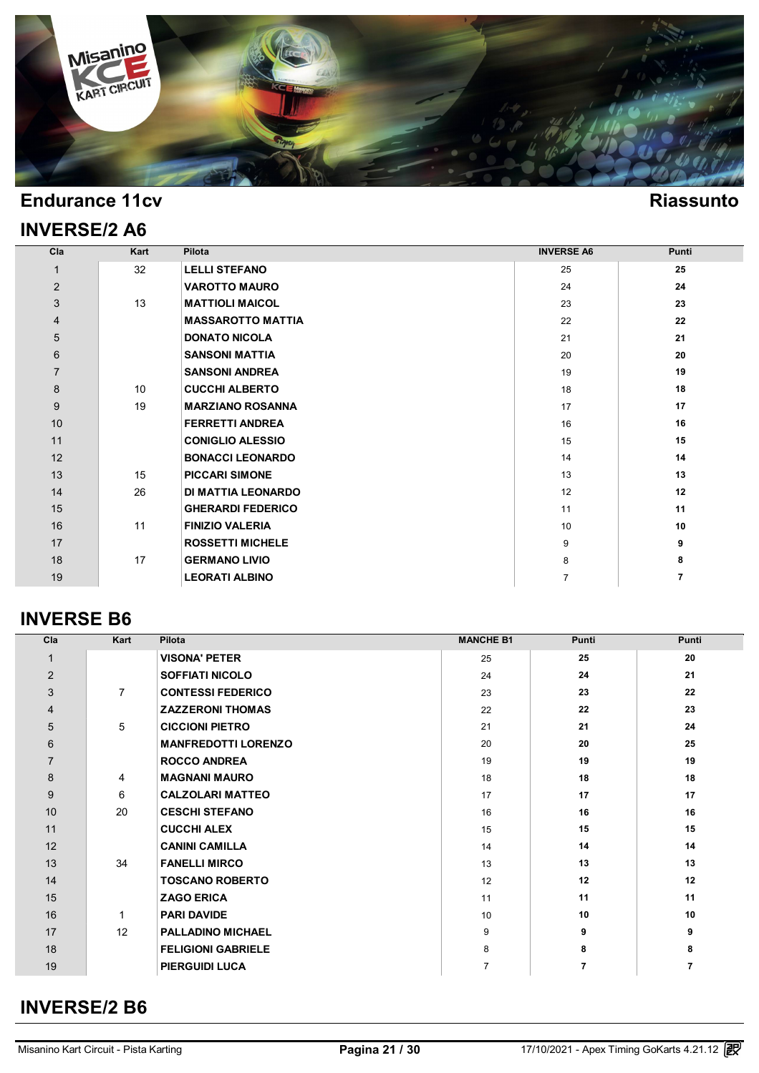

### **INVERSE/2 A6**

#### **Cla Kart Pilota INVERSE A6 Punti** 32 **LELLI STEFANO** 25 **25 VAROTTO MAURO** 24 **24** 13 **MATTIOLI MAICOL** 23 **23 MASSAROTTO MATTIA** 22 **22 DONATO NICOLA** 21 **21 SANSONI MATTIA** 20 **20 SANSONI ANDREA** 19 **19** 10 **CUCCHI ALBERTO** 18 **18** 19 **MARZIANO ROSANNA** 17 **17 FERRETTI ANDREA** 16 **16 CONIGLIO ALESSIO** 15 **15 15 11 11 BONACCI LEONARDO** 14 **14** 15 **PICCARI SIMONE** 13 **13** 26 **DI MATTIA LEONARDO** 12 **12 GHERARDI FEDERICO 11 11 11 11**  11 **FINIZIO VALERIA** 10 **10 ROSSETTI MICHELE** 9 **9** 17 **GERMANO LIVIO** 8 **8 LEORATI ALBINO** 7 **7**

#### **INVERSE B6**

| Cla            | Kart           | Pilota                     | <b>MANCHE B1</b> | Punti          | Punti |
|----------------|----------------|----------------------------|------------------|----------------|-------|
| 1              |                | <b>VISONA' PETER</b>       | 25               | 25             | 20    |
| 2              |                | <b>SOFFIATI NICOLO</b>     | 24               | 24             | 21    |
| 3              | $\overline{7}$ | <b>CONTESSI FEDERICO</b>   | 23               | 23             | 22    |
| $\overline{4}$ |                | <b>ZAZZERONI THOMAS</b>    | 22               | 22             | 23    |
| 5              | 5              | <b>CICCIONI PIETRO</b>     | 21               | 21             | 24    |
| 6              |                | <b>MANFREDOTTI LORENZO</b> | 20               | 20             | 25    |
| $\overline{7}$ |                | <b>ROCCO ANDREA</b>        | 19               | 19             | 19    |
| 8              | 4              | <b>MAGNANI MAURO</b>       | 18               | 18             | 18    |
| 9              | 6              | <b>CALZOLARI MATTEO</b>    | 17               | 17             | 17    |
| 10             | 20             | <b>CESCHI STEFANO</b>      | 16               | 16             | 16    |
| 11             |                | <b>CUCCHI ALEX</b>         | 15               | 15             | 15    |
| 12             |                | <b>CANINI CAMILLA</b>      | 14               | 14             | 14    |
| 13             | 34             | <b>FANELLI MIRCO</b>       | 13               | 13             | 13    |
| 14             |                | <b>TOSCANO ROBERTO</b>     | 12               | 12             | 12    |
| 15             |                | <b>ZAGO ERICA</b>          | 11               | 11             | 11    |
| 16             | -1             | <b>PARI DAVIDE</b>         | 10               | 10             | 10    |
| 17             | 12             | <b>PALLADINO MICHAEL</b>   | 9                | 9              | 9     |
| 18             |                | <b>FELIGIONI GABRIELE</b>  | 8                | 8              | 8     |
| 19             |                | <b>PIERGUIDI LUCA</b>      | $\overline{7}$   | $\overline{7}$ | 7     |

### **INVERSE/2 B6**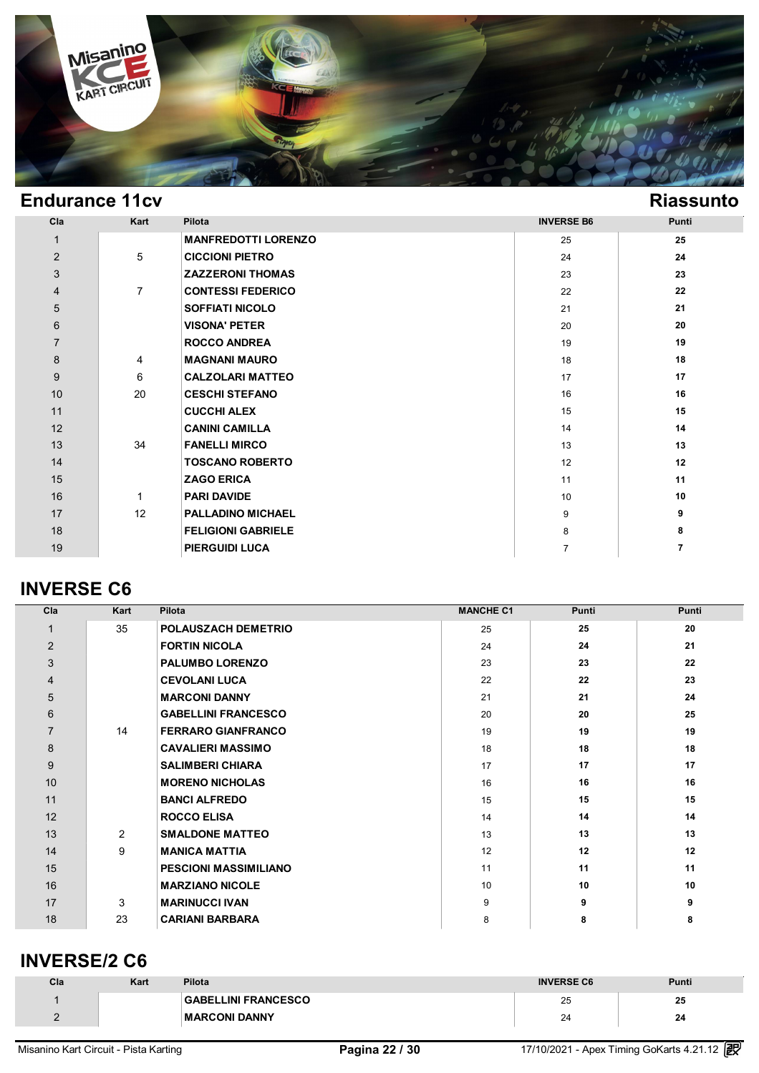

| Cla            | Kart           | Pilota                     | <b>INVERSE B6</b> | <b>Punti</b> |
|----------------|----------------|----------------------------|-------------------|--------------|
| $\mathbf{1}$   |                | <b>MANFREDOTTI LORENZO</b> | 25                | 25           |
| $\overline{2}$ | 5              | <b>CICCIONI PIETRO</b>     | 24                | 24           |
| 3              |                | <b>ZAZZERONI THOMAS</b>    | 23                | 23           |
| 4              | $\overline{7}$ | <b>CONTESSI FEDERICO</b>   | 22                | 22           |
| $\sqrt{5}$     |                | <b>SOFFIATI NICOLO</b>     | 21                | 21           |
| $\,6$          |                | <b>VISONA' PETER</b>       | 20                | 20           |
| $\overline{7}$ |                | <b>ROCCO ANDREA</b>        | 19                | 19           |
| $\bf 8$        | 4              | <b>MAGNANI MAURO</b>       | 18                | 18           |
| 9              | 6              | <b>CALZOLARI MATTEO</b>    | 17                | 17           |
| 10             | 20             | <b>CESCHI STEFANO</b>      | 16                | 16           |
| 11             |                | <b>CUCCHI ALEX</b>         | 15                | 15           |
| 12             |                | <b>CANINI CAMILLA</b>      | 14                | 14           |
| 13             | 34             | <b>FANELLI MIRCO</b>       | 13                | 13           |
| 14             |                | <b>TOSCANO ROBERTO</b>     | 12                | 12           |
| 15             |                | <b>ZAGO ERICA</b>          | 11                | 11           |
| 16             | 1              | <b>PARI DAVIDE</b>         | 10                | 10           |
| 17             | 12             | <b>PALLADINO MICHAEL</b>   | 9                 | 9            |
| 18             |                | <b>FELIGIONI GABRIELE</b>  | 8                 | 8            |
| 19             |                | <b>PIERGUIDI LUCA</b>      | $\overline{7}$    | 7            |

### **INVERSE C6**

| Cla            | Kart | Pilota                       | <b>MANCHE C1</b> | Punti | <b>Punti</b> |
|----------------|------|------------------------------|------------------|-------|--------------|
| $\mathbf 1$    | 35   | POLAUSZACH DEMETRIO          | 25               | 25    | 20           |
| $\overline{2}$ |      | <b>FORTIN NICOLA</b>         | 24               | 24    | 21           |
| 3              |      | <b>PALUMBO LORENZO</b>       | 23               | 23    | 22           |
| 4              |      | <b>CEVOLANI LUCA</b>         | 22               | 22    | 23           |
| 5              |      | <b>MARCONI DANNY</b>         | 21               | 21    | 24           |
| 6              |      | <b>GABELLINI FRANCESCO</b>   | 20               | 20    | 25           |
| $\overline{7}$ | 14   | <b>FERRARO GIANFRANCO</b>    | 19               | 19    | 19           |
| 8              |      | <b>CAVALIERI MASSIMO</b>     | 18               | 18    | 18           |
| 9              |      | <b>SALIMBERI CHIARA</b>      | 17               | 17    | 17           |
| 10             |      | <b>MORENO NICHOLAS</b>       | 16               | 16    | 16           |
| 11             |      | <b>BANCI ALFREDO</b>         | 15               | 15    | 15           |
| 12             |      | <b>ROCCO ELISA</b>           | 14               | 14    | 14           |
| 13             | 2    | <b>SMALDONE MATTEO</b>       | 13               | 13    | 13           |
| 14             | 9    | <b>MANICA MATTIA</b>         | 12               | 12    | 12           |
| 15             |      | <b>PESCIONI MASSIMILIANO</b> | 11               | 11    | 11           |
| 16             |      | <b>MARZIANO NICOLE</b>       | 10               | 10    | 10           |
| 17             | 3    | <b>MARINUCCI IVAN</b>        | 9                | 9     | 9            |
| 18             | 23   | <b>CARIANI BARBARA</b>       | 8                | 8     | 8            |

### **INVERSE/2 C6**

| Cla | Kart | <b>Pilota</b>              | <b>INVERSE C6</b> | <b>Punti</b> |
|-----|------|----------------------------|-------------------|--------------|
|     |      | <b>GABELLINI FRANCESCO</b> | 25                | 25           |
|     |      | <b>MARCONI DANNY</b>       | 24                | 24           |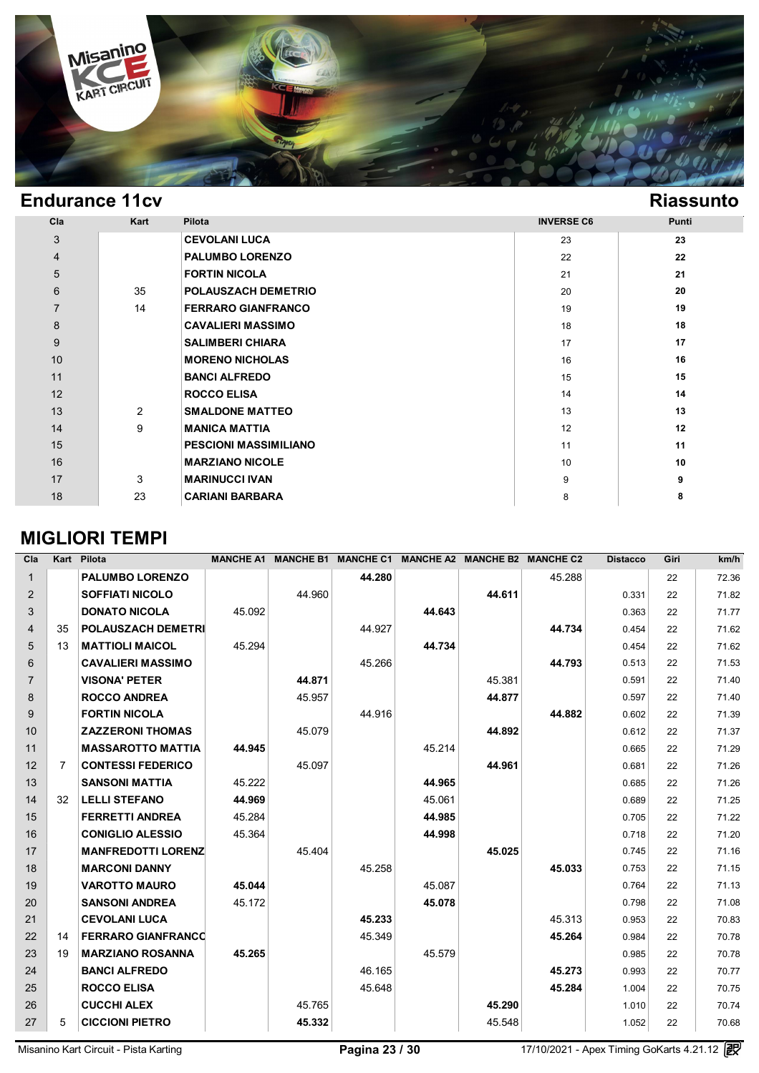

Γ

| Cla            | Kart | Pilota                       | <b>INVERSE C6</b> | Punti   |
|----------------|------|------------------------------|-------------------|---------|
| 3              |      | <b>CEVOLANI LUCA</b>         | 23                | 23      |
| $\overline{4}$ |      | <b>PALUMBO LORENZO</b>       | 22                | 22      |
| 5              |      | <b>FORTIN NICOLA</b>         | 21                | 21      |
| $6\phantom{1}$ | 35   | <b>POLAUSZACH DEMETRIO</b>   | 20                | 20      |
| $\overline{7}$ | 14   | <b>FERRARO GIANFRANCO</b>    | 19                | 19      |
| 8              |      | <b>CAVALIERI MASSIMO</b>     | 18                | 18      |
| 9              |      | <b>SALIMBERI CHIARA</b>      | 17                | 17      |
| 10             |      | <b>MORENO NICHOLAS</b>       | 16                | 16      |
| 11             |      | <b>BANCI ALFREDO</b>         | 15                | 15      |
| 12             |      | <b>ROCCO ELISA</b>           | 14                | 14      |
| 13             | 2    | <b>SMALDONE MATTEO</b>       | 13                | 13      |
| 14             | 9    | <b>MANICA MATTIA</b>         | 12                | $12 \,$ |
| 15             |      | <b>PESCIONI MASSIMILIANO</b> | 11                | 11      |
| 16             |      | <b>MARZIANO NICOLE</b>       | 10                | 10      |
| 17             | 3    | <b>MARINUCCI IVAN</b>        | 9                 | 9       |
| 18             | 23   | <b>CARIANI BARBARA</b>       | 8                 | 8       |

### **MIGLIORI TEMPI**

| Cla            | Kart           | Pilota                    | <b>MANCHE A1</b> | <b>MANCHE B1</b> | <b>MANCHE C1</b> |        | <b>MANCHE A2 MANCHE B2</b> | <b>MANCHE C2</b> | <b>Distacco</b> | Giri | km/h  |
|----------------|----------------|---------------------------|------------------|------------------|------------------|--------|----------------------------|------------------|-----------------|------|-------|
| $\mathbf{1}$   |                | <b>PALUMBO LORENZO</b>    |                  |                  | 44.280           |        |                            | 45.288           |                 | 22   | 72.36 |
| $\overline{2}$ |                | <b>SOFFIATI NICOLO</b>    |                  | 44.960           |                  |        | 44.611                     |                  | 0.331           | 22   | 71.82 |
| 3              |                | <b>DONATO NICOLA</b>      | 45.092           |                  |                  | 44.643 |                            |                  | 0.363           | 22   | 71.77 |
| $\overline{4}$ | 35             | <b>POLAUSZACH DEMETRI</b> |                  |                  | 44.927           |        |                            | 44.734           | 0.454           | 22   | 71.62 |
| 5              | 13             | <b>MATTIOLI MAICOL</b>    | 45.294           |                  |                  | 44.734 |                            |                  | 0.454           | 22   | 71.62 |
| 6              |                | <b>CAVALIERI MASSIMO</b>  |                  |                  | 45.266           |        |                            | 44.793           | 0.513           | 22   | 71.53 |
| $\overline{7}$ |                | <b>VISONA' PETER</b>      |                  | 44.871           |                  |        | 45.381                     |                  | 0.591           | 22   | 71.40 |
| 8              |                | <b>ROCCO ANDREA</b>       |                  | 45.957           |                  |        | 44.877                     |                  | 0.597           | 22   | 71.40 |
| 9              |                | <b>FORTIN NICOLA</b>      |                  |                  | 44.916           |        |                            | 44.882           | 0.602           | 22   | 71.39 |
| 10             |                | <b>ZAZZERONI THOMAS</b>   |                  | 45.079           |                  |        | 44.892                     |                  | 0.612           | 22   | 71.37 |
| 11             |                | <b>MASSAROTTO MATTIA</b>  | 44.945           |                  |                  | 45.214 |                            |                  | 0.665           | 22   | 71.29 |
| 12             | $\overline{7}$ | <b>CONTESSI FEDERICO</b>  |                  | 45.097           |                  |        | 44.961                     |                  | 0.681           | 22   | 71.26 |
| 13             |                | <b>SANSONI MATTIA</b>     | 45.222           |                  |                  | 44.965 |                            |                  | 0.685           | 22   | 71.26 |
| 14             | 32             | <b>LELLI STEFANO</b>      | 44.969           |                  |                  | 45.061 |                            |                  | 0.689           | 22   | 71.25 |
| 15             |                | <b>FERRETTI ANDREA</b>    | 45.284           |                  |                  | 44.985 |                            |                  | 0.705           | 22   | 71.22 |
| 16             |                | <b>CONIGLIO ALESSIO</b>   | 45.364           |                  |                  | 44.998 |                            |                  | 0.718           | 22   | 71.20 |
| 17             |                | <b>MANFREDOTTI LORENZ</b> |                  | 45.404           |                  |        | 45.025                     |                  | 0.745           | 22   | 71.16 |
| 18             |                | <b>MARCONI DANNY</b>      |                  |                  | 45.258           |        |                            | 45.033           | 0.753           | 22   | 71.15 |
| 19             |                | <b>VAROTTO MAURO</b>      | 45.044           |                  |                  | 45.087 |                            |                  | 0.764           | 22   | 71.13 |
| 20             |                | <b>SANSONI ANDREA</b>     | 45.172           |                  |                  | 45.078 |                            |                  | 0.798           | 22   | 71.08 |
| 21             |                | <b>CEVOLANI LUCA</b>      |                  |                  | 45.233           |        |                            | 45.313           | 0.953           | 22   | 70.83 |
| 22             | 14             | <b>FERRARO GIANFRANCO</b> |                  |                  | 45.349           |        |                            | 45.264           | 0.984           | 22   | 70.78 |
| 23             | 19             | <b>MARZIANO ROSANNA</b>   | 45.265           |                  |                  | 45.579 |                            |                  | 0.985           | 22   | 70.78 |
| 24             |                | <b>BANCI ALFREDO</b>      |                  |                  | 46.165           |        |                            | 45.273           | 0.993           | 22   | 70.77 |
| 25             |                | <b>ROCCO ELISA</b>        |                  |                  | 45.648           |        |                            | 45.284           | 1.004           | 22   | 70.75 |
| 26             |                | <b>CUCCHI ALEX</b>        |                  | 45.765           |                  |        | 45.290                     |                  | 1.010           | 22   | 70.74 |
| 27             | 5              | <b>CICCIONI PIETRO</b>    |                  | 45.332           |                  |        | 45.548                     |                  | 1.052           | 22   | 70.68 |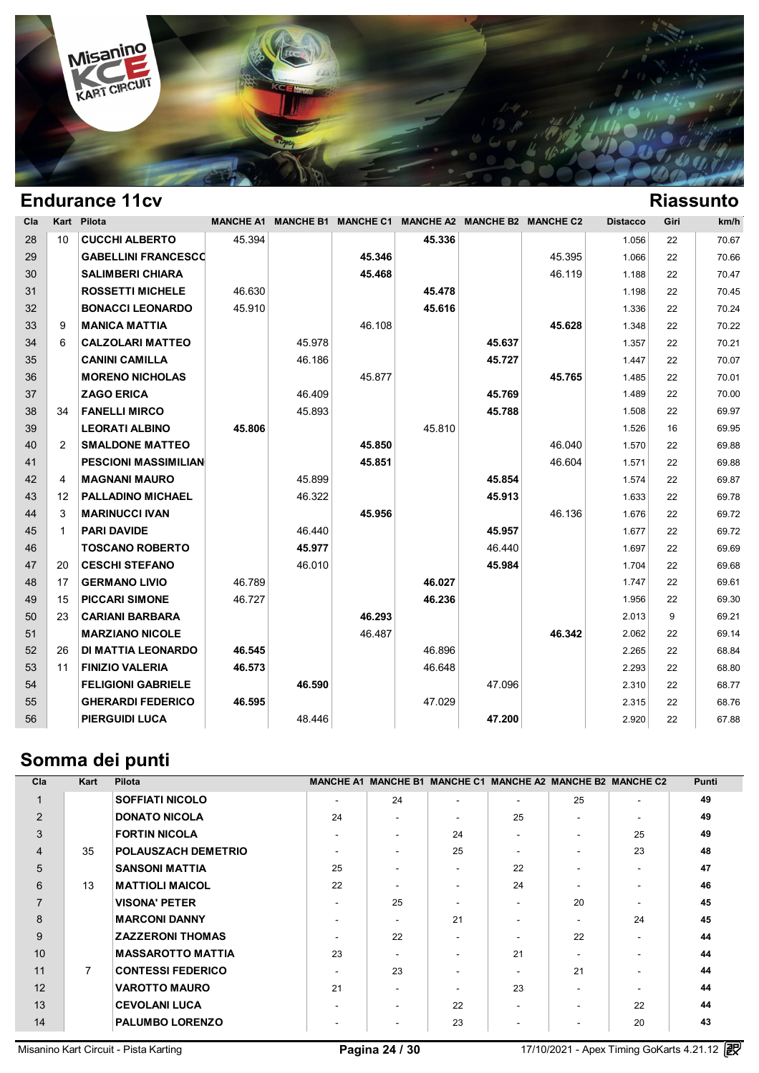

| Cla |                | Kart Pilota                 | <b>MANCHE A1</b> |        | <b>MANCHE B1 MANCHE C1</b> |        | MANCHE A2 MANCHE B2 MANCHE C2 |        | <b>Distacco</b> | Giri | km/h  |
|-----|----------------|-----------------------------|------------------|--------|----------------------------|--------|-------------------------------|--------|-----------------|------|-------|
| 28  | 10             | <b>CUCCHI ALBERTO</b>       | 45.394           |        |                            | 45.336 |                               |        | 1.056           | 22   | 70.67 |
| 29  |                | <b>GABELLINI FRANCESCO</b>  |                  |        | 45.346                     |        |                               | 45.395 | 1.066           | 22   | 70.66 |
| 30  |                | <b>SALIMBERI CHIARA</b>     |                  |        | 45.468                     |        |                               | 46.119 | 1.188           | 22   | 70.47 |
| 31  |                | <b>ROSSETTI MICHELE</b>     | 46.630           |        |                            | 45.478 |                               |        | 1.198           | 22   | 70.45 |
| 32  |                | <b>BONACCI LEONARDO</b>     | 45.910           |        |                            | 45.616 |                               |        | 1.336           | 22   | 70.24 |
| 33  | 9              | <b>MANICA MATTIA</b>        |                  |        | 46.108                     |        |                               | 45.628 | 1.348           | 22   | 70.22 |
| 34  | 6              | <b>CALZOLARI MATTEO</b>     |                  | 45.978 |                            |        | 45.637                        |        | 1.357           | 22   | 70.21 |
| 35  |                | <b>CANINI CAMILLA</b>       |                  | 46.186 |                            |        | 45.727                        |        | 1.447           | 22   | 70.07 |
| 36  |                | <b>MORENO NICHOLAS</b>      |                  |        | 45.877                     |        |                               | 45.765 | 1.485           | 22   | 70.01 |
| 37  |                | <b>ZAGO ERICA</b>           |                  | 46.409 |                            |        | 45.769                        |        | 1.489           | 22   | 70.00 |
| 38  | 34             | <b>FANELLI MIRCO</b>        |                  | 45.893 |                            |        | 45.788                        |        | 1.508           | 22   | 69.97 |
| 39  |                | <b>LEORATI ALBINO</b>       | 45.806           |        |                            | 45.810 |                               |        | 1.526           | 16   | 69.95 |
| 40  | $\overline{2}$ | <b>SMALDONE MATTEO</b>      |                  |        | 45.850                     |        |                               | 46.040 | 1.570           | 22   | 69.88 |
| 41  |                | <b>PESCIONI MASSIMILIAN</b> |                  |        | 45.851                     |        |                               | 46.604 | 1.571           | 22   | 69.88 |
| 42  | 4              | <b>MAGNANI MAURO</b>        |                  | 45.899 |                            |        | 45.854                        |        | 1.574           | 22   | 69.87 |
| 43  | 12             | <b>PALLADINO MICHAEL</b>    |                  | 46.322 |                            |        | 45.913                        |        | 1.633           | 22   | 69.78 |
| 44  | 3              | <b>MARINUCCI IVAN</b>       |                  |        | 45.956                     |        |                               | 46.136 | 1.676           | 22   | 69.72 |
| 45  | 1              | <b>PARI DAVIDE</b>          |                  | 46.440 |                            |        | 45.957                        |        | 1.677           | 22   | 69.72 |
| 46  |                | <b>TOSCANO ROBERTO</b>      |                  | 45.977 |                            |        | 46.440                        |        | 1.697           | 22   | 69.69 |
| 47  | 20             | <b>CESCHI STEFANO</b>       |                  | 46.010 |                            |        | 45.984                        |        | 1.704           | 22   | 69.68 |
| 48  | 17             | <b>GERMANO LIVIO</b>        | 46.789           |        |                            | 46.027 |                               |        | 1.747           | 22   | 69.61 |
| 49  | 15             | <b>PICCARI SIMONE</b>       | 46.727           |        |                            | 46.236 |                               |        | 1.956           | 22   | 69.30 |
| 50  | 23             | <b>CARIANI BARBARA</b>      |                  |        | 46.293                     |        |                               |        | 2.013           | 9    | 69.21 |
| 51  |                | <b>MARZIANO NICOLE</b>      |                  |        | 46.487                     |        |                               | 46.342 | 2.062           | 22   | 69.14 |
| 52  | 26             | <b>DI MATTIA LEONARDO</b>   | 46.545           |        |                            | 46.896 |                               |        | 2.265           | 22   | 68.84 |
| 53  | 11             | <b>FINIZIO VALERIA</b>      | 46.573           |        |                            | 46.648 |                               |        | 2.293           | 22   | 68.80 |
| 54  |                | <b>FELIGIONI GABRIELE</b>   |                  | 46.590 |                            |        | 47.096                        |        | 2.310           | 22   | 68.77 |
| 55  |                | <b>GHERARDI FEDERICO</b>    | 46.595           |        |                            | 47.029 |                               |        | 2.315           | 22   | 68.76 |
| 56  |                | <b>PIERGUIDI LUCA</b>       |                  | 48.446 |                            |        | 47.200                        |        | 2.920           | 22   | 67.88 |

# **Somma dei punti**

| Cla            | Kart           | Pilota                   |                          | MANCHE A1 MANCHE B1 MANCHE C1 MANCHE A2 MANCHE B2 MANCHE C2 |    |                          |                          |    | <b>Punti</b> |
|----------------|----------------|--------------------------|--------------------------|-------------------------------------------------------------|----|--------------------------|--------------------------|----|--------------|
|                |                | <b>SOFFIATI NICOLO</b>   | $\overline{\phantom{a}}$ | 24                                                          | ۰  | $\overline{\phantom{a}}$ | 25                       |    | 49           |
| 2              |                | <b>DONATO NICOLA</b>     | 24                       | -                                                           | ۰  | 25                       | ۰                        |    | 49           |
| 3              |                | <b>FORTIN NICOLA</b>     | $\blacksquare$           |                                                             | 24 | ۰                        | ۰                        | 25 | 49           |
| $\overline{4}$ | 35             | POLAUSZACH DEMETRIO      | $\overline{\phantom{a}}$ |                                                             | 25 | ۰                        | ۰                        | 23 | 48           |
| 5              |                | <b>SANSONI MATTIA</b>    | 25                       |                                                             |    | 22                       | $\overline{\phantom{a}}$ |    | 47           |
| 6              | 13             | <b>MATTIOLI MAICOL</b>   | 22                       |                                                             |    | 24                       | $\overline{\phantom{0}}$ |    | 46           |
| $\overline{7}$ |                | <b>VISONA' PETER</b>     | $\overline{\phantom{a}}$ | 25                                                          |    |                          | 20                       |    | 45           |
| 8              |                | <b>MARCONI DANNY</b>     |                          |                                                             | 21 |                          | $\overline{\phantom{a}}$ | 24 | 45           |
| 9              |                | <b>ZAZZERONI THOMAS</b>  | -                        | 22                                                          |    |                          | 22                       |    | 44           |
| 10             |                | <b>MASSAROTTO MATTIA</b> | 23                       | $\overline{\phantom{a}}$                                    |    | 21                       | $\overline{\phantom{0}}$ |    | 44           |
| 11             | $\overline{7}$ | <b>CONTESSI FEDERICO</b> | $\overline{\phantom{a}}$ | 23                                                          |    |                          | 21                       |    | 44           |
| 12             |                | <b>VAROTTO MAURO</b>     | 21                       | -                                                           |    | 23                       | ۰                        |    | 44           |
| 13             |                | <b>CEVOLANI LUCA</b>     | ۰                        |                                                             | 22 |                          | ۰                        | 22 | 44           |
| 14             |                | <b>PALUMBO LORENZO</b>   | $\overline{\phantom{a}}$ |                                                             | 23 |                          | ۰                        | 20 | 43           |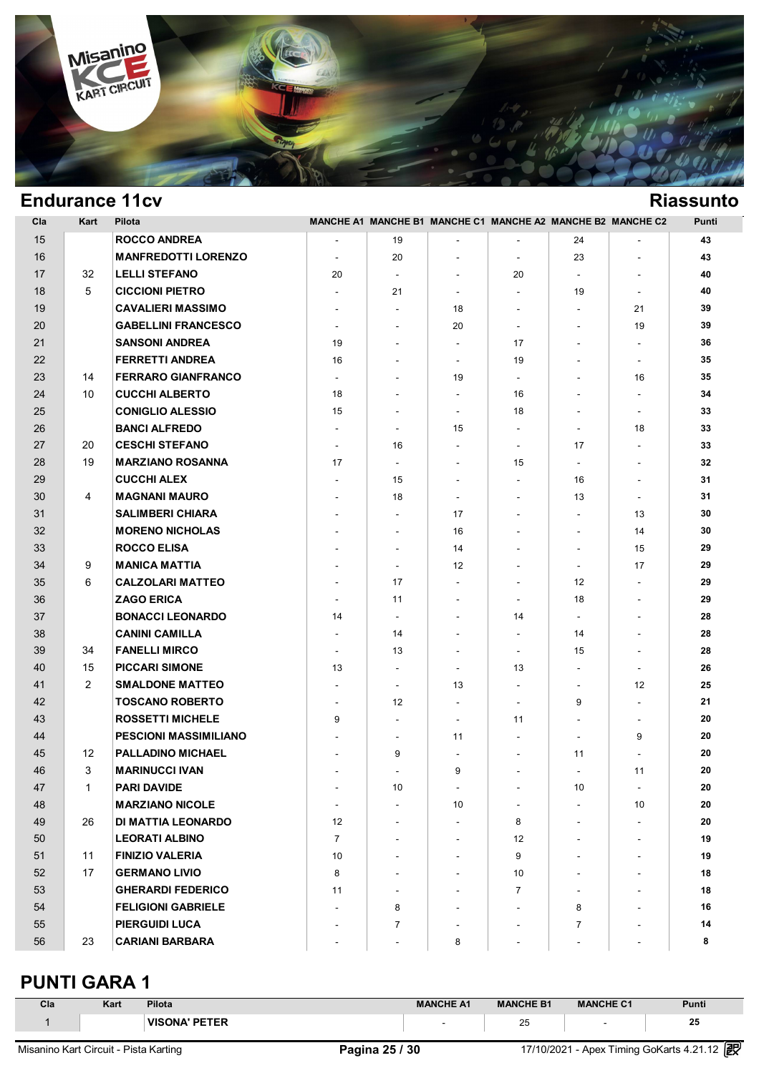

| Cla | Kart           | Pilota                       |                          |                          |                          | MANCHE A1 MANCHE B1 MANCHE C1 MANCHE A2 MANCHE B2 MANCHE C2 |                          |                          | Punti  |
|-----|----------------|------------------------------|--------------------------|--------------------------|--------------------------|-------------------------------------------------------------|--------------------------|--------------------------|--------|
| 15  |                | <b>ROCCO ANDREA</b>          |                          | 19                       |                          |                                                             | 24                       |                          | 43     |
| 16  |                | <b>MANFREDOTTI LORENZO</b>   | $\overline{\phantom{a}}$ | 20                       | $\overline{\phantom{a}}$ | $\overline{\phantom{a}}$                                    | 23                       | $\overline{\phantom{0}}$ | 43     |
| 17  | 32             | <b>LELLI STEFANO</b>         | 20                       | $\blacksquare$           | $\overline{\phantom{a}}$ | 20                                                          | $\blacksquare$           |                          | 40     |
| 18  | 5              | <b>CICCIONI PIETRO</b>       | $\blacksquare$           | 21                       | $\blacksquare$           | $\sim$                                                      | 19                       | $\blacksquare$           | 40     |
| 19  |                | <b>CAVALIERI MASSIMO</b>     | $\blacksquare$           | $\overline{\phantom{a}}$ | 18                       | $\sim$                                                      | $\overline{\phantom{a}}$ | 21                       | 39     |
| 20  |                | <b>GABELLINI FRANCESCO</b>   | $\blacksquare$           | $\blacksquare$           | 20                       | $\blacksquare$                                              | $\overline{\phantom{a}}$ | 19                       | 39     |
| 21  |                | <b>SANSONI ANDREA</b>        | 19                       | $\blacksquare$           | $\overline{\phantom{a}}$ | 17                                                          | $\blacksquare$           |                          | 36     |
| 22  |                | <b>FERRETTI ANDREA</b>       | 16                       | $\blacksquare$           | $\blacksquare$           | 19                                                          | $\blacksquare$           | $\overline{\phantom{a}}$ | 35     |
| 23  | 14             | <b>FERRARO GIANFRANCO</b>    | $\overline{\phantom{a}}$ | $\overline{\phantom{a}}$ | 19                       | $\blacksquare$                                              |                          | 16                       | 35     |
| 24  | 10             | <b>CUCCHI ALBERTO</b>        | 18                       | $\overline{\phantom{a}}$ | $\blacksquare$           | 16                                                          | $\overline{\phantom{a}}$ | $\overline{\phantom{a}}$ | 34     |
| 25  |                | <b>CONIGLIO ALESSIO</b>      | 15                       | $\blacksquare$           | $\blacksquare$           | 18                                                          | $\blacksquare$           | $\sim$                   | 33     |
| 26  |                | <b>BANCI ALFREDO</b>         | $\overline{\phantom{a}}$ | $\blacksquare$           | 15                       | $\blacksquare$                                              | $\blacksquare$           | 18                       | 33     |
| 27  | 20             | <b>CESCHI STEFANO</b>        | $\blacksquare$           | 16                       | $\sim$                   | $\blacksquare$                                              | 17                       |                          | 33     |
| 28  | 19             | <b>MARZIANO ROSANNA</b>      | 17                       | $\sim$                   | $\sim$                   | 15                                                          | $\sim$                   | $\overline{\phantom{a}}$ | 32     |
| 29  |                | <b>CUCCHI ALEX</b>           | $\blacksquare$           | 15                       | $\blacksquare$           | $\blacksquare$                                              | 16                       | $\blacksquare$           | 31     |
| 30  | 4              | <b>MAGNANI MAURO</b>         | $\blacksquare$           | 18                       | $\blacksquare$           | $\overline{\phantom{a}}$                                    | 13                       | $\blacksquare$           | 31     |
| 31  |                | <b>SALIMBERI CHIARA</b>      | $\blacksquare$           |                          | 17                       | $\overline{\phantom{a}}$                                    | $\sim$                   | 13                       | 30     |
| 32  |                | <b>MORENO NICHOLAS</b>       | $\blacksquare$           | $\blacksquare$           | 16                       | $\overline{\phantom{a}}$                                    | $\blacksquare$           | 14                       | 30     |
| 33  |                | <b>ROCCO ELISA</b>           | $\blacksquare$           | $\blacksquare$           | 14                       | $\blacksquare$                                              | $\blacksquare$           | 15                       | 29     |
| 34  | 9              | <b>MANICA MATTIA</b>         | $\blacksquare$           | $\overline{\phantom{a}}$ | 12                       | $\blacksquare$                                              | $\blacksquare$           | 17                       | 29     |
| 35  | 6              | <b>CALZOLARI MATTEO</b>      | $\blacksquare$           | 17                       | $\blacksquare$           | $\overline{\phantom{a}}$                                    | 12                       | $\overline{\phantom{0}}$ | 29     |
| 36  |                | <b>ZAGO ERICA</b>            | $\overline{\phantom{a}}$ | 11                       | $\blacksquare$           | $\blacksquare$                                              | 18                       |                          | 29     |
| 37  |                | <b>BONACCI LEONARDO</b>      | 14                       | $\blacksquare$           | $\blacksquare$           | 14                                                          | $\sim$                   | $\overline{\phantom{0}}$ | 28     |
| 38  |                | <b>CANINI CAMILLA</b>        | $\blacksquare$           | 14                       | $\overline{\phantom{a}}$ | $\overline{\phantom{a}}$                                    | 14                       |                          | 28     |
| 39  | 34             | <b>FANELLI MIRCO</b>         | $\blacksquare$           | 13                       | $\overline{\phantom{a}}$ | $\overline{\phantom{a}}$                                    | 15                       |                          | 28     |
| 40  | 15             | <b>PICCARI SIMONE</b>        | 13                       |                          | $\overline{\phantom{a}}$ | 13                                                          | $\blacksquare$           | $\overline{\phantom{a}}$ | 26     |
| 41  | $\overline{2}$ | <b>SMALDONE MATTEO</b>       | $\blacksquare$           | $\blacksquare$           | 13                       | $\blacksquare$                                              | $\blacksquare$           | 12                       | 25     |
| 42  |                | <b>TOSCANO ROBERTO</b>       | $\overline{\phantom{a}}$ | 12                       | $\blacksquare$           | $\blacksquare$                                              | 9                        | $\blacksquare$           | 21     |
| 43  |                | <b>ROSSETTI MICHELE</b>      | 9                        | $\blacksquare$           | $\blacksquare$           | 11                                                          | $\blacksquare$           | $\overline{\phantom{a}}$ | 20     |
| 44  |                | <b>PESCIONI MASSIMILIANO</b> |                          | $\blacksquare$           | 11                       | $\sim$                                                      | $\sim$                   | 9                        | 20     |
| 45  | 12             | <b>PALLADINO MICHAEL</b>     |                          | 9                        | $\blacksquare$           | $\overline{\phantom{a}}$                                    | 11                       |                          | 20     |
| 46  | 3              | <b>MARINUCCI IVAN</b>        | $\overline{\phantom{a}}$ |                          | 9                        | $\blacksquare$                                              | $\overline{\phantom{a}}$ | 11                       | 20     |
| 47  | $\mathbf{1}$   | <b>PARI DAVIDE</b>           |                          | 10                       |                          |                                                             | $10\,$                   |                          | $20\,$ |
| 48  |                | <b>MARZIANO NICOLE</b>       | $\blacksquare$           |                          | 10                       |                                                             |                          | 10                       | 20     |
| 49  | 26             | DI MATTIA LEONARDO           | 12                       |                          | $\blacksquare$           | 8                                                           |                          |                          | 20     |
| 50  |                | <b>LEORATI ALBINO</b>        | $\overline{7}$           |                          |                          | 12                                                          |                          |                          | 19     |
| 51  | 11             | <b>FINIZIO VALERIA</b>       | 10                       |                          |                          | 9                                                           |                          | $\blacksquare$           | 19     |
| 52  | 17             | <b>GERMANO LIVIO</b>         | 8                        |                          |                          | 10                                                          |                          |                          | 18     |
| 53  |                | <b>GHERARDI FEDERICO</b>     | 11                       |                          |                          | $\overline{7}$                                              | $\overline{\phantom{a}}$ |                          | 18     |
| 54  |                | <b>FELIGIONI GABRIELE</b>    |                          | 8                        |                          |                                                             | 8                        | $\blacksquare$           | 16     |
| 55  |                | <b>PIERGUIDI LUCA</b>        |                          | $\overline{7}$           |                          |                                                             | $\overline{7}$           |                          | 14     |
| 56  | 23             | <b>CARIANI BARBARA</b>       |                          |                          | 8                        |                                                             |                          |                          | 8      |

### **PUNTI GARA 1**

| Cla                                   | Kart | Pilota               |                | <b>MANCHE A1</b> | <b>MANCHE B1</b> | <b>MANCHE C1</b>         | Punti                                      |
|---------------------------------------|------|----------------------|----------------|------------------|------------------|--------------------------|--------------------------------------------|
|                                       |      | <b>VISONA' PETER</b> |                |                  | 25               | $\overline{\phantom{0}}$ | 25                                         |
| Misanino Kart Circuit - Pista Karting |      |                      | Pagina 25 / 30 |                  |                  |                          | 17/10/2021 - Apex Timing GoKarts 4.21.12 2 |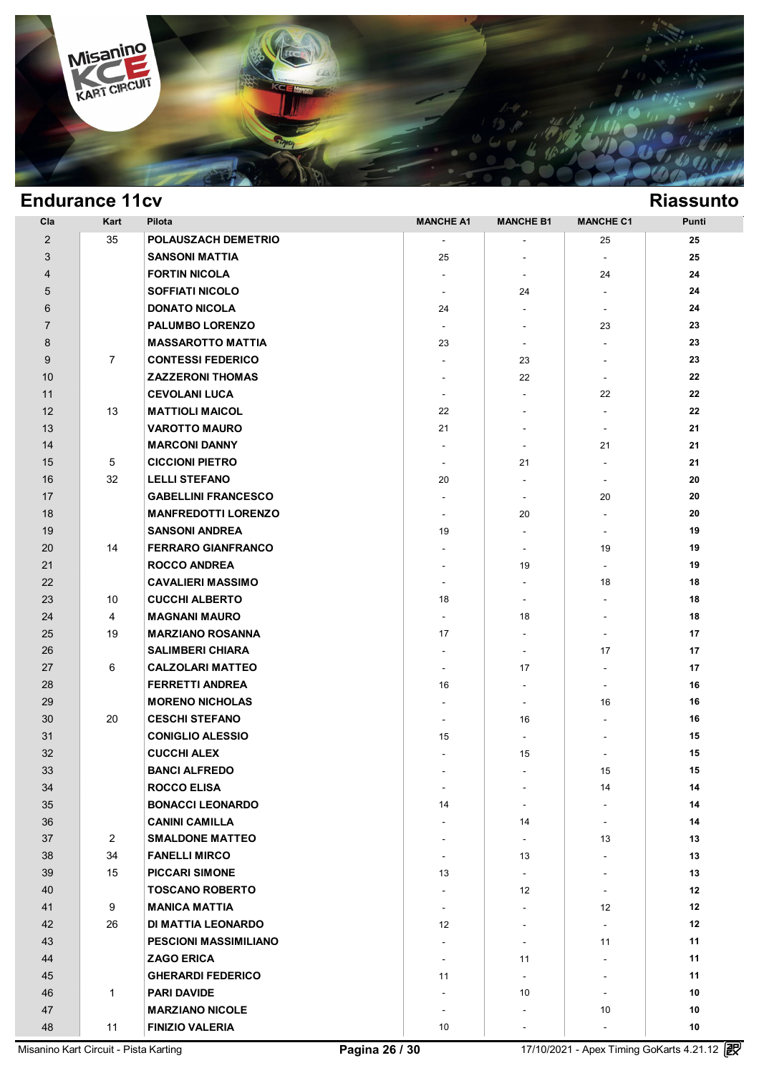

| Cla            | Kart           | Pilota                       | <b>MANCHE A1</b>         | <b>MANCHE B1</b>             | <b>MANCHE C1</b>         | Punti |
|----------------|----------------|------------------------------|--------------------------|------------------------------|--------------------------|-------|
| $\overline{2}$ | 35             | POLAUSZACH DEMETRIO          |                          | ٠                            | 25                       | 25    |
| 3              |                | <b>SANSONI MATTIA</b>        | 25                       | ٠                            |                          | 25    |
| $\overline{4}$ |                | <b>FORTIN NICOLA</b>         | $\overline{\phantom{a}}$ | $\overline{\phantom{a}}$     | 24                       | 24    |
| 5              |                | <b>SOFFIATI NICOLO</b>       | $\overline{\phantom{a}}$ | 24                           | $\blacksquare$           | 24    |
| 6              |                | <b>DONATO NICOLA</b>         | 24                       | $\overline{\phantom{0}}$     | $\blacksquare$           | 24    |
| $\overline{7}$ |                | <b>PALUMBO LORENZO</b>       | $\overline{\phantom{a}}$ | $\overline{\phantom{0}}$     | 23                       | 23    |
| 8              |                | <b>MASSAROTTO MATTIA</b>     | 23                       | $\overline{\phantom{a}}$     | $\blacksquare$           | 23    |
| 9              | $\overline{7}$ | <b>CONTESSI FEDERICO</b>     | $\blacksquare$           | 23                           | $\blacksquare$           | 23    |
| 10             |                | <b>ZAZZERONI THOMAS</b>      | $\blacksquare$           | 22                           | $\blacksquare$           | 22    |
| 11             |                | <b>CEVOLANI LUCA</b>         | $\blacksquare$           | $\blacksquare$               | 22                       | 22    |
| 12             | 13             | <b>MATTIOLI MAICOL</b>       | 22                       | $\overline{\phantom{0}}$     | $\overline{\phantom{a}}$ | 22    |
| 13             |                | <b>VAROTTO MAURO</b>         | 21                       | $\overline{\phantom{0}}$     | $\blacksquare$           | 21    |
| 14             |                | <b>MARCONI DANNY</b>         | $\overline{\phantom{a}}$ | $\blacksquare$               | 21                       | 21    |
| 15             | 5              | <b>CICCIONI PIETRO</b>       | $\blacksquare$           | 21                           | $\sim$                   | 21    |
| 16             | 32             | <b>LELLI STEFANO</b>         | 20                       |                              |                          | 20    |
| 17             |                | <b>GABELLINI FRANCESCO</b>   | $\blacksquare$           | $\overline{\phantom{a}}$     | 20                       | 20    |
| 18             |                | <b>MANFREDOTTI LORENZO</b>   | $\overline{\phantom{a}}$ | 20                           | $\blacksquare$           | 20    |
| 19             |                | <b>SANSONI ANDREA</b>        | 19                       | $\overline{\phantom{a}}$     | $\sim$                   | 19    |
| 20             | 14             | <b>FERRARO GIANFRANCO</b>    | $\blacksquare$           | $\overline{\phantom{a}}$     | 19                       | 19    |
| 21             |                | <b>ROCCO ANDREA</b>          | $\blacksquare$           | 19                           | $\blacksquare$           | 19    |
| 22             |                | <b>CAVALIERI MASSIMO</b>     | $\overline{\phantom{a}}$ | $\overline{\phantom{a}}$     | 18                       | 18    |
| 23             | 10             | <b>CUCCHI ALBERTO</b>        | 18                       | $\overline{\phantom{a}}$     | $\overline{\phantom{a}}$ | 18    |
| 24             | 4              | <b>MAGNANI MAURO</b>         | $\overline{\phantom{a}}$ | 18                           |                          | 18    |
| 25             | 19             | <b>MARZIANO ROSANNA</b>      | 17                       | $\overline{\phantom{0}}$     | $\overline{\phantom{a}}$ | 17    |
| 26             |                | <b>SALIMBERI CHIARA</b>      | $\overline{\phantom{a}}$ | $\overline{\phantom{a}}$     | 17                       | 17    |
| 27             | 6              | <b>CALZOLARI MATTEO</b>      | $\overline{\phantom{a}}$ | 17                           | $\blacksquare$           | 17    |
| 28             |                | <b>FERRETTI ANDREA</b>       | 16                       | $\overline{\phantom{a}}$     | $\blacksquare$           | 16    |
| 29             |                | <b>MORENO NICHOLAS</b>       | $\overline{\phantom{a}}$ | $\overline{\phantom{a}}$     | 16                       | 16    |
| 30             | 20             | <b>CESCHI STEFANO</b>        | $\overline{\phantom{a}}$ | 16                           | $\blacksquare$           | 16    |
| 31             |                | <b>CONIGLIO ALESSIO</b>      | 15                       | $\overline{\phantom{a}}$     | $\blacksquare$           | 15    |
| 32             |                | <b>CUCCHI ALEX</b>           | $\overline{\phantom{a}}$ | 15                           | $\sim$                   | 15    |
| 33             |                | <b>BANCI ALFREDO</b>         |                          | $\qquad \qquad \blacksquare$ | 15                       | 15    |
| 34             |                | <b>ROCCO ELISA</b>           | $\overline{\phantom{a}}$ | $\overline{\phantom{a}}$     | 14                       | 14    |
| 35             |                | <b>BONACCI LEONARDO</b>      | 14                       | $\blacksquare$               | $\overline{\phantom{a}}$ | 14    |
| 36             |                | <b>CANINI CAMILLA</b>        | $\blacksquare$           | 14                           | $\blacksquare$           | 14    |
| 37             | $\overline{2}$ | <b>SMALDONE MATTEO</b>       |                          |                              | 13                       | 13    |
| 38             | 34             | <b>FANELLI MIRCO</b>         |                          | 13                           | $\overline{\phantom{a}}$ | 13    |
| 39             | 15             | <b>PICCARI SIMONE</b>        | 13                       | $\sim$                       | $\overline{\phantom{a}}$ | 13    |
| 40             |                | <b>TOSCANO ROBERTO</b>       | $\overline{\phantom{a}}$ | 12                           | $\sim$                   | 12    |
| 41             | 9              | <b>MANICA MATTIA</b>         | $\overline{\phantom{a}}$ | $\blacksquare$               | 12                       | 12    |
| 42             | 26             | <b>DI MATTIA LEONARDO</b>    | 12 <sup>2</sup>          | $\overline{\phantom{0}}$     | $\blacksquare$           | 12    |
| 43             |                | <b>PESCIONI MASSIMILIANO</b> | $\overline{\phantom{a}}$ | $\overline{\phantom{a}}$     | 11                       | 11    |
| 44             |                | <b>ZAGO ERICA</b>            | $\overline{\phantom{a}}$ | 11                           |                          | 11    |
| 45             |                | <b>GHERARDI FEDERICO</b>     | 11                       |                              |                          | 11    |
| 46             | $\mathbf{1}$   | <b>PARI DAVIDE</b>           |                          | 10                           | $\sim$                   | 10    |
| 47             |                | <b>MARZIANO NICOLE</b>       | $\overline{\phantom{a}}$ |                              | 10                       | 10    |
| 48             | 11             | <b>FINIZIO VALERIA</b>       | 10                       |                              | $\blacksquare$           | 10    |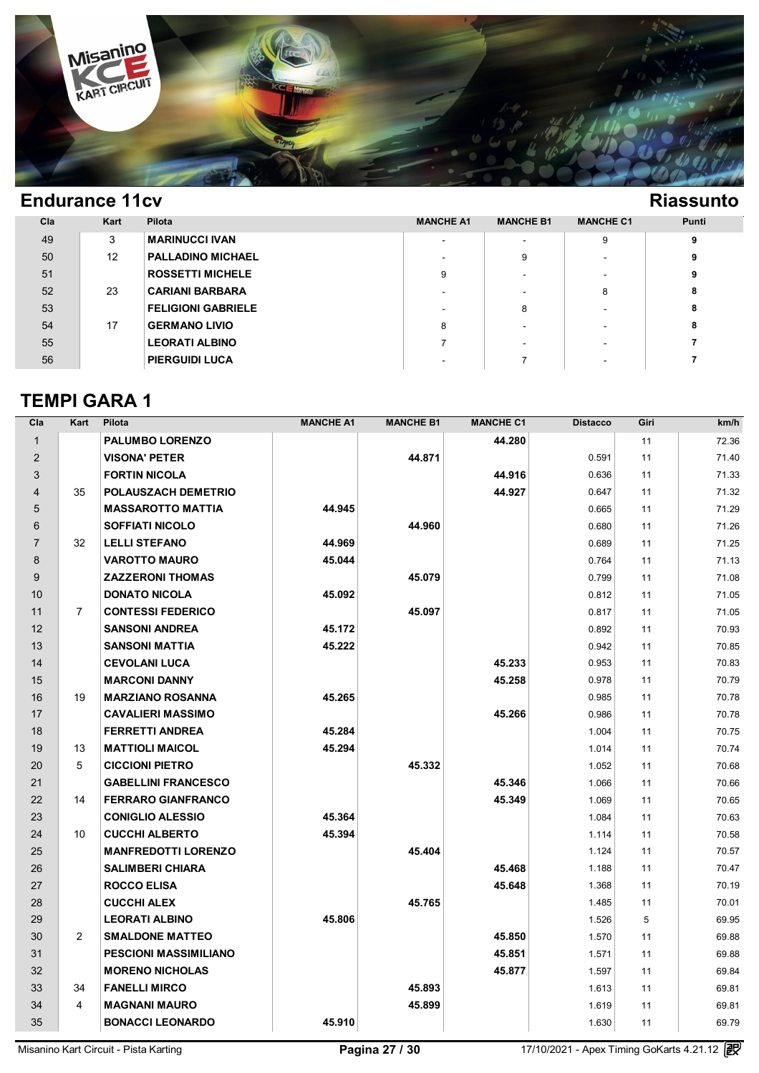

| Cla | Kart | Pilota                    | <b>MANCHE A1</b> | <b>MANCHE B1</b>         | <b>MANCHE C1</b> | <b>Punti</b> |
|-----|------|---------------------------|------------------|--------------------------|------------------|--------------|
| 49  | 3    | MARINUCCI IVAN            |                  | $\overline{\phantom{a}}$ | 9                |              |
| 50  | 12   | <b>PALLADINO MICHAEL</b>  |                  | 9                        |                  |              |
| 51  |      | <b>ROSSETTI MICHELE</b>   | 9                | $\overline{\phantom{a}}$ |                  |              |
| 52  | 23   | <b>CARIANI BARBARA</b>    |                  | $\overline{\phantom{a}}$ | 8                | 8            |
| 53  |      | <b>FELIGIONI GABRIELE</b> |                  | 8                        |                  | 8            |
| 54  | 17   | <b>GERMANO LIVIO</b>      | 8                | $\overline{\phantom{a}}$ |                  | 8            |
| 55  |      | <b>LEORATI ALBINO</b>     |                  | $\overline{\phantom{a}}$ |                  |              |
| 56  |      | <b>PIERGUIDI LUCA</b>     |                  |                          |                  |              |

### **TEMPI GARA 1**

| Cla            | Kart           | Pilota                       | <b>MANCHE A1</b> | <b>MANCHE B1</b> | <b>MANCHE C1</b> | <b>Distacco</b> | Giri | km/h  |
|----------------|----------------|------------------------------|------------------|------------------|------------------|-----------------|------|-------|
| $\mathbf{1}$   |                | <b>PALUMBO LORENZO</b>       |                  |                  | 44.280           |                 | 11   | 72.36 |
| $\overline{2}$ |                | <b>VISONA' PETER</b>         |                  | 44.871           |                  | 0.591           | 11   | 71.40 |
| 3              |                | <b>FORTIN NICOLA</b>         |                  |                  | 44.916           | 0.636           | 11   | 71.33 |
| $\overline{4}$ | 35             | POLAUSZACH DEMETRIO          |                  |                  | 44.927           | 0.647           | 11   | 71.32 |
| 5              |                | <b>MASSAROTTO MATTIA</b>     | 44.945           |                  |                  | 0.665           | 11   | 71.29 |
| 6              |                | <b>SOFFIATI NICOLO</b>       |                  | 44.960           |                  | 0.680           | 11   | 71.26 |
| $\overline{7}$ | 32             | <b>LELLI STEFANO</b>         | 44.969           |                  |                  | 0.689           | 11   | 71.25 |
| 8              |                | <b>VAROTTO MAURO</b>         | 45.044           |                  |                  | 0.764           | 11   | 71.13 |
| 9              |                | <b>ZAZZERONI THOMAS</b>      |                  | 45.079           |                  | 0.799           | 11   | 71.08 |
| 10             |                | <b>DONATO NICOLA</b>         | 45.092           |                  |                  | 0.812           | 11   | 71.05 |
| 11             | $\overline{7}$ | <b>CONTESSI FEDERICO</b>     |                  | 45.097           |                  | 0.817           | 11   | 71.05 |
| 12             |                | <b>SANSONI ANDREA</b>        | 45.172           |                  |                  | 0.892           | 11   | 70.93 |
| 13             |                | <b>SANSONI MATTIA</b>        | 45.222           |                  |                  | 0.942           | 11   | 70.85 |
| 14             |                | <b>CEVOLANI LUCA</b>         |                  |                  | 45.233           | 0.953           | 11   | 70.83 |
| 15             |                | <b>MARCONI DANNY</b>         |                  |                  | 45.258           | 0.978           | 11   | 70.79 |
| 16             | 19             | <b>MARZIANO ROSANNA</b>      | 45.265           |                  |                  | 0.985           | 11   | 70.78 |
| 17             |                | <b>CAVALIERI MASSIMO</b>     |                  |                  | 45.266           | 0.986           | 11   | 70.78 |
| 18             |                | <b>FERRETTI ANDREA</b>       | 45.284           |                  |                  | 1.004           | 11   | 70.75 |
| 19             | 13             | <b>MATTIOLI MAICOL</b>       | 45.294           |                  |                  | 1.014           | 11   | 70.74 |
| 20             | 5              | <b>CICCIONI PIETRO</b>       |                  | 45.332           |                  | 1.052           | 11   | 70.68 |
| 21             |                | <b>GABELLINI FRANCESCO</b>   |                  |                  | 45.346           | 1.066           | 11   | 70.66 |
| 22             | 14             | <b>FERRARO GIANFRANCO</b>    |                  |                  | 45.349           | 1.069           | 11   | 70.65 |
| 23             |                | <b>CONIGLIO ALESSIO</b>      | 45.364           |                  |                  | 1.084           | 11   | 70.63 |
| 24             | 10             | <b>CUCCHI ALBERTO</b>        | 45.394           |                  |                  | 1.114           | 11   | 70.58 |
| 25             |                | <b>MANFREDOTTI LORENZO</b>   |                  | 45.404           |                  | 1.124           | 11   | 70.57 |
| 26             |                | <b>SALIMBERI CHIARA</b>      |                  |                  | 45.468           | 1.188           | 11   | 70.47 |
| 27             |                | <b>ROCCO ELISA</b>           |                  |                  | 45.648           | 1.368           | 11   | 70.19 |
| 28             |                | <b>CUCCHI ALEX</b>           |                  | 45.765           |                  | 1.485           | 11   | 70.01 |
| 29             |                | <b>LEORATI ALBINO</b>        | 45.806           |                  |                  | 1.526           | 5    | 69.95 |
| 30             | $\overline{2}$ | <b>SMALDONE MATTEO</b>       |                  |                  | 45.850           | 1.570           | 11   | 69.88 |
| 31             |                | <b>PESCIONI MASSIMILIANO</b> |                  |                  | 45.851           | 1.571           | 11   | 69.88 |
| 32             |                | <b>MORENO NICHOLAS</b>       |                  |                  | 45.877           | 1.597           | 11   | 69.84 |
| 33             | 34             | <b>FANELLI MIRCO</b>         |                  | 45.893           |                  | 1.613           | 11   | 69.81 |
| 34             | 4              | <b>MAGNANI MAURO</b>         |                  | 45.899           |                  | 1.619           | 11   | 69.81 |
| 35             |                | <b>BONACCI LEONARDO</b>      | 45.910           |                  |                  | 1.630           | 11   | 69.79 |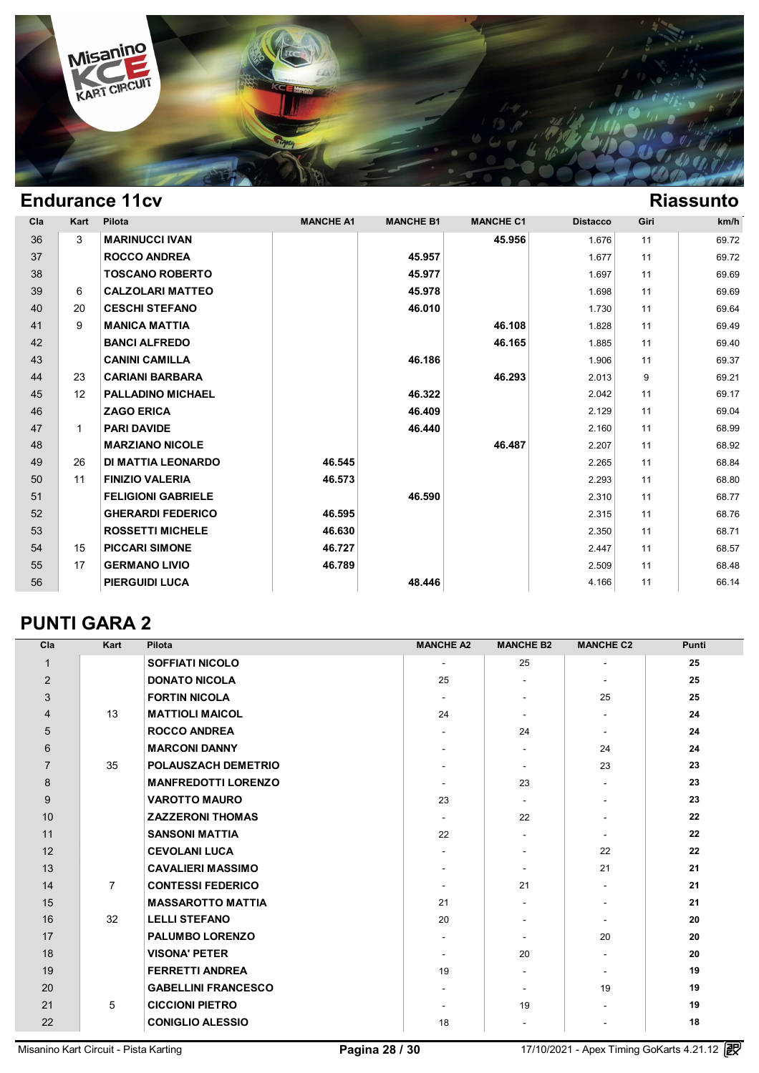

| Cla | Kart         | Pilota                    | <b>MANCHE A1</b> | <b>MANCHE B1</b> | <b>MANCHE C1</b> | <b>Distacco</b> | Giri | km/h  |
|-----|--------------|---------------------------|------------------|------------------|------------------|-----------------|------|-------|
| 36  | 3            | <b>MARINUCCI IVAN</b>     |                  |                  | 45.956           | 1.676           | 11   | 69.72 |
| 37  |              | <b>ROCCO ANDREA</b>       |                  | 45.957           |                  | 1.677           | 11   | 69.72 |
| 38  |              | <b>TOSCANO ROBERTO</b>    |                  | 45.977           |                  | 1.697           | 11   | 69.69 |
| 39  | 6            | <b>CALZOLARI MATTEO</b>   |                  | 45.978           |                  | 1.698           | 11   | 69.69 |
| 40  | 20           | <b>CESCHI STEFANO</b>     |                  | 46.010           |                  | 1.730           | 11   | 69.64 |
| 41  | 9            | <b>MANICA MATTIA</b>      |                  |                  | 46.108           | 1.828           | 11   | 69.49 |
| 42  |              | <b>BANCI ALFREDO</b>      |                  |                  | 46.165           | 1.885           | 11   | 69.40 |
| 43  |              | <b>CANINI CAMILLA</b>     |                  | 46.186           |                  | 1.906           | 11   | 69.37 |
| 44  | 23           | <b>CARIANI BARBARA</b>    |                  |                  | 46.293           | 2.013           | 9    | 69.21 |
| 45  | 12           | <b>PALLADINO MICHAEL</b>  |                  | 46.322           |                  | 2.042           | 11   | 69.17 |
| 46  |              | <b>ZAGO ERICA</b>         |                  | 46.409           |                  | 2.129           | 11   | 69.04 |
| 47  | $\mathbf{1}$ | <b>PARI DAVIDE</b>        |                  | 46.440           |                  | 2.160           | 11   | 68.99 |
| 48  |              | <b>MARZIANO NICOLE</b>    |                  |                  | 46.487           | 2.207           | 11   | 68.92 |
| 49  | 26           | <b>DI MATTIA LEONARDO</b> | 46.545           |                  |                  | 2.265           | 11   | 68.84 |
| 50  | 11           | <b>FINIZIO VALERIA</b>    | 46.573           |                  |                  | 2.293           | 11   | 68.80 |
| 51  |              | <b>FELIGIONI GABRIELE</b> |                  | 46.590           |                  | 2.310           | 11   | 68.77 |
| 52  |              | <b>GHERARDI FEDERICO</b>  | 46.595           |                  |                  | 2.315           | 11   | 68.76 |
| 53  |              | <b>ROSSETTI MICHELE</b>   | 46.630           |                  |                  | 2.350           | 11   | 68.71 |
| 54  | 15           | <b>PICCARI SIMONE</b>     | 46.727           |                  |                  | 2.447           | 11   | 68.57 |
| 55  | 17           | <b>GERMANO LIVIO</b>      | 46.789           |                  |                  | 2.509           | 11   | 68.48 |
| 56  |              | <b>PIERGUIDI LUCA</b>     |                  | 48.446           |                  | 4.166           | 11   | 66.14 |

### **PUNTI GARA 2**

| Cla            | Kart           | Pilota                     | <b>MANCHE A2</b>         | <b>MANCHE B2</b>         | <b>MANCHE C2</b>         | Punti |
|----------------|----------------|----------------------------|--------------------------|--------------------------|--------------------------|-------|
| $\mathbf{1}$   |                | <b>SOFFIATI NICOLO</b>     | $\overline{\phantom{a}}$ | 25                       | $\overline{\phantom{a}}$ | 25    |
| $\overline{2}$ |                | <b>DONATO NICOLA</b>       | 25                       | $\blacksquare$           | $\blacksquare$           | 25    |
| 3              |                | <b>FORTIN NICOLA</b>       | $\blacksquare$           | $\blacksquare$           | 25                       | 25    |
| $\overline{4}$ | 13             | <b>MATTIOLI MAICOL</b>     | 24                       | $\overline{\phantom{a}}$ | $\overline{\phantom{a}}$ | 24    |
| 5              |                | <b>ROCCO ANDREA</b>        |                          | 24                       | $\blacksquare$           | 24    |
| 6              |                | <b>MARCONI DANNY</b>       | $\blacksquare$           | $\blacksquare$           | 24                       | 24    |
| $\overline{7}$ | 35             | POLAUSZACH DEMETRIO        |                          | $\overline{\phantom{a}}$ | 23                       | 23    |
| 8              |                | <b>MANFREDOTTI LORENZO</b> |                          | 23                       |                          | 23    |
| 9              |                | <b>VAROTTO MAURO</b>       | 23                       | $\blacksquare$           |                          | 23    |
| 10             |                | <b>ZAZZERONI THOMAS</b>    | $\blacksquare$           | 22                       |                          | 22    |
| 11             |                | <b>SANSONI MATTIA</b>      | 22                       | $\overline{\phantom{a}}$ | $\overline{\phantom{a}}$ | 22    |
| 12             |                | <b>CEVOLANI LUCA</b>       | $\blacksquare$           | $\blacksquare$           | 22                       | 22    |
| 13             |                | <b>CAVALIERI MASSIMO</b>   |                          | $\blacksquare$           | 21                       | 21    |
| 14             | $\overline{7}$ | <b>CONTESSI FEDERICO</b>   | $\blacksquare$           | 21                       | $\blacksquare$           | 21    |
| 15             |                | <b>MASSAROTTO MATTIA</b>   | 21                       | $\overline{\phantom{a}}$ |                          | 21    |
| 16             | 32             | <b>LELLI STEFANO</b>       | 20                       | $\blacksquare$           | $\overline{\phantom{a}}$ | 20    |
| 17             |                | <b>PALUMBO LORENZO</b>     | $\overline{\phantom{a}}$ | $\overline{\phantom{a}}$ | 20                       | 20    |
| 18             |                | <b>VISONA' PETER</b>       | $\blacksquare$           | 20                       | $\blacksquare$           | 20    |
| 19             |                | <b>FERRETTI ANDREA</b>     | 19                       | $\blacksquare$           | $\blacksquare$           | 19    |
| 20             |                | <b>GABELLINI FRANCESCO</b> | $\blacksquare$           | $\overline{\phantom{a}}$ | 19                       | 19    |
| 21             | 5              | <b>CICCIONI PIETRO</b>     | $\overline{\phantom{a}}$ | 19                       |                          | 19    |
| 22             |                | <b>CONIGLIO ALESSIO</b>    | 18                       | $\blacksquare$           | $\blacksquare$           | 18    |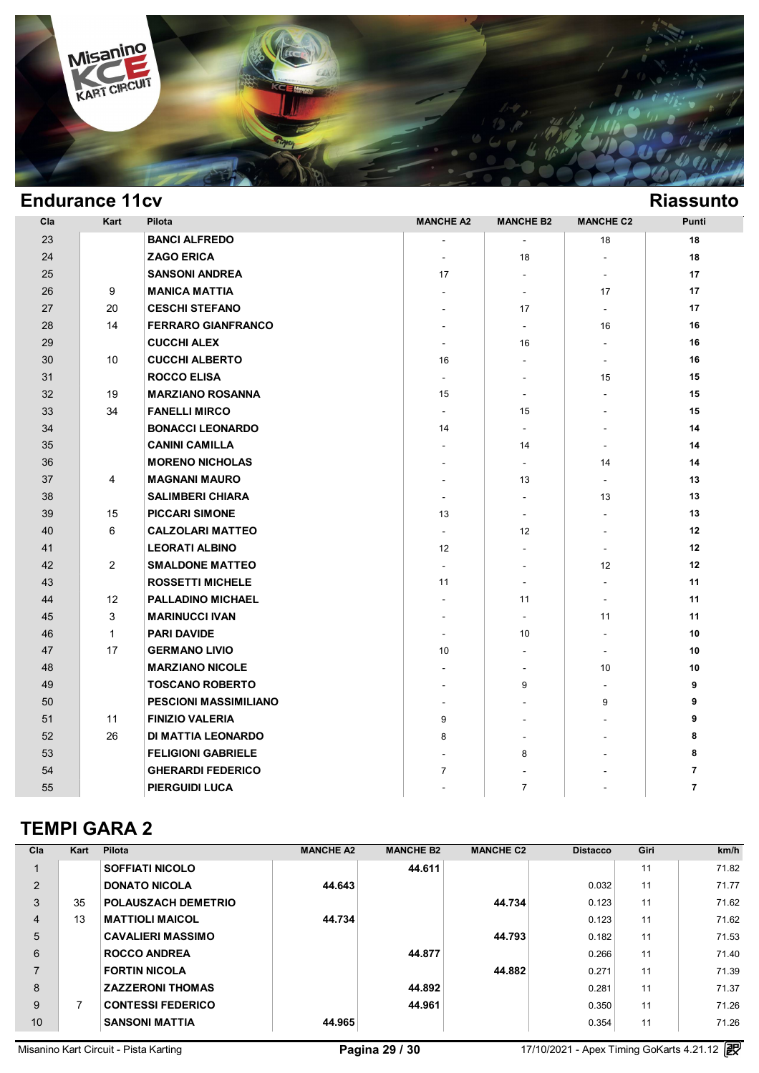

| <b>Endurance 11cv</b> |              |                              |                          |                          |                          | <b>Riassunto</b> |
|-----------------------|--------------|------------------------------|--------------------------|--------------------------|--------------------------|------------------|
| Cla                   | Kart         | Pilota                       | <b>MANCHE A2</b>         | <b>MANCHE B2</b>         | <b>MANCHE C2</b>         | Punti            |
| 23                    |              | <b>BANCI ALFREDO</b>         | $\overline{\phantom{a}}$ | $\blacksquare$           | 18                       | 18               |
| 24                    |              | <b>ZAGO ERICA</b>            | $\blacksquare$           | 18                       | $\blacksquare$           | 18               |
| 25                    |              | <b>SANSONI ANDREA</b>        | 17                       | $\blacksquare$           | $\blacksquare$           | 17               |
| 26                    | 9            | <b>MANICA MATTIA</b>         | $\sim$                   | $\blacksquare$           | 17                       | 17               |
| 27                    | 20           | <b>CESCHI STEFANO</b>        | $\overline{a}$           | 17                       | $\overline{\phantom{a}}$ | 17               |
| 28                    | 14           | <b>FERRARO GIANFRANCO</b>    |                          | $\blacksquare$           | 16                       | 16               |
| 29                    |              | <b>CUCCHI ALEX</b>           | $\blacksquare$           | 16                       | $\blacksquare$           | 16               |
| 30                    | 10           | <b>CUCCHI ALBERTO</b>        | 16                       | $\overline{\phantom{a}}$ | $\blacksquare$           | 16               |
| 31                    |              | <b>ROCCO ELISA</b>           | $\sim$                   | $\sim$                   | 15                       | 15               |
| 32                    | 19           | <b>MARZIANO ROSANNA</b>      | 15                       | $\blacksquare$           |                          | 15               |
| 33                    | 34           | <b>FANELLI MIRCO</b>         |                          | 15                       |                          | 15               |
| 34                    |              | <b>BONACCI LEONARDO</b>      | 14                       | $\overline{\phantom{a}}$ |                          | 14               |
| 35                    |              | <b>CANINI CAMILLA</b>        |                          | 14                       | $\blacksquare$           | 14               |
| 36                    |              | <b>MORENO NICHOLAS</b>       |                          | $\blacksquare$           | 14                       | 14               |
| 37                    | 4            | <b>MAGNANI MAURO</b>         | $\sim$                   | 13                       | $\blacksquare$           | 13               |
| 38                    |              | <b>SALIMBERI CHIARA</b>      |                          | $\mathbf{r}$             | 13                       | 13               |
| 39                    | 15           | <b>PICCARI SIMONE</b>        | 13                       | $\overline{\phantom{a}}$ | $\blacksquare$           | 13               |
| 40                    | 6            | <b>CALZOLARI MATTEO</b>      |                          | 12                       | $\overline{\phantom{a}}$ | 12               |
| 41                    |              | <b>LEORATI ALBINO</b>        | 12                       | $\overline{\phantom{a}}$ | $\blacksquare$           | 12               |
| 42                    | 2            | <b>SMALDONE MATTEO</b>       | $\sim$                   | $\sim$                   | 12                       | 12               |
| 43                    |              | <b>ROSSETTI MICHELE</b>      | 11                       | $\blacksquare$           | $\blacksquare$           | 11               |
| 44                    | 12           | <b>PALLADINO MICHAEL</b>     |                          | 11                       | $\overline{\phantom{a}}$ | 11               |
| 45                    | 3            | <b>MARINUCCI IVAN</b>        |                          | $\blacksquare$           | 11                       | 11               |
| 46                    | $\mathbf{1}$ | <b>PARI DAVIDE</b>           | $\blacksquare$           | 10                       | $\blacksquare$           | 10               |
| 47                    | 17           | <b>GERMANO LIVIO</b>         | 10                       | $\mathbf{r}$             | $\blacksquare$           | 10               |
| 48                    |              | <b>MARZIANO NICOLE</b>       |                          |                          | 10                       | 10               |
| 49                    |              | <b>TOSCANO ROBERTO</b>       |                          | 9                        |                          | 9                |
| 50                    |              | <b>PESCIONI MASSIMILIANO</b> |                          |                          | 9                        | 9                |
| 51                    | 11           | <b>FINIZIO VALERIA</b>       | 9                        | $\overline{\phantom{a}}$ |                          | 9                |
| 52                    | 26           | DI MATTIA LEONARDO           | 8                        |                          |                          | 8                |
| 53                    |              | <b>FELIGIONI GABRIELE</b>    |                          | 8                        |                          | 8                |
| 54                    |              | <b>GHERARDI FEDERICO</b>     | $\overline{7}$           |                          |                          | $\overline{7}$   |
| 55                    |              | <b>PIERGUIDI LUCA</b>        |                          | $\overline{7}$           |                          | $\overline{7}$   |

### **TEMPI GARA 2**

| Cla                      | Kart | Pilota                   | <b>MANCHE A2</b> | <b>MANCHE B2</b> | <b>MANCHE C2</b> | <b>Distacco</b> | Giri | km/h  |
|--------------------------|------|--------------------------|------------------|------------------|------------------|-----------------|------|-------|
|                          |      | <b>SOFFIATI NICOLO</b>   |                  | 44.611           |                  |                 | 11   | 71.82 |
| 2                        |      | <b>DONATO NICOLA</b>     | 44.643           |                  |                  | 0.032           | 11   | 71.77 |
| 3                        | 35   | POLAUSZACH DEMETRIO      |                  |                  | 44.734           | 0.123           | 11   | 71.62 |
| $\overline{4}$           | 13   | <b>MATTIOLI MAICOL</b>   | 44.734           |                  |                  | 0.123           | 11   | 71.62 |
| 5                        |      | <b>CAVALIERI MASSIMO</b> |                  |                  | 44.793           | 0.182           | 11   | 71.53 |
| 6                        |      | <b>ROCCO ANDREA</b>      |                  | 44.877           |                  | 0.266           | 11   | 71.40 |
| $\overline{\phantom{a}}$ |      | <b>FORTIN NICOLA</b>     |                  |                  | 44.882           | 0.271           | 11   | 71.39 |
| 8                        |      | <b>ZAZZERONI THOMAS</b>  |                  | 44.892           |                  | 0.281           | 11   | 71.37 |
| 9                        | 7    | <b>CONTESSI FEDERICO</b> |                  | 44.961           |                  | 0.350           | 11   | 71.26 |
| 10                       |      | <b>SANSONI MATTIA</b>    | 44.965           |                  |                  | 0.354           | 11   | 71.26 |